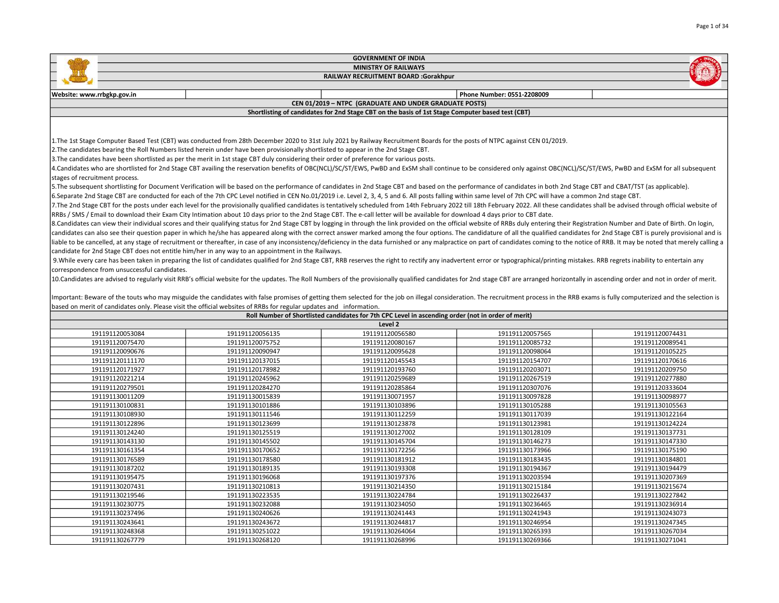|                                              |                                                                                                                                                                                                                                | <b>GOVERNMENT OF INDIA</b>                                                                         |                                    |                                    |  |  |
|----------------------------------------------|--------------------------------------------------------------------------------------------------------------------------------------------------------------------------------------------------------------------------------|----------------------------------------------------------------------------------------------------|------------------------------------|------------------------------------|--|--|
|                                              |                                                                                                                                                                                                                                | <b>MINISTRY OF RAILWAYS</b>                                                                        |                                    |                                    |  |  |
|                                              |                                                                                                                                                                                                                                | RAILWAY RECRUITMENT BOARD :Gorakhpur                                                               |                                    |                                    |  |  |
|                                              |                                                                                                                                                                                                                                |                                                                                                    |                                    |                                    |  |  |
| Website: www.rrbgkp.gov.in                   |                                                                                                                                                                                                                                | CEN 01/2019 - NTPC (GRADUATE AND UNDER GRADUATE POSTS)                                             | Phone Number: 0551-2208009         |                                    |  |  |
|                                              |                                                                                                                                                                                                                                | Shortlisting of candidates for 2nd Stage CBT on the basis of 1st Stage Computer based test (CBT)   |                                    |                                    |  |  |
|                                              |                                                                                                                                                                                                                                |                                                                                                    |                                    |                                    |  |  |
|                                              |                                                                                                                                                                                                                                |                                                                                                    |                                    |                                    |  |  |
|                                              | 1. The 1st Stage Computer Based Test (CBT) was conducted from 28th December 2020 to 31st July 2021 by Railway Recruitment Boards for the posts of NTPC against CEN 01/2019.                                                    |                                                                                                    |                                    |                                    |  |  |
|                                              | 2. The candidates bearing the Roll Numbers listed herein under have been provisionally shortlisted to appear in the 2nd Stage CBT.                                                                                             |                                                                                                    |                                    |                                    |  |  |
|                                              | 3. The candidates have been shortlisted as per the merit in 1st stage CBT duly considering their order of preference for various posts.                                                                                        |                                                                                                    |                                    |                                    |  |  |
|                                              | 4.Candidates who are shortlisted for 2nd Stage CBT availing the reservation benefits of OBC(NCL)/SC/ST/EWS, PwBD and ExSM shall continue to be considered only against OBC(NCL)/SC/ST/EWS, PwBD and ExSM for all subsequent    |                                                                                                    |                                    |                                    |  |  |
| stages of recruitment process.               |                                                                                                                                                                                                                                |                                                                                                    |                                    |                                    |  |  |
|                                              | 5. The subsequent shortlisting for Document Verification will be based on the performance of candidates in 2nd Stage CBT and based on the performance of candidates in both 2nd Stage CBT and CBAT/TST (as applicable).        |                                                                                                    |                                    |                                    |  |  |
|                                              | 6.Separate 2nd Stage CBT are conducted for each of the 7th CPC Level notified in CEN No.01/2019 i.e. Level 2, 3, 4, 5 and 6. All posts falling within same level of 7th CPC will have a common 2nd stage CBT.                  |                                                                                                    |                                    |                                    |  |  |
|                                              | 7. The 2nd Stage CBT for the posts under each level for the provisionally qualified candidates is tentatively scheduled from 14th February 2022 till 18th February 2022. All these candidates shall be advised through officia |                                                                                                    |                                    |                                    |  |  |
|                                              | RRBs / SMS / Email to download their Exam City Intimation about 10 days prior to the 2nd Stage CBT. The e-call letter will be available for download 4 days prior to CBT date.                                                 |                                                                                                    |                                    |                                    |  |  |
|                                              | 8.Candidates can view their individual scores and their qualifying status for 2nd Stage CBT by logging in through the link provided on the official website of RRBs duly entering their Registration Number and Date of Birth. |                                                                                                    |                                    |                                    |  |  |
|                                              | candidates can also see their question paper in which he/she has appeared along with the correct answer marked among the four options. The candidature of all the qualified candidates for 2nd Stage CBT is purely provisional |                                                                                                    |                                    |                                    |  |  |
|                                              | liable to be cancelled, at any stage of recruitment or thereafter, in case of any inconsistency/deficiency in the data furnished or any malpractice on part of candidates coming to the notice of RRB. It may be noted that me |                                                                                                    |                                    |                                    |  |  |
|                                              | candidate for 2nd Stage CBT does not entitle him/her in any way to an appointment in the Railways.                                                                                                                             |                                                                                                    |                                    |                                    |  |  |
|                                              | 9. While every care has been taken in preparing the list of candidates qualified for 2nd Stage CBT, RRB reserves the right to rectify any inadvertent error or typographical/printing mistakes. RRB regrets inability to enter |                                                                                                    |                                    |                                    |  |  |
| correspondence from unsuccessful candidates. |                                                                                                                                                                                                                                |                                                                                                    |                                    |                                    |  |  |
|                                              | 10. Candidates are advised to regularly visit RRB's official website for the updates. The Roll Numbers of the provisionally qualified candidates for 2nd stage CBT are arranged horizontally in ascending order and not in ord |                                                                                                    |                                    |                                    |  |  |
|                                              |                                                                                                                                                                                                                                |                                                                                                    |                                    |                                    |  |  |
|                                              | Important: Beware of the touts who may misguide the candidates with false promises of getting them selected for the job on illegal consideration. The recruitment process in the RRB exams is fully computerized and the selec |                                                                                                    |                                    |                                    |  |  |
|                                              | based on merit of candidates only. Please visit the official websites of RRBs for regular updates and information.                                                                                                             |                                                                                                    |                                    |                                    |  |  |
|                                              |                                                                                                                                                                                                                                | Roll Number of Shortlisted candidates for 7th CPC Level in ascending order (not in order of merit) |                                    |                                    |  |  |
|                                              |                                                                                                                                                                                                                                | Level 2                                                                                            |                                    |                                    |  |  |
| 191191120053084<br>191191120075470           | 191191120056135<br>191191120075752                                                                                                                                                                                             | 191191120056580<br>191191120080167                                                                 | 191191120057565<br>191191120085732 | 191191120074431<br>191191120089541 |  |  |
|                                              |                                                                                                                                                                                                                                | 191191120095628                                                                                    |                                    | 191191120105225                    |  |  |
| 191191120090676<br>191191120111170           | 191191120090947<br>191191120137015                                                                                                                                                                                             | 191191120145543                                                                                    | 191191120098064<br>191191120154707 | 191191120170616                    |  |  |
| 191191120171927                              | 191191120178982                                                                                                                                                                                                                | 191191120193760                                                                                    | 191191120203071                    | 191191120209750                    |  |  |
| 191191120221214                              | 191191120245962                                                                                                                                                                                                                | 191191120259689                                                                                    | 191191120267519                    | 191191120277880                    |  |  |
| 191191120279501                              | 191191120284270                                                                                                                                                                                                                | 191191120285864                                                                                    | 191191120307076                    | 191191120333604                    |  |  |
| 191191130011209                              | 191191130015839                                                                                                                                                                                                                | 191191130071957                                                                                    | 191191130097828                    | 191191130098977                    |  |  |
| 191191130100831                              | 191191130101886                                                                                                                                                                                                                | 191191130103896                                                                                    | 191191130105288                    | 191191130105563                    |  |  |
| 191191130108930                              | 191191130111546                                                                                                                                                                                                                | 191191130112259                                                                                    | 191191130117039                    | 191191130122164                    |  |  |
| 191191130122896                              | 191191130123699                                                                                                                                                                                                                | 191191130123878                                                                                    | 191191130123981                    | 191191130124224                    |  |  |
| 191191130124240                              | 191191130125519                                                                                                                                                                                                                | 191191130127002                                                                                    | 191191130128109                    | 191191130137731                    |  |  |
| 191191130143130                              | 191191130145502                                                                                                                                                                                                                | 191191130145704                                                                                    | 191191130146273                    | 191191130147330                    |  |  |
| 191191130161354                              | 191191130170652                                                                                                                                                                                                                | 191191130172256                                                                                    | 191191130173966                    | 191191130175190                    |  |  |
| 191191130176589                              | 191191130178580                                                                                                                                                                                                                | 191191130181912                                                                                    | 191191130183435                    | 191191130184801                    |  |  |
| 191191130187202                              | 191191130189135                                                                                                                                                                                                                | 191191130193308                                                                                    | 191191130194367                    | 191191130194479                    |  |  |
| 191191130195475                              | 191191130196068                                                                                                                                                                                                                | 191191130197376                                                                                    | 191191130203594                    | 191191130207369                    |  |  |

 191191130210813 191191130214350 191191130215184 191191130215674 191191130223535 191191130224784 191191130226437 191191130227842 191191130232088 191191130234050 191191130236465 191191130236914 191191130240626 191191130241443 191191130241943 191191130243073 191191130243672 191191130244817 191191130246954 191191130247345 191191130251022 191191130264064 191191130265393 191191130267034 191191130268120 191191130268996 191191130269366 191191130271041

Page 1 of 34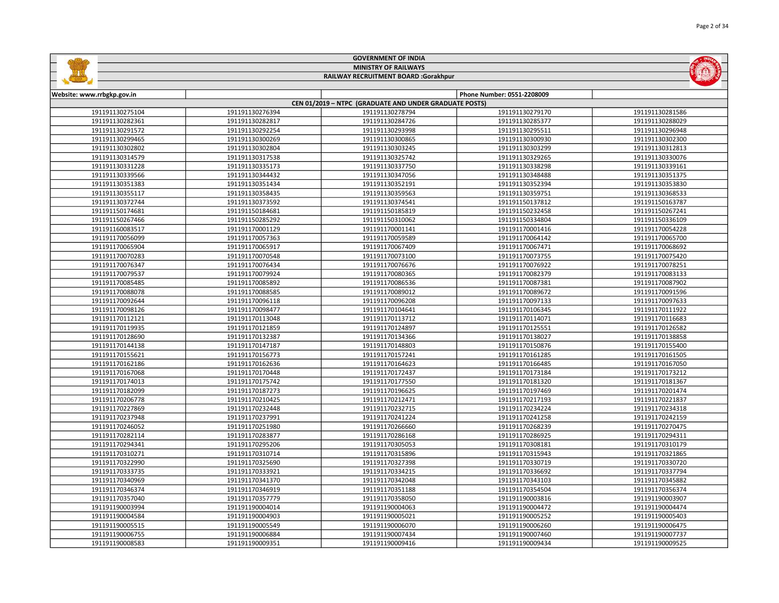|                            |                 | <b>GOVERNMENT OF INDIA</b>                             |                            |                 |
|----------------------------|-----------------|--------------------------------------------------------|----------------------------|-----------------|
|                            |                 | <b>MINISTRY OF RAILWAYS</b>                            |                            |                 |
|                            |                 | RAILWAY RECRUITMENT BOARD :Gorakhpur                   |                            |                 |
|                            |                 |                                                        |                            |                 |
| Website: www.rrbgkp.gov.in |                 |                                                        | Phone Number: 0551-2208009 |                 |
|                            |                 | CEN 01/2019 - NTPC (GRADUATE AND UNDER GRADUATE POSTS) |                            |                 |
| 191191130275104            | 191191130276394 | 191191130278794                                        | 191191130279170            | 191191130281586 |
| 191191130282361            | 191191130282817 | 191191130284726                                        | 191191130285377            | 191191130288029 |
| 191191130291572            | 191191130292254 | 191191130293998                                        | 191191130295511            | 191191130296948 |
| 191191130299465            | 191191130300269 | 191191130300865                                        | 191191130300930            | 191191130302300 |
| 191191130302802            | 191191130302804 | 191191130303245                                        | 191191130303299            | 191191130312813 |
| 191191130314579            | 191191130317538 | 191191130325742                                        | 191191130329265            | 191191130330076 |
| 191191130331228            | 191191130335173 | 191191130337750                                        | 191191130338298            | 191191130339161 |
| 191191130339566            | 191191130344432 | 191191130347056                                        | 191191130348488            | 191191130351375 |
| 191191130351383            | 191191130351434 | 191191130352191                                        | 191191130352394            | 191191130353830 |
| 191191130355117            | 191191130358435 | 191191130359563                                        | 191191130359751            | 191191130368533 |
| 191191130372744            | 191191130373592 | 191191130374541                                        | 191191150137812            | 191191150163787 |
| 191191150174681            | 191191150184681 | 191191150185819                                        | 191191150232458            | 191191150267241 |
| 191191150267466            | 191191150285292 | 191191150310062                                        | 191191150334804            | 191191150336109 |
| 191191160083517            | 191191170001129 | 191191170001141                                        | 191191170001416            | 191191170054228 |
| 191191170056099            | 191191170057363 | 191191170059589                                        | 191191170064142            | 191191170065700 |
| 191191170065904            | 191191170065917 | 191191170067409                                        | 191191170067471            | 191191170068692 |
| 191191170070283            | 191191170070548 | 191191170073100                                        | 191191170073755            | 191191170075420 |
| 191191170076347            | 191191170076434 | 191191170076676                                        | 191191170076922            | 191191170078251 |
| 191191170079537            | 191191170079924 | 191191170080365                                        | 191191170082379            | 191191170083133 |
| 191191170085485            | 191191170085892 | 191191170086536                                        | 191191170087381            | 191191170087902 |
| 191191170088078            | 191191170088585 | 191191170089012                                        | 191191170089672            | 191191170091596 |
| 191191170092644            | 191191170096118 | 191191170096208                                        | 191191170097133            | 191191170097633 |
| 191191170098126            | 191191170098477 | 191191170104641                                        | 191191170106345            | 191191170111922 |
| 191191170112121            | 191191170113048 | 191191170113712                                        | 191191170114071            | 191191170116683 |
| 191191170119935            | 191191170121859 | 191191170124897                                        | 191191170125551            | 191191170126582 |
| 191191170128690            | 191191170132387 | 191191170134366                                        | 191191170138027            | 191191170138858 |
| 191191170144138            | 191191170147187 | 191191170148803                                        | 191191170150876            | 191191170155400 |
| 191191170155621            | 191191170156773 | 191191170157241                                        | 191191170161285            | 191191170161505 |
| 191191170162186            | 191191170162636 | 191191170164623                                        | 191191170166485            | 191191170167050 |
| 191191170167068            | 191191170170448 | 191191170172437                                        | 191191170173184            | 191191170173212 |
| 191191170174013            | 191191170175742 | 191191170177550                                        | 191191170181320            | 191191170181367 |
| 191191170182099            | 191191170187273 | 191191170196625                                        | 191191170197469            | 191191170201474 |
| 191191170206778            | 191191170210425 | 191191170212471                                        | 191191170217193            | 191191170221837 |
| 191191170227869            | 191191170232448 | 191191170232715                                        | 191191170234224            | 191191170234318 |
| 191191170237948            | 191191170237991 | 191191170241224                                        | 191191170241258            | 191191170242159 |
| 191191170246052            | 191191170251980 | 191191170266660                                        | 191191170268239            | 191191170270475 |
| 191191170282114            | 191191170283877 | 191191170286168                                        | 191191170286925            | 191191170294311 |
| 191191170294341            | 191191170295206 | 191191170305053                                        | 191191170308181            | 191191170310179 |
| 191191170310271            | 191191170310714 | 191191170315896                                        | 191191170315943            | 191191170321865 |
| 191191170322990            | 191191170325690 | 191191170327398                                        | 191191170330719            | 191191170330720 |
| 191191170333735            | 191191170333921 | 191191170334215                                        | 191191170336692            | 191191170337794 |
| 191191170340969            | 191191170341370 | 191191170342048                                        | 191191170343103            | 191191170345882 |
| 191191170346374            | 191191170346919 | 191191170351188                                        | 191191170354504            | 191191170356374 |
| 191191170357040            | 191191170357779 | 191191170358050                                        | 191191190003816            | 191191190003907 |
| 191191190003994            | 191191190004014 | 191191190004063                                        | 191191190004472            | 191191190004474 |
| 191191190004584            | 191191190004903 | 191191190005021                                        | 191191190005252            | 191191190005403 |
| 191191190005515            | 191191190005549 | 191191190006070                                        | 191191190006260            | 191191190006475 |
| 191191190006755            | 191191190006884 | 191191190007434                                        | 191191190007460            | 191191190007737 |
| 191191190008583            | 191191190009351 | 191191190009416                                        | 191191190009434            | 191191190009525 |

GOVERNMENT OF INDIA

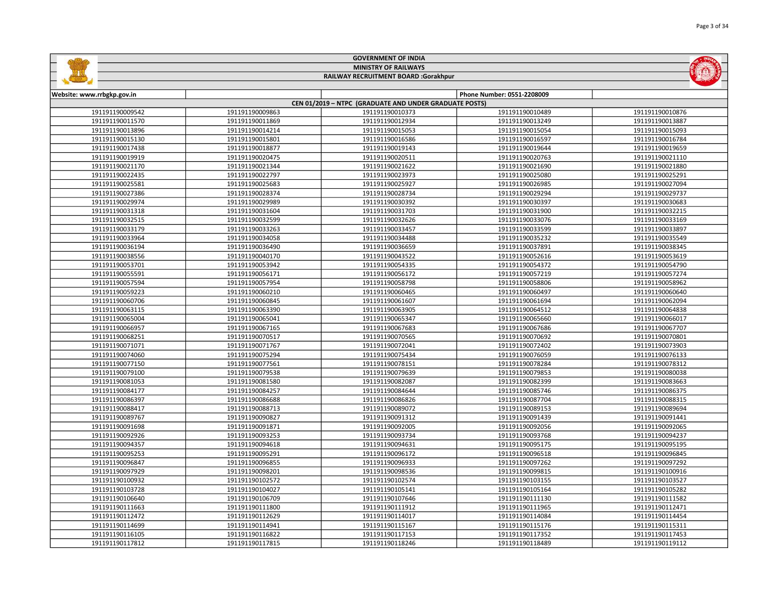|                            |                 | <b>MINISTRY OF RAILWAYS</b>                                               |                            | $\left(\sqrt{2}\right)$ |
|----------------------------|-----------------|---------------------------------------------------------------------------|----------------------------|-------------------------|
|                            |                 | <b>RAILWAY RECRUITMENT BOARD :Gorakhpur</b>                               |                            |                         |
|                            |                 |                                                                           |                            |                         |
| Website: www.rrbgkp.gov.in |                 |                                                                           | Phone Number: 0551-2208009 |                         |
| 191191190009542            | 191191190009863 | CEN 01/2019 - NTPC (GRADUATE AND UNDER GRADUATE POSTS)<br>191191190010373 | 191191190010489            | 191191190010876         |
| 191191190011570            | 191191190011869 | 191191190012934                                                           | 191191190013249            | 191191190013887         |
| 191191190013896            | 191191190014214 | 191191190015053                                                           | 191191190015054            | 191191190015093         |
| 191191190015130            | 191191190015801 | 191191190016586                                                           | 191191190016597            | 191191190016784         |
| 191191190017438            | 191191190018877 | 191191190019143                                                           | 191191190019644            | 191191190019659         |
| 191191190019919            | 191191190020475 | 191191190020511                                                           | 191191190020763            | 191191190021110         |
| 191191190021170            | 191191190021344 | 191191190021622                                                           | 191191190021690            | 191191190021880         |
| 191191190022435            | 191191190022797 | 191191190023973                                                           | 191191190025080            | 191191190025291         |
| 191191190025581            | 191191190025683 | 191191190025927                                                           | 191191190026985            | 191191190027094         |
| 191191190027386            | 191191190028374 | 191191190028734                                                           | 191191190029294            | 191191190029737         |
| 191191190029974            | 191191190029989 | 191191190030392                                                           | 191191190030397            | 191191190030683         |
| 191191190031318            | 191191190031604 | 191191190031703                                                           | 191191190031900            | 191191190032215         |
| 191191190032515            | 191191190032599 | 191191190032626                                                           | 191191190033076            | 191191190033169         |
| 191191190033179            | 191191190033263 | 191191190033457                                                           | 191191190033599            | 191191190033897         |
| 191191190033964            | 191191190034058 | 191191190034488                                                           | 191191190035232            | 191191190035549         |
| 191191190036194            | 191191190036490 | 191191190036659                                                           | 191191190037891            | 191191190038345         |
| 191191190038556            | 191191190040170 | 191191190043522                                                           | 191191190052616            | 191191190053619         |
| 191191190053701            | 191191190053942 | 191191190054335                                                           | 191191190054372            | 191191190054790         |
| 191191190055591            | 191191190056171 | 191191190056172                                                           | 191191190057219            | 191191190057274         |
| 191191190057594            | 191191190057954 | 191191190058798                                                           | 191191190058806            | 191191190058962         |
| 191191190059223            | 191191190060210 | 191191190060465                                                           | 191191190060497            | 191191190060640         |
| 191191190060706            | 191191190060845 | 191191190061607                                                           | 191191190061694            | 191191190062094         |
| 191191190063115            | 191191190063390 | 191191190063905                                                           | 191191190064512            | 191191190064838         |
| 191191190065004            | 191191190065041 | 191191190065347                                                           | 191191190065660            | 191191190066017         |
| 191191190066957            | 191191190067165 | 191191190067683                                                           | 191191190067686            | 191191190067707         |
| 191191190068251            | 191191190070517 | 191191190070565                                                           | 191191190070692            | 191191190070801         |
| 191191190071071            | 191191190071767 | 191191190072041                                                           | 191191190072402            | 191191190073903         |
| 191191190074060            | 191191190075294 | 191191190075434                                                           | 191191190076059            | 191191190076133         |
| 191191190077150            | 191191190077561 | 191191190078151                                                           | 191191190078284            | 191191190078312         |
| 191191190079100            | 191191190079538 | 191191190079639                                                           | 191191190079853            | 191191190080038         |
| 191191190081053            | 191191190081580 | 191191190082087                                                           | 191191190082399            | 191191190083663         |
| 191191190084177            | 191191190084257 | 191191190084644                                                           | 191191190085746            | 191191190086375         |
| 191191190086397            | 191191190086688 | 191191190086826                                                           | 191191190087704            | 191191190088315         |
| 191191190088417            | 191191190088713 | 191191190089072                                                           | 191191190089153            | 191191190089694         |
| 191191190089767            | 191191190090827 | 191191190091312                                                           | 191191190091439            | 191191190091441         |
| 191191190091698            | 191191190091871 | 191191190092005                                                           | 191191190092056            | 191191190092065         |
| 191191190092926            | 191191190093253 | 191191190093734                                                           | 191191190093768            | 191191190094237         |
| 191191190094357            | 191191190094618 | 191191190094631                                                           | 191191190095175            | 191191190095195         |
| 191191190095253            | 191191190095291 | 191191190096172                                                           | 191191190096518            | 191191190096845         |
| 191191190096847            | 191191190096855 | 191191190096933                                                           | 191191190097262            | 191191190097292         |
| 191191190097929            | 191191190098201 | 191191190098536                                                           | 191191190099815            | 191191190100916         |
| 191191190100932            | 191191190102572 | 191191190102574                                                           | 191191190103155            | 191191190103527         |
| 191191190103728            | 191191190104027 | 191191190105141                                                           | 191191190105164            | 191191190105282         |
| 191191190106640            | 191191190106709 | 191191190107646                                                           | 191191190111130            | 191191190111582         |
| 191191190111663            | 191191190111800 | 191191190111912                                                           | 191191190111965            | 191191190112471         |
| 191191190112472            | 191191190112629 | 191191190114017                                                           | 191191190114084            | 191191190114454         |
| 191191190114699            | 191191190114941 | 191191190115167                                                           | 191191190115176            | 191191190115311         |
| 191191190116105            | 191191190116822 | 191191190117153                                                           | 191191190117352            | 191191190117453         |

191191190117815 191191190118246 191191190118489 191191190119112

GOVERNMENT OF INDIA

**Saffling** 

**MOLLA**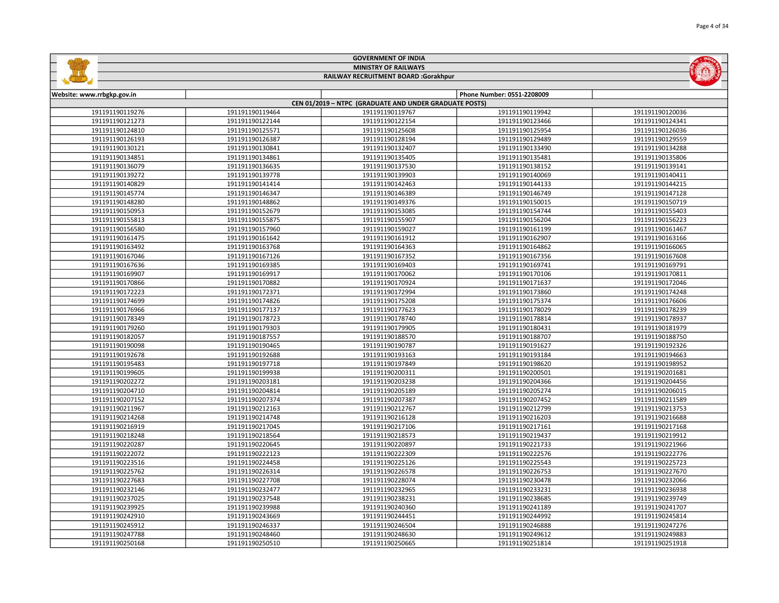|                            |                 | <b>MINISTRY OF RAILWAYS</b>                            |                            |                 |
|----------------------------|-----------------|--------------------------------------------------------|----------------------------|-----------------|
|                            |                 | <b>RAILWAY RECRUITMENT BOARD :Gorakhpur</b>            |                            |                 |
|                            |                 |                                                        |                            |                 |
| Website: www.rrbgkp.gov.in |                 | CEN 01/2019 - NTPC (GRADUATE AND UNDER GRADUATE POSTS) | Phone Number: 0551-2208009 |                 |
| 191191190119276            | 191191190119464 | 191191190119767                                        | 191191190119942            | 191191190120036 |
| 191191190121273            | 191191190122144 | 191191190122154                                        | 191191190123466            | 191191190124341 |
| 191191190124810            | 191191190125571 | 191191190125608                                        | 191191190125954            | 191191190126036 |
| 191191190126193            | 191191190126387 | 191191190128194                                        | 191191190129489            | 191191190129559 |
| 191191190130121            | 191191190130841 | 191191190132407                                        | 191191190133490            | 191191190134288 |
| 191191190134851            | 191191190134861 | 191191190135405                                        | 191191190135481            | 191191190135806 |
| 191191190136079            | 191191190136635 | 191191190137530                                        | 191191190138152            | 191191190139141 |
| 191191190139272            | 191191190139778 | 191191190139903                                        | 191191190140069            | 191191190140411 |
|                            | 191191190141414 |                                                        | 191191190144133            |                 |
| 191191190140829            |                 | 191191190142463                                        |                            | 191191190144215 |
| 191191190145774            | 191191190146347 | 191191190146389                                        | 191191190146749            | 191191190147128 |
| 191191190148280            | 191191190148862 | 191191190149376                                        | 191191190150015            | 191191190150719 |
| 191191190150953            | 191191190152679 | 191191190153085                                        | 191191190154744            | 191191190155403 |
| 191191190155813            | 191191190155875 | 191191190155907                                        | 191191190156204            | 191191190156223 |
| 191191190156580            | 191191190157960 | 191191190159027                                        | 191191190161199            | 191191190161467 |
| 191191190161475            | 191191190161642 | 191191190161912                                        | 191191190162907            | 191191190163166 |
| 191191190163492            | 191191190163768 | 191191190164363                                        | 191191190164862            | 191191190166065 |
| 191191190167046            | 191191190167126 | 191191190167352                                        | 191191190167356            | 191191190167608 |
| 191191190167636            | 191191190169385 | 191191190169403                                        | 191191190169741            | 191191190169791 |
| 191191190169907            | 191191190169917 | 191191190170062                                        | 191191190170106            | 191191190170811 |
| 191191190170866            | 191191190170882 | 191191190170924                                        | 191191190171637            | 191191190172046 |
| 191191190172223            | 191191190172371 | 191191190172994                                        | 191191190173860            | 191191190174248 |
| 191191190174699            | 191191190174826 | 191191190175208                                        | 191191190175374            | 191191190176606 |
| 191191190176966            | 191191190177137 | 191191190177623                                        | 191191190178029            | 191191190178239 |
| 191191190178349            | 191191190178723 | 191191190178740                                        | 191191190178814            | 191191190178937 |
| 191191190179260            | 191191190179303 | 191191190179905                                        | 191191190180431            | 191191190181979 |
| 191191190182057            | 191191190187557 | 191191190188570                                        | 191191190188707            | 191191190188750 |
| 191191190190098            | 191191190190465 | 191191190190787                                        | 191191190191627            | 191191190192326 |
| 191191190192678            | 191191190192688 | 191191190193163                                        | 191191190193184            | 191191190194663 |
| 191191190195483            | 191191190197718 | 191191190197849                                        | 191191190198620            | 191191190198952 |
| 191191190199605            | 191191190199938 | 191191190200311                                        | 191191190200501            | 191191190201681 |
| 191191190202272            | 191191190203181 | 191191190203238                                        | 191191190204366            | 191191190204456 |
| 191191190204710            | 191191190204814 | 191191190205189                                        | 191191190205274            | 191191190206015 |
| 191191190207152            | 191191190207374 | 191191190207387                                        | 191191190207452            | 191191190211589 |
| 191191190211967            | 191191190212163 | 191191190212767                                        | 191191190212799            | 191191190213753 |
| 191191190214268            | 191191190214748 | 191191190216128                                        | 191191190216203            | 191191190216688 |
| 191191190216919            | 191191190217045 | 191191190217106                                        | 191191190217161            | 191191190217168 |
| 191191190218248            | 191191190218564 | 191191190218573                                        | 191191190219437            | 191191190219912 |
| 191191190220287            | 191191190220645 | 191191190220897                                        | 191191190221733            | 191191190221966 |
| 191191190222072            | 191191190222123 | 191191190222309                                        | 191191190222576            | 191191190222776 |
| 191191190223516            | 191191190224458 | 191191190225126                                        | 191191190225543            | 191191190225723 |
| 191191190225762            | 191191190226314 | 191191190226578                                        | 191191190226753            | 191191190227670 |
| 191191190227683            | 191191190227708 | 191191190228074                                        | 191191190230478            | 191191190232066 |
| 191191190232146            | 191191190232477 | 191191190232965                                        | 191191190233231            | 191191190236938 |
| 191191190237025            | 191191190237548 | 191191190238231                                        | 191191190238685            | 191191190239749 |
| 191191190239925            | 191191190239988 | 191191190240360                                        | 191191190241189            | 191191190241707 |
| 191191190242910            | 191191190243669 | 191191190244451                                        | 191191190244992            | 191191190245814 |
| 191191190245912            | 191191190246337 | 191191190246504                                        | 191191190246888            | 191191190247276 |
| 191191190247788            | 191191190248460 | 191191190248630                                        | 191191190249612            | 191191190249883 |
|                            |                 |                                                        |                            |                 |

191191190250510 191191190250665 191191190251814 191191190251918

GOVERNMENT OF INDIA

 $-50$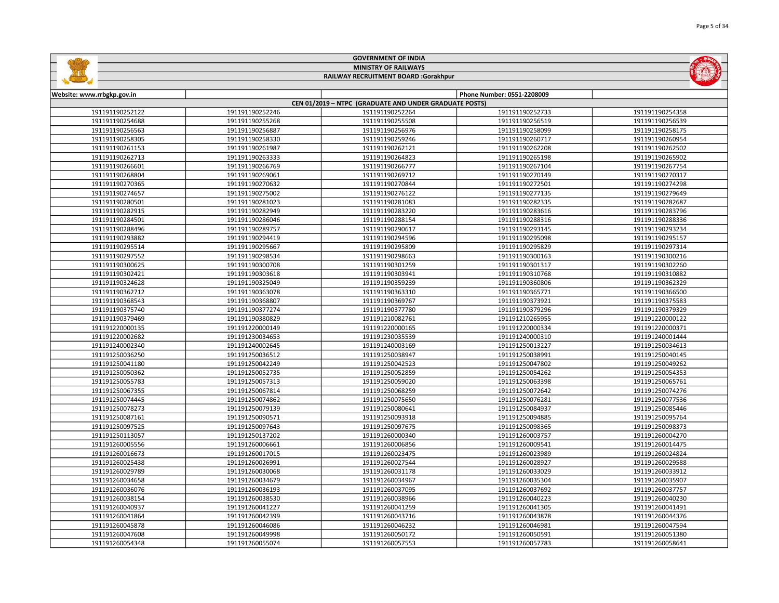|                            |                 | <b>MINISTRY OF RAILWAYS</b>                            |                            |                 |
|----------------------------|-----------------|--------------------------------------------------------|----------------------------|-----------------|
|                            |                 | RAILWAY RECRUITMENT BOARD :Gorakhpur                   |                            |                 |
|                            |                 |                                                        |                            |                 |
| Website: www.rrbgkp.gov.in |                 | CEN 01/2019 - NTPC (GRADUATE AND UNDER GRADUATE POSTS) | Phone Number: 0551-2208009 |                 |
| 191191190252122            | 191191190252246 | 191191190252264                                        | 191191190252733            | 191191190254358 |
| 191191190254688            | 191191190255268 | 191191190255508                                        | 191191190256519            | 191191190256539 |
| 191191190256563            | 191191190256887 | 191191190256976                                        | 191191190258099            | 191191190258175 |
| 191191190258305            | 191191190258330 | 191191190259246                                        | 191191190260717            | 191191190260954 |
| 191191190261153            | 191191190261987 | 191191190262121                                        | 191191190262208            | 191191190262502 |
| 191191190262713            | 191191190263333 | 191191190264823                                        | 191191190265198            | 191191190265902 |
| 191191190266601            | 191191190266769 | 191191190266777                                        | 191191190267104            | 191191190267754 |
| 191191190268804            | 191191190269061 | 191191190269712                                        | 191191190270149            | 191191190270317 |
| 191191190270365            | 191191190270632 | 191191190270844                                        | 191191190272501            | 191191190274298 |
| 191191190274657            | 191191190275002 | 191191190276122                                        | 191191190277135            | 191191190279649 |
| 191191190280501            | 191191190281023 | 191191190281083                                        | 191191190282335            | 191191190282687 |
| 191191190282915            | 191191190282949 | 191191190283220                                        | 191191190283616            | 191191190283796 |
| 191191190284501            | 191191190286046 | 191191190288154                                        | 191191190288316            | 191191190288336 |
| 191191190288496            | 191191190289757 | 191191190290617                                        | 191191190293145            | 191191190293234 |
| 191191190293882            | 191191190294419 | 191191190294596                                        | 191191190295098            | 191191190295157 |
| 191191190295514            | 191191190295667 | 191191190295809                                        | 191191190295829            | 191191190297314 |
| 191191190297552            | 191191190298534 | 191191190298663                                        | 191191190300163            | 191191190300216 |
| 191191190300625            | 191191190300708 | 191191190301259                                        | 191191190301317            | 191191190302260 |
| 191191190302421            | 191191190303618 | 191191190303941                                        | 191191190310768            | 191191190310882 |
| 191191190324628            | 191191190325049 | 191191190359239                                        | 191191190360806            | 191191190362329 |
| 191191190362712            | 191191190363078 | 191191190363310                                        | 191191190365771            | 191191190366500 |
| 191191190368543            | 191191190368807 | 191191190369767                                        | 191191190373921            | 191191190375583 |
| 191191190375740            | 191191190377274 | 191191190377780                                        | 191191190379296            | 191191190379329 |
| 191191190379469            | 191191190380829 | 191191210082761                                        | 191191210265955            | 191191220000122 |
| 191191220000135            | 191191220000149 | 191191220000165                                        | 191191220000334            | 191191220000371 |
| 191191220002682            | 191191230034653 | 191191230035539                                        | 191191240000310            | 191191240001444 |
| 191191240002340            | 191191240002645 | 191191240003169                                        | 191191250013227            | 191191250034613 |
| 191191250036250            | 191191250036512 | 191191250038947                                        | 191191250038991            | 191191250040145 |
| 191191250041180            | 191191250042249 | 191191250042523                                        | 191191250047802            | 191191250049262 |
| 191191250050362            | 191191250052735 | 191191250052859                                        | 191191250054262            | 191191250054353 |
| 191191250055783            | 191191250057313 | 191191250059020                                        | 191191250063398            | 191191250065761 |
| 191191250067355            | 191191250067814 | 191191250068259                                        | 191191250072642            | 191191250074276 |
| 191191250074445            | 191191250074862 | 191191250075650                                        | 191191250076281            | 191191250077536 |
| 191191250078273            | 191191250079139 | 191191250080641                                        | 191191250084937            | 191191250085446 |
| 191191250087161            | 191191250090571 | 191191250093918                                        | 191191250094885            | 191191250095764 |
| 191191250097525            | 191191250097643 | 191191250097675                                        | 191191250098365            | 191191250098373 |
| 191191250113057            | 191191250137202 | 191191260000340                                        | 191191260003757            | 191191260004270 |
| 191191260005556            | 191191260006661 | 191191260006856                                        | 191191260009541            | 191191260014475 |
| 191191260016673            | 191191260017015 | 191191260023475                                        | 191191260023989            | 191191260024824 |
| 191191260025438            | 191191260026991 | 191191260027544                                        | 191191260028927            | 191191260029588 |
| 191191260029789            | 191191260030068 | 191191260031178                                        | 191191260033029            | 191191260033912 |
| 191191260034658            | 191191260034679 | 191191260034967                                        | 191191260035304            | 191191260035907 |
| 191191260036076            | 191191260036193 | 191191260037095                                        | 191191260037692            | 191191260037757 |
| 191191260038154            | 191191260038530 | 191191260038966                                        | 191191260040223            | 191191260040230 |
| 191191260040937            | 191191260041227 | 191191260041259                                        | 191191260041305            | 191191260041491 |
| 191191260041864            | 191191260042399 | 191191260043716                                        | 191191260043878            | 191191260044376 |
| 191191260045878            | 191191260046086 | 191191260046232                                        | 191191260046981            | 191191260047594 |
| 191191260047608            | 191191260049998 | 191191260050172                                        | 191191260050591            | 191191260051380 |

191191260055074 191191260057553 191191260057783 191191260058641

GOVERNMENT OF INDIA

 $-50 -$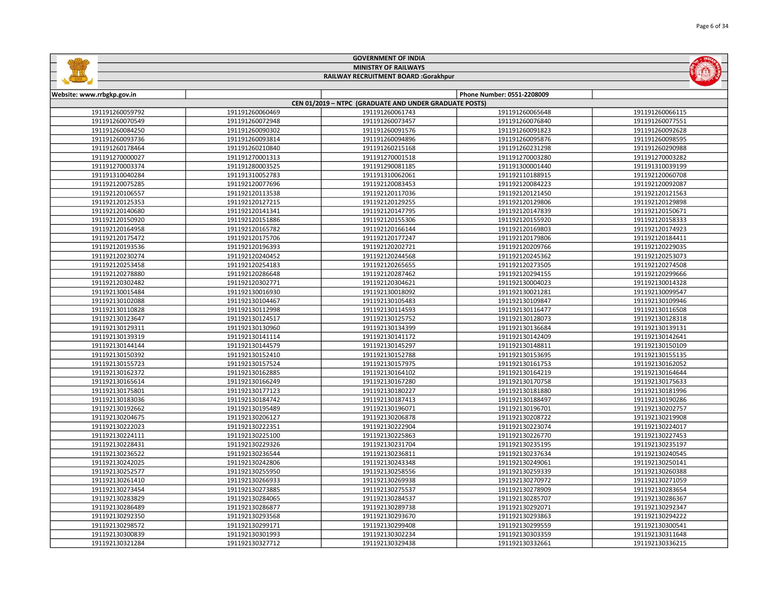|                            |                 | <b>MINISTRY OF RAILWAYS</b>                            |                            |                 |
|----------------------------|-----------------|--------------------------------------------------------|----------------------------|-----------------|
|                            |                 | RAILWAY RECRUITMENT BOARD :Gorakhpur                   |                            |                 |
| Website: www.rrbgkp.gov.in |                 |                                                        | Phone Number: 0551-2208009 |                 |
|                            |                 | CEN 01/2019 - NTPC (GRADUATE AND UNDER GRADUATE POSTS) |                            |                 |
| 191191260059792            | 191191260060469 | 191191260061743                                        | 191191260065648            | 191191260066115 |
| 191191260070549            | 191191260072948 | 191191260073457                                        | 191191260076840            | 191191260077551 |
| 191191260084250            | 191191260090302 | 191191260091576                                        | 191191260091823            | 191191260092628 |
| 191191260093736            | 191191260093814 | 191191260094896                                        | 191191260095876            | 191191260098595 |
| 191191260178464            | 191191260210840 | 191191260215168                                        | 191191260231298            | 191191260290988 |
| 191191270000027            | 191191270001313 | 191191270001518                                        | 191191270003280            | 191191270003282 |
| 191191270003374            | 191191280003525 | 191191290081185                                        | 191191300001440            | 191191310039199 |
| 191191310040284            | 191191310052783 | 191191310062061                                        | 191192110188915            | 191192120060708 |
| 191192120075285            | 191192120077696 | 191192120083453                                        | 191192120084223            | 191192120092087 |
| 191192120106557            | 191192120113538 | 191192120117036                                        | 191192120121450            | 191192120121563 |
| 191192120125353            | 191192120127215 | 191192120129255                                        | 191192120129806            | 191192120129898 |
| 191192120140680            | 191192120141341 | 191192120147795                                        | 191192120147839            | 191192120150671 |
| 191192120150920            | 191192120151886 | 191192120155306                                        | 191192120155920            | 191192120158333 |
| 191192120164958            | 191192120165782 | 191192120166144                                        | 191192120169803            | 191192120174923 |
| 191192120175472            | 191192120175706 | 191192120177247                                        | 191192120179806            | 191192120184411 |
| 191192120193536            | 191192120196393 | 191192120202721                                        | 191192120209766            | 191192120229035 |
| 191192120230274            | 191192120240452 | 191192120244568                                        | 191192120245362            | 191192120253073 |
| 191192120253458            | 191192120254183 | 191192120265655                                        | 191192120273505            | 191192120274508 |
| 191192120278880            | 191192120286648 | 191192120287462                                        | 191192120294155            | 191192120299666 |
| 191192120302482            | 191192120302771 | 191192120304621                                        | 191192130004023            | 191192130014328 |
| 191192130015484            | 191192130016930 | 191192130018092                                        | 191192130021281            | 191192130099547 |
| 191192130102088            | 191192130104467 | 191192130105483                                        | 191192130109847            | 191192130109946 |
| 191192130110828            | 191192130112998 | 191192130114593                                        | 191192130116477            | 191192130116508 |
| 191192130123647            | 191192130124517 | 191192130125752                                        | 191192130128073            | 191192130128318 |
| 191192130129311            | 191192130130960 | 191192130134399                                        | 191192130136684            | 191192130139131 |
| 191192130139319            | 191192130141114 | 191192130141172                                        | 191192130142409            | 191192130142641 |
| 191192130144144            | 191192130144579 | 191192130145297                                        | 191192130148811            | 191192130150109 |
| 191192130150392            | 191192130152410 | 191192130152788                                        | 191192130153695            | 191192130155135 |
| 191192130155723            | 191192130157524 | 191192130157975                                        | 191192130161753            | 191192130162052 |
| 191192130162372            | 191192130162885 | 191192130164102                                        | 191192130164219            | 191192130164644 |
| 191192130165614            | 191192130166249 | 191192130167280                                        | 191192130170758            | 191192130175633 |
| 191192130175801            | 191192130177123 | 191192130180227                                        | 191192130181880            | 191192130181996 |
| 191192130183036            | 191192130184742 | 191192130187413                                        | 191192130188497            | 191192130190286 |
| 191192130192662            | 191192130195489 | 191192130196071                                        | 191192130196701            | 191192130202757 |
| 191192130204675            | 191192130206127 | 191192130206878                                        | 191192130208722            | 191192130219908 |
| 191192130222023            | 191192130222351 | 191192130222904                                        | 191192130223074            | 191192130224017 |
| 191192130224111            | 191192130225100 | 191192130225863                                        | 191192130226770            | 191192130227453 |
| 191192130228431            | 191192130229326 | 191192130231704                                        | 191192130235195            | 191192130235197 |
| 191192130236522            | 191192130236544 | 191192130236811                                        | 191192130237634            | 191192130240545 |
| 191192130242025            | 191192130242806 | 191192130243348                                        | 191192130249061            | 191192130250141 |
| 191192130252577            | 191192130255950 | 191192130258556                                        | 191192130259339            | 191192130260388 |
| 191192130261410            | 191192130266933 | 191192130269938                                        | 191192130270972            | 191192130271059 |
| 191192130273454            | 191192130273885 | 191192130275537                                        | 191192130278909            | 191192130283654 |
| 191192130283829            | 191192130284065 | 191192130284537                                        | 191192130285707            | 191192130286367 |
| 191192130286489            | 191192130286877 | 191192130289738                                        | 191192130292071            | 191192130292347 |
| 191192130292350            | 191192130293568 | 191192130293670                                        | 191192130293863            | 191192130294222 |
| 191192130298572            | 191192130299171 | 191192130299408                                        | 191192130299559            | 191192130300541 |
| 191192130300839            | 191192130301993 | 191192130302234                                        | 191192130303359            | 191192130311648 |
| 191192130321284            | 191192130327712 | 191192130329438                                        | 191192130332661            | 191192130336215 |

GOVERNMENT OF INDIA

**Gallin**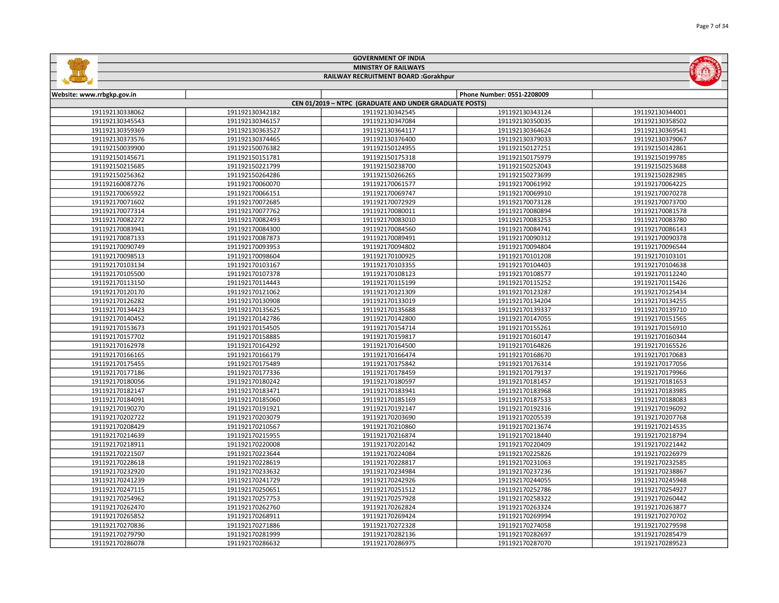| <b>MINISTRY OF RAILWAYS</b><br>RAILWAY RECRUITMENT BOARD :Gorakhpur |                 |                                                        |                            |                 |
|---------------------------------------------------------------------|-----------------|--------------------------------------------------------|----------------------------|-----------------|
| Website: www.rrbgkp.gov.in                                          |                 |                                                        | Phone Number: 0551-2208009 |                 |
|                                                                     |                 | CEN 01/2019 - NTPC (GRADUATE AND UNDER GRADUATE POSTS) |                            |                 |
| 191192130338062                                                     | 191192130342182 | 191192130342545                                        | 191192130343124            | 191192130344001 |
| 191192130345543                                                     | 191192130346157 | 191192130347084                                        | 191192130350035            | 191192130358502 |
| 191192130359369                                                     | 191192130363527 | 191192130364117                                        | 191192130364624            | 191192130369541 |
| 191192130373576                                                     | 191192130374465 | 191192130376400                                        | 191192130379033            | 191192130379067 |
| 191192150039900                                                     | 191192150076382 | 191192150124955                                        | 191192150127251            | 191192150142861 |
| 191192150145671                                                     | 191192150151781 | 191192150175318                                        | 191192150175979            | 191192150199785 |
| 191192150215685                                                     | 191192150221799 | 191192150238700                                        | 191192150252043            | 191192150253688 |
| 191192150256362                                                     | 191192150264286 | 191192150266265                                        | 191192150273699            | 191192150282985 |
| 191192160087276                                                     | 191192170060070 | 191192170061577                                        | 191192170061992            | 191192170064225 |
| 191192170065922                                                     | 191192170066151 | 191192170069747                                        | 191192170069910            | 191192170070278 |
| 191192170071602                                                     | 191192170072685 | 191192170072929                                        | 191192170073128            | 191192170073700 |
| 191192170077314                                                     | 191192170077762 | 191192170080011                                        | 191192170080894            | 191192170081578 |
| 191192170082272                                                     | 191192170082493 | 191192170083010                                        | 191192170083253            | 191192170083780 |
| 191192170083941                                                     | 191192170084300 | 191192170084560                                        | 191192170084741            | 191192170086143 |
| 191192170087133                                                     | 191192170087873 | 191192170089491                                        | 191192170090312            | 191192170090378 |
| 191192170090749                                                     | 191192170093953 | 191192170094802                                        | 191192170094804            | 191192170096544 |
| 191192170098513                                                     | 191192170098604 | 191192170100925                                        | 191192170101208            | 191192170103101 |
| 191192170103134                                                     | 191192170103167 | 191192170103355                                        | 191192170104403            | 191192170104638 |
| 191192170105500                                                     | 191192170107378 | 191192170108123                                        | 191192170108577            | 191192170112240 |
| 191192170113150                                                     | 191192170114443 | 191192170115199                                        | 191192170115252            | 191192170115426 |
| 191192170120170                                                     | 191192170121062 | 191192170121309                                        | 191192170123287            | 191192170125434 |
| 191192170126282                                                     | 191192170130908 | 191192170133019                                        | 191192170134204            | 191192170134255 |
| 191192170134423                                                     | 191192170135625 | 191192170135688                                        | 191192170139337            | 191192170139710 |
| 191192170140452                                                     | 191192170142786 | 191192170142800                                        | 191192170147055            | 191192170151565 |
| 191192170153673                                                     | 191192170154505 | 191192170154714                                        | 191192170155261            | 191192170156910 |
| 191192170157702                                                     | 191192170158885 | 191192170159817                                        | 191192170160147            | 191192170160344 |
| 191192170162978                                                     | 191192170164292 | 191192170164500                                        | 191192170164826            | 191192170165526 |
| 191192170166165                                                     | 191192170166179 | 191192170166474                                        | 191192170168670            | 191192170170683 |
| 191192170175455                                                     | 191192170175489 | 191192170175842                                        | 191192170176314            | 191192170177056 |
| 191192170177186                                                     | 191192170177336 | 191192170178459                                        | 191192170179137            | 191192170179966 |
| 191192170180056                                                     | 191192170180242 | 191192170180597                                        | 191192170181457            | 191192170181653 |
| 191192170182147                                                     | 191192170183471 | 191192170183941                                        | 191192170183968            | 191192170183985 |
| 191192170184091                                                     | 191192170185060 | 191192170185169                                        | 191192170187533            | 191192170188083 |
| 191192170190270                                                     | 191192170191921 | 191192170192147                                        | 191192170192316            | 191192170196092 |
| 191192170202722                                                     | 191192170203079 | 191192170203690                                        | 191192170205539            | 191192170207768 |
| 191192170208429                                                     | 191192170210567 | 191192170210860                                        | 191192170213674            | 191192170214535 |
| 191192170214639                                                     | 191192170215955 | 191192170216874                                        | 191192170218440            | 191192170218794 |
| 191192170218911                                                     | 191192170220008 | 191192170220142                                        | 191192170220409            | 191192170221442 |
| 191192170221507                                                     | 191192170223644 | 191192170224084                                        | 191192170225826            | 191192170226979 |
| 191192170228618                                                     | 191192170228619 | 191192170228817                                        | 191192170231063            | 191192170232585 |
| 191192170232920                                                     | 191192170233632 | 191192170234984                                        | 191192170237236            | 191192170238867 |
| 191192170241239                                                     | 191192170241729 | 191192170242926                                        | 191192170244055            | 191192170245948 |
| 191192170247115                                                     | 191192170250651 | 191192170251512                                        | 191192170252786            | 191192170254927 |
| 191192170254962                                                     | 191192170257753 | 191192170257928                                        | 191192170258322            | 191192170260442 |
| 191192170262470                                                     | 191192170262760 | 191192170262824                                        | 191192170263324            | 191192170263877 |
| 191192170265852                                                     | 191192170268911 | 191192170269424                                        | 191192170269994            | 191192170270702 |
| 191192170270836                                                     | 191192170271886 | 191192170272328                                        | 191192170274058            | 191192170279598 |
| 191192170279790                                                     | 191192170281999 | 191192170282136                                        | 191192170282697            | 191192170285479 |

191192170286632 191192170286975 191192170287070 191192170289523

GOVERNMENT OF INDIA

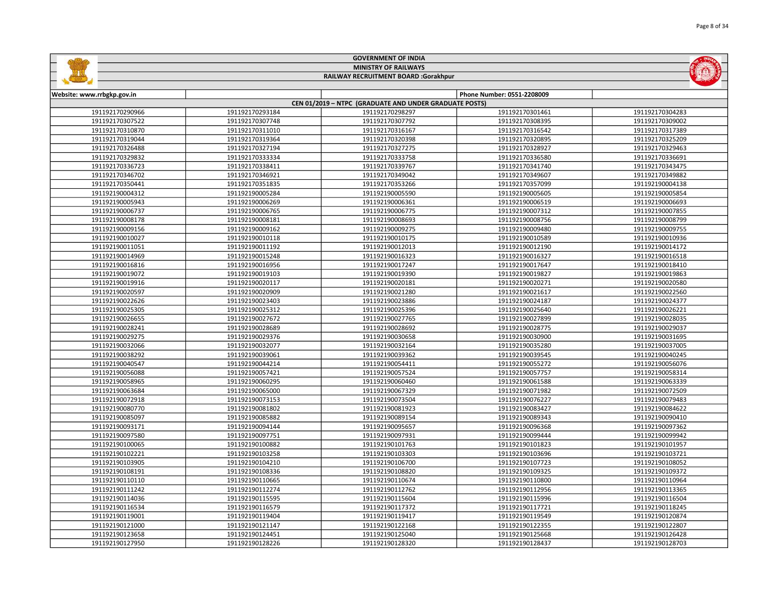|                                    |                                    | <b>MINISTRY OF RAILWAYS</b>                            |                                    | $(\omega)$                         |
|------------------------------------|------------------------------------|--------------------------------------------------------|------------------------------------|------------------------------------|
|                                    |                                    | RAILWAY RECRUITMENT BOARD :Gorakhpur                   |                                    |                                    |
|                                    |                                    |                                                        |                                    |                                    |
| Website: www.rrbgkp.gov.in         |                                    |                                                        | Phone Number: 0551-2208009         |                                    |
|                                    |                                    | CEN 01/2019 - NTPC (GRADUATE AND UNDER GRADUATE POSTS) |                                    |                                    |
| 191192170290966<br>191192170307522 | 191192170293184                    | 191192170298297                                        | 191192170301461                    | 191192170304283                    |
| 191192170310870                    | 191192170307748<br>191192170311010 | 191192170307792<br>191192170316167                     | 191192170308395<br>191192170316542 | 191192170309002<br>191192170317389 |
| 191192170319044                    |                                    |                                                        |                                    |                                    |
| 191192170326488                    | 191192170319364<br>191192170327194 | 191192170320398<br>191192170327275                     | 191192170320895<br>191192170328927 | 191192170325209<br>191192170329463 |
|                                    |                                    | 191192170333758                                        |                                    |                                    |
| 191192170329832<br>191192170336723 | 191192170333334                    | 191192170339767                                        | 191192170336580<br>191192170341740 | 191192170336691<br>191192170343475 |
| 191192170346702                    | 191192170338411<br>191192170346921 | 191192170349042                                        | 191192170349607                    | 191192170349882                    |
| 191192170350441                    | 191192170351835                    | 191192170353266                                        | 191192170357099                    | 191192190004138                    |
| 191192190004312                    | 191192190005284                    | 191192190005590                                        |                                    |                                    |
|                                    |                                    |                                                        | 191192190005605                    | 191192190005854                    |
| 191192190005943                    | 191192190006269                    | 191192190006361                                        | 191192190006519                    | 191192190006693                    |
| 191192190006737                    | 191192190006765                    | 191192190006775                                        | 191192190007312                    | 191192190007855                    |
| 191192190008178                    | 191192190008181                    | 191192190008693                                        | 191192190008756                    | 191192190008799                    |
| 191192190009156                    | 191192190009162                    | 191192190009275                                        | 191192190009480                    | 191192190009755                    |
| 191192190010027                    | 191192190010118                    | 191192190010175                                        | 191192190010589                    | 191192190010936                    |
| 191192190011051                    | 191192190011192                    | 191192190012013                                        | 191192190012190                    | 191192190014172                    |
| 191192190014969                    | 191192190015248                    | 191192190016323                                        | 191192190016327                    | 191192190016518                    |
| 191192190016816                    | 191192190016956                    | 191192190017247                                        | 191192190017647                    | 191192190018410                    |
| 191192190019072                    | 191192190019103                    | 191192190019390                                        | 191192190019827                    | 191192190019863                    |
| 191192190019916                    | 191192190020117                    | 191192190020181                                        | 191192190020271                    | 191192190020580                    |
| 191192190020597                    | 191192190020909                    | 191192190021280                                        | 191192190021617                    | 191192190022560                    |
| 191192190022626                    | 191192190023403                    | 191192190023886                                        | 191192190024187                    | 191192190024377                    |
| 191192190025305                    | 191192190025312                    | 191192190025396                                        | 191192190025640                    | 191192190026221                    |
| 191192190026655                    | 191192190027672                    | 191192190027765                                        | 191192190027899                    | 191192190028035                    |
| 191192190028241                    | 191192190028689                    | 191192190028692                                        | 191192190028775                    | 191192190029037                    |
| 191192190029275                    | 191192190029376                    | 191192190030658                                        | 191192190030900                    | 191192190031695                    |
| 191192190032066                    | 191192190032077                    | 191192190032164                                        | 191192190035280                    | 191192190037005                    |
| 191192190038292                    | 191192190039061                    | 191192190039362                                        | 191192190039545                    | 191192190040245                    |
| 191192190040547                    | 191192190044214                    | 191192190054411                                        | 191192190055272                    | 191192190056076                    |
| 191192190056088                    | 191192190057421                    | 191192190057524                                        | 191192190057757                    | 191192190058314                    |
| 191192190058965                    | 191192190060295                    | 191192190060460                                        | 191192190061588                    | 191192190063339                    |
| 191192190063684                    | 191192190065000                    | 191192190067329                                        | 191192190071982                    | 191192190072509                    |
| 191192190072918                    | 191192190073153                    | 191192190073504                                        | 191192190076227                    | 191192190079483                    |
| 191192190080770                    | 191192190081802                    | 191192190081923                                        | 191192190083427                    | 191192190084622                    |
| 191192190085097                    | 191192190085882                    | 191192190089154                                        | 191192190089343                    | 191192190090410                    |
| 191192190093171                    | 191192190094144                    | 191192190095657                                        | 191192190096368                    | 191192190097362                    |
| 191192190097580                    | 191192190097751                    | 191192190097931                                        | 191192190099444                    | 191192190099942                    |
| 191192190100065                    | 191192190100882                    | 191192190101763                                        | 191192190101823                    | 191192190101957                    |
| 191192190102221                    | 191192190103258                    | 191192190103303                                        | 191192190103696                    | 191192190103721                    |
| 191192190103905                    | 191192190104210                    | 191192190106700                                        | 191192190107723                    | 191192190108052                    |
| 191192190108191                    | 191192190108336                    | 191192190108820                                        | 191192190109325                    | 191192190109372                    |
| 191192190110110                    | 191192190110665                    | 191192190110674                                        | 191192190110800                    | 191192190110964                    |
| 191192190111242                    | 191192190112274                    | 191192190112762                                        | 191192190112956                    | 191192190113365                    |
| 191192190114036                    | 191192190115595                    | 191192190115604                                        | 191192190115996                    | 191192190116504                    |
| 191192190116534                    | 191192190116579                    | 191192190117372                                        | 191192190117721                    | 191192190118245                    |
| 191192190119001                    | 191192190119404                    | 191192190119417                                        | 191192190119549                    | 191192190120874                    |
| 191192190121000                    | 191192190121147                    | 191192190122168                                        | 191192190122355                    | 191192190122807                    |
| 191192190123658                    | 191192190124451                    | 191192190125040                                        | 191192190125668                    | 191192190126428                    |
| 191192190127950                    | 191192190128226                    | 191192190128320                                        | 191192190128437                    | 191192190128703                    |

GOVERNMENT OF INDIA

**Gallin**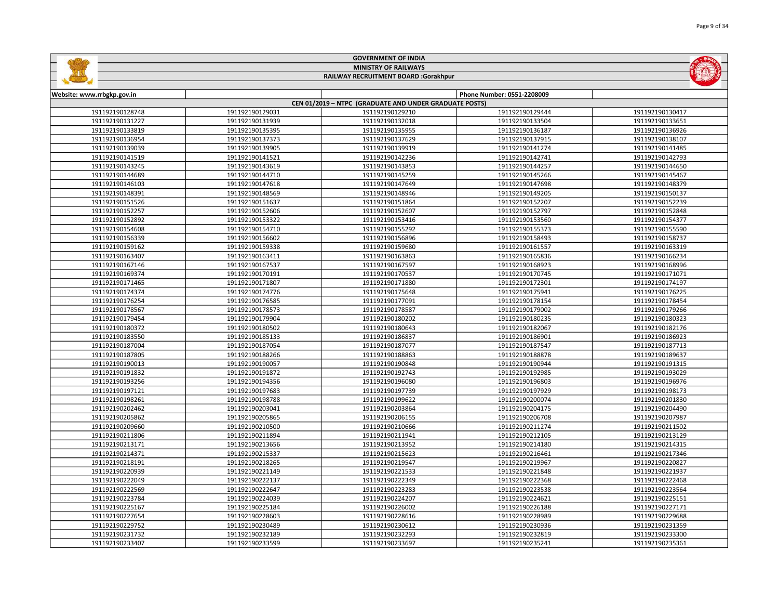|                            |                 | <b>MINISTRY OF RAILWAYS</b>                            |                            |                                    |
|----------------------------|-----------------|--------------------------------------------------------|----------------------------|------------------------------------|
|                            |                 | RAILWAY RECRUITMENT BOARD :Gorakhpur                   |                            |                                    |
|                            |                 |                                                        |                            |                                    |
| Website: www.rrbgkp.gov.in |                 |                                                        | Phone Number: 0551-2208009 |                                    |
|                            |                 | CEN 01/2019 - NTPC (GRADUATE AND UNDER GRADUATE POSTS) |                            |                                    |
| 191192190128748            | 191192190129031 | 191192190129210                                        | 191192190129444            | 191192190130417                    |
| 191192190131227            | 191192190131939 | 191192190132018                                        | 191192190133504            | 191192190133651<br>191192190136926 |
| 191192190133819            | 191192190135395 | 191192190135955                                        | 191192190136187            |                                    |
| 191192190136954            | 191192190137373 | 191192190137629                                        | 191192190137915            | 191192190138107                    |
| 191192190139039            | 191192190139905 | 191192190139919                                        | 191192190141274            | 191192190141485                    |
| 191192190141519            | 191192190141521 | 191192190142236                                        | 191192190142741            | 191192190142793                    |
| 191192190143245            | 191192190143619 | 191192190143853                                        | 191192190144257            | 191192190144650                    |
| 191192190144689            | 191192190144710 | 191192190145259                                        | 191192190145266            | 191192190145467                    |
| 191192190146103            | 191192190147618 | 191192190147649                                        | 191192190147698            | 191192190148379                    |
| 191192190148391            | 191192190148569 | 191192190148946                                        | 191192190149205            | 191192190150137                    |
| 191192190151526            | 191192190151637 | 191192190151864                                        | 191192190152207            | 191192190152239                    |
| 191192190152257            | 191192190152606 | 191192190152607                                        | 191192190152797            | 191192190152848                    |
| 191192190152892            | 191192190153322 | 191192190153416                                        | 191192190153560            | 191192190154377                    |
| 191192190154608            | 191192190154710 | 191192190155292                                        | 191192190155373            | 191192190155590                    |
| 191192190156339            | 191192190156602 | 191192190156896                                        | 191192190158493            | 191192190158737                    |
| 191192190159162            | 191192190159338 | 191192190159680                                        | 191192190161557            | 191192190163319                    |
| 191192190163407            | 191192190163411 | 191192190163863                                        | 191192190165836            | 191192190166234                    |
| 191192190167146            | 191192190167537 | 191192190167597                                        | 191192190168923            | 191192190168996                    |
| 191192190169374            | 191192190170191 | 191192190170537                                        | 191192190170745            | 191192190171071                    |
| 191192190171465            | 191192190171807 | 191192190171880                                        | 191192190172301            | 191192190174197                    |
| 191192190174374            | 191192190174776 | 191192190175648                                        | 191192190175941            | 191192190176225                    |
| 191192190176254            | 191192190176585 | 191192190177091                                        | 191192190178154            | 191192190178454                    |
| 191192190178567            | 191192190178573 | 191192190178587                                        | 191192190179002            | 191192190179266                    |
| 191192190179454            | 191192190179904 | 191192190180202                                        | 191192190180235            | 191192190180323                    |
| 191192190180372            | 191192190180502 | 191192190180643                                        | 191192190182067            | 191192190182176                    |
| 191192190183550            | 191192190185133 | 191192190186837                                        | 191192190186901            | 191192190186923                    |
| 191192190187004            | 191192190187054 | 191192190187077                                        | 191192190187547            | 191192190187713                    |
| 191192190187805            | 191192190188266 | 191192190188863                                        | 191192190188878            | 191192190189637                    |
| 191192190190013            | 191192190190057 | 191192190190848                                        | 191192190190944            | 191192190191315                    |
| 191192190191832            | 191192190191872 | 191192190192743                                        | 191192190192985            | 191192190193029                    |
| 191192190193256            | 191192190194356 | 191192190196080                                        | 191192190196803            | 191192190196976                    |
| 191192190197121            | 191192190197683 | 191192190197739                                        | 191192190197929            | 191192190198173                    |
| 191192190198261            | 191192190198788 | 191192190199622                                        | 191192190200074            | 191192190201830                    |
| 191192190202462            | 191192190203041 | 191192190203864                                        | 191192190204175            | 191192190204490                    |
| 191192190205862            | 191192190205865 | 191192190206155                                        | 191192190206708            | 191192190207987                    |
| 191192190209660            | 191192190210500 | 191192190210666                                        | 191192190211274            | 191192190211502                    |
| 191192190211806            | 191192190211894 | 191192190211941                                        | 191192190212105            | 191192190213129                    |
| 191192190213171            | 191192190213656 | 191192190213952                                        | 191192190214180            | 191192190214315                    |
| 191192190214371            | 191192190215337 | 191192190215623                                        | 191192190216461            | 191192190217346                    |
| 191192190218191            | 191192190218265 | 191192190219547                                        | 191192190219967            | 191192190220827                    |
| 191192190220939            | 191192190221149 | 191192190221533                                        | 191192190221848            | 191192190221937                    |
| 191192190222049            | 191192190222137 | 191192190222349                                        | 191192190222368            | 191192190222468                    |
| 191192190222569            | 191192190222647 | 191192190223283                                        | 191192190223538            | 191192190223564                    |
| 191192190223784            | 191192190224039 | 191192190224207                                        | 191192190224621            | 191192190225151                    |
| 191192190225167            | 191192190225184 | 191192190226002                                        | 191192190226188            | 191192190227171                    |
| 191192190227654            | 191192190228603 | 191192190228616                                        | 191192190228989            | 191192190229688                    |
| 191192190229752            | 191192190230489 | 191192190230612                                        | 191192190230936            | 191192190231359                    |
| 191192190231732            | 191192190232189 | 191192190232293                                        | 191192190232819            | 191192190233300                    |
|                            |                 |                                                        |                            |                                    |

191192190233599 191192190233697 191192190235241 191192190235361

GOVERNMENT OF INDIA

**Safeline**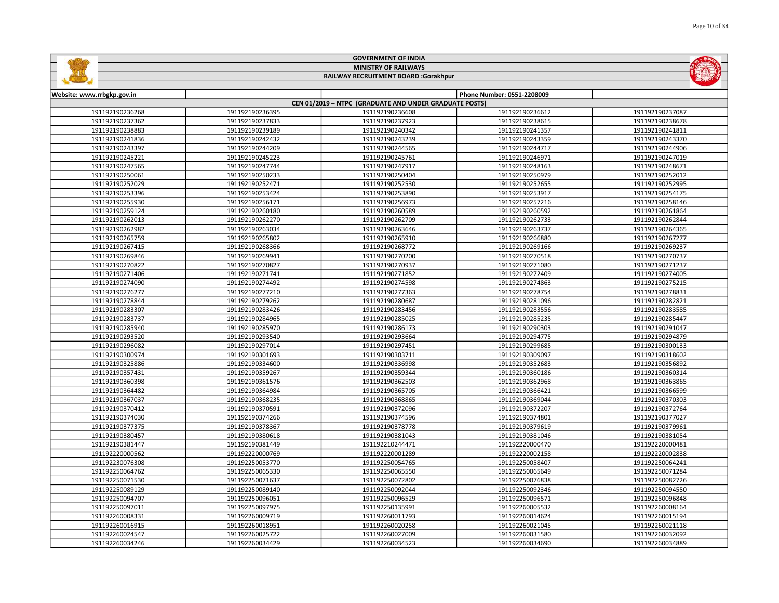|                             |                 | <b>GOVERNMENT OF INDIA</b>                             |                                    |                 |
|-----------------------------|-----------------|--------------------------------------------------------|------------------------------------|-----------------|
| <b>MINISTRY OF RAILWAYS</b> |                 |                                                        |                                    |                 |
|                             |                 | RAILWAY RECRUITMENT BOARD :Gorakhpur                   |                                    |                 |
|                             |                 |                                                        |                                    |                 |
| Website: www.rrbgkp.gov.in  |                 |                                                        | Phone Number: 0551-2208009         |                 |
|                             |                 | CEN 01/2019 - NTPC (GRADUATE AND UNDER GRADUATE POSTS) |                                    |                 |
| 191192190236268             | 191192190236395 | 191192190236608                                        | 191192190236612                    | 191192190237087 |
| 191192190237362             | 191192190237833 | 191192190237923                                        | 191192190238615                    | 191192190238678 |
| 191192190238883             | 191192190239189 | 191192190240342                                        | 191192190241357                    | 191192190241811 |
| 191192190241836             | 191192190242432 | 191192190243239                                        | 191192190243359                    | 191192190243370 |
| 191192190243397             | 191192190244209 | 191192190244565                                        | 191192190244717                    | 191192190244906 |
| 191192190245221             | 191192190245223 | 191192190245761                                        | 191192190246971                    | 191192190247019 |
| 191192190247565             | 191192190247744 | 191192190247917                                        | 191192190248163                    | 191192190248671 |
| 191192190250061             | 191192190250233 | 191192190250404                                        | 191192190250979                    | 191192190252012 |
| 191192190252029             | 191192190252471 | 191192190252530                                        | 191192190252655                    | 191192190252995 |
| 191192190253396             | 191192190253424 | 191192190253890                                        | 191192190253917                    | 191192190254175 |
| 191192190255930             | 191192190256171 | 191192190256973                                        | 191192190257216                    | 191192190258146 |
| 191192190259124             | 191192190260180 | 191192190260589                                        | 191192190260592                    | 191192190261864 |
| 191192190262013             | 191192190262270 | 191192190262709                                        | 191192190262733                    | 191192190262844 |
| 191192190262982             | 191192190263034 | 191192190263646                                        | 191192190263737                    | 191192190264365 |
| 191192190265759             | 191192190265802 | 191192190265910                                        | 191192190266880                    | 191192190267277 |
| 191192190267415             | 191192190268366 | 191192190268772                                        | 191192190269166                    | 191192190269237 |
| 191192190269846             | 191192190269941 | 191192190270200                                        | 191192190270518                    | 191192190270737 |
| 191192190270822             | 191192190270827 | 191192190270937                                        | 191192190271080                    | 191192190271237 |
| 191192190271406             | 191192190271741 | 191192190271852                                        | 191192190272409                    | 191192190274005 |
| 191192190274090             | 191192190274492 | 191192190274598                                        | 191192190274863                    | 191192190275215 |
| 191192190276277             | 191192190277210 | 191192190277363                                        | 191192190278754                    | 191192190278831 |
| 191192190278844             | 191192190279262 | 191192190280687                                        | 191192190281096                    | 191192190282821 |
| 191192190283307             | 191192190283426 | 191192190283456                                        | 191192190283556                    | 191192190283585 |
| 191192190283737             | 191192190284965 | 191192190285025                                        | 191192190285235                    | 191192190285447 |
| 191192190285940             | 191192190285970 | 191192190286173                                        | 191192190290303                    | 191192190291047 |
| 191192190293520             | 191192190293540 | 191192190293664                                        | 191192190294775                    | 191192190294879 |
| 191192190296082             | 191192190297014 | 191192190297451                                        | 191192190299685                    | 191192190300133 |
| 191192190300974             | 191192190301693 | 191192190303711                                        | 191192190309097                    | 191192190318602 |
| 191192190325886             | 191192190334600 | 191192190336998                                        | 191192190352683                    | 191192190356892 |
| 191192190357431             | 191192190359267 | 191192190359344                                        | 191192190360186                    | 191192190360314 |
| 191192190360398             | 191192190361576 | 191192190362503                                        | 191192190362968                    | 191192190363865 |
| 191192190364482             | 191192190364984 | 191192190365705                                        | 191192190366421                    | 191192190366599 |
|                             |                 |                                                        |                                    |                 |
| 191192190367037             | 191192190368235 | 191192190368865                                        | 191192190369044<br>191192190372207 | 191192190370303 |
| 191192190370412             | 191192190370591 | 191192190372096                                        |                                    | 191192190372764 |
| 191192190374030             | 191192190374266 | 191192190374596                                        | 191192190374801                    | 191192190377027 |
| 191192190377375             | 191192190378367 | 191192190378778                                        | 191192190379619                    | 191192190379961 |
| 191192190380457             | 191192190380618 | 191192190381043                                        | 191192190381046                    | 191192190381054 |
| 191192190381447             | 191192190381449 | 191192210244471                                        | 191192220000470                    | 191192220000481 |
| 191192220000562             | 191192220000769 | 191192220001289                                        | 191192220002158                    | 191192220002838 |
| 191192230076308             | 191192250053770 | 191192250054765                                        | 191192250058407                    | 191192250064241 |
| 191192250064762             | 191192250065330 | 191192250065550                                        | 191192250065649                    | 191192250071284 |
| 191192250071530             | 191192250071637 | 191192250072802                                        | 191192250076838                    | 191192250082726 |
| 191192250089129             | 191192250089140 | 191192250092044                                        | 191192250092346                    | 191192250094550 |
| 191192250094707             | 191192250096051 | 191192250096529                                        | 191192250096571                    | 191192250096848 |
| 191192250097011             | 191192250097975 | 191192250135991                                        | 191192260005532                    | 191192260008164 |
| 191192260008331             | 191192260009719 | 191192260011793                                        | 191192260014624                    | 191192260015194 |
| 191192260016915             | 191192260018951 | 191192260020258                                        | 191192260021045                    | 191192260021118 |

 191192260025722 191192260027009 191192260031580 191192260032092 191192260034429 191192260034523 191192260034690 191192260034889

GOVERNMENT OF INDIA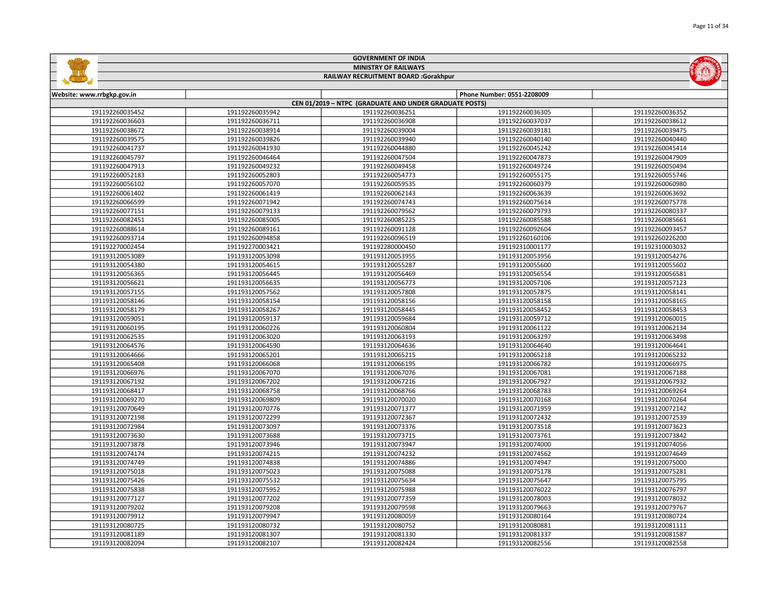|                            |                 | <b>GOVERNMENT OF INDIA</b>                             |                            |                 |
|----------------------------|-----------------|--------------------------------------------------------|----------------------------|-----------------|
|                            |                 | <b>MINISTRY OF RAILWAYS</b>                            |                            |                 |
|                            |                 | RAILWAY RECRUITMENT BOARD :Gorakhpur                   |                            |                 |
|                            |                 |                                                        |                            |                 |
| Website: www.rrbgkp.gov.in |                 |                                                        | Phone Number: 0551-2208009 |                 |
|                            |                 | CEN 01/2019 - NTPC (GRADUATE AND UNDER GRADUATE POSTS) |                            |                 |
| 191192260035452            | 191192260035942 | 191192260036251                                        | 191192260036305            | 191192260036352 |
| 191192260036603            | 191192260036711 | 191192260036908                                        | 191192260037037            | 191192260038612 |
| 191192260038672            | 191192260038914 | 191192260039004                                        | 191192260039181            | 191192260039475 |
| 191192260039575            | 191192260039826 | 191192260039940                                        | 191192260040140            | 191192260040440 |
| 191192260041737            | 191192260041930 | 191192260044880                                        | 191192260045242            | 191192260045414 |
| 191192260045797            | 191192260046464 | 191192260047504                                        | 191192260047873            | 191192260047909 |
| 191192260047913            | 191192260049232 | 191192260049458                                        | 191192260049724            | 191192260050494 |
| 191192260052183            | 191192260052803 | 191192260054773                                        | 191192260055175            | 191192260055746 |
| 191192260056102            | 191192260057070 | 191192260059535                                        | 191192260060379            | 191192260060980 |
| 191192260061402            | 191192260061419 | 191192260062143                                        | 191192260063639            | 191192260063692 |
| 191192260066599            | 191192260071942 | 191192260074743                                        | 191192260075614            | 191192260075778 |
| 191192260077151            | 191192260079133 | 191192260079562                                        | 191192260079793            | 191192260080337 |
| 191192260082451            | 191192260085005 | 191192260085225                                        | 191192260085588            | 191192260085661 |
| 191192260088614            | 191192260089161 | 191192260091128                                        | 191192260092604            | 191192260093457 |
| 191192260093714            | 191192260094858 | 191192260096519                                        | 191192260160106            | 191192260226200 |
| 191192270002454            | 191192270003421 | 191192280000450                                        | 191192310001177            | 191192310003032 |
| 191193120053089            | 191193120053098 | 191193120053955                                        | 191193120053956            | 191193120054276 |
| 191193120054380            | 191193120054615 | 191193120055287                                        | 191193120055600            | 191193120055602 |
| 191193120056365            | 191193120056445 | 191193120056469                                        | 191193120056554            | 191193120056581 |
| 191193120056621            | 191193120056635 | 191193120056773                                        | 191193120057106            | 191193120057123 |
| 191193120057155            | 191193120057562 | 191193120057808                                        | 191193120057875            | 191193120058141 |
| 191193120058146            | 191193120058154 | 191193120058156                                        | 191193120058158            | 191193120058165 |
| 191193120058179            | 191193120058267 | 191193120058445                                        | 191193120058452            | 191193120058453 |
| 191193120059051            | 191193120059137 | 191193120059684                                        | 191193120059712            | 191193120060015 |
| 191193120060195            | 191193120060226 | 191193120060804                                        | 191193120061122            | 191193120062134 |
| 191193120062535            | 191193120063020 | 191193120063193                                        | 191193120063297            | 191193120063498 |
| 191193120064576            | 191193120064590 | 191193120064636                                        | 191193120064640            | 191193120064641 |
| 191193120064666            | 191193120065201 | 191193120065215                                        | 191193120065218            | 191193120065232 |
| 191193120065408            | 191193120066068 | 191193120066195                                        | 191193120066782            | 191193120066975 |
| 191193120066976            | 191193120067070 | 191193120067076                                        | 191193120067081            | 191193120067188 |
| 191193120067192            | 191193120067202 | 191193120067216                                        | 191193120067927            | 191193120067932 |
| 191193120068417            | 191193120068758 | 191193120068766                                        | 191193120068783            | 191193120069264 |
| 191193120069270            | 191193120069809 | 191193120070020                                        | 191193120070168            | 191193120070264 |
| 191193120070649            | 191193120070776 | 191193120071377                                        | 191193120071959            | 191193120072142 |
| 191193120072198            | 191193120072299 | 191193120072367                                        | 191193120072432            | 191193120072539 |
| 191193120072984            | 191193120073097 | 191193120073376                                        | 191193120073518            | 191193120073623 |
| 191193120073630            | 191193120073688 | 191193120073715                                        | 191193120073761            | 191193120073842 |
| 191193120073878            | 191193120073946 | 191193120073947                                        | 191193120074000            | 191193120074056 |
| 191193120074174            | 191193120074215 | 191193120074232                                        | 191193120074562            | 191193120074649 |
| 191193120074749            | 191193120074838 | 191193120074886                                        | 191193120074947            | 191193120075000 |
| 191193120075018            | 191193120075023 | 191193120075088                                        | 191193120075178            | 191193120075281 |
| 191193120075426            | 191193120075532 | 191193120075634                                        | 191193120075647            | 191193120075795 |
| 191193120075838            | 191193120075952 | 191193120075988                                        | 191193120076022            | 191193120076797 |
| 191193120077127            | 191193120077202 | 191193120077359                                        | 191193120078003            | 191193120078032 |
| 191193120079202            | 191193120079208 | 191193120079598                                        | 191193120079663            | 191193120079767 |
| 191193120079912            | 191193120079947 | 191193120080059                                        | 191193120080164            | 191193120080724 |

 191193120080732 191193120080752 191193120080881 191193120081111 191193120081307 191193120081330 191193120081337 191193120081587 191193120082107 191193120082424 191193120082556 191193120082558

 $\overline{\phantom{0}}$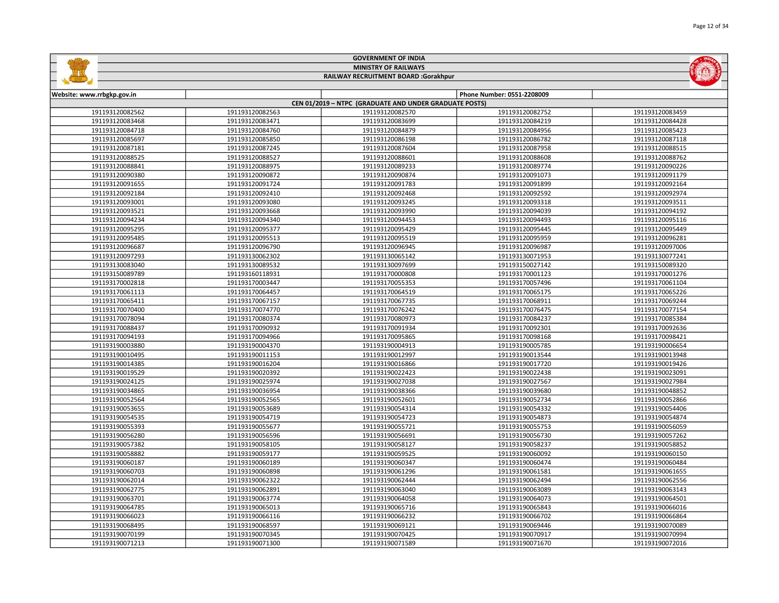|                            |                 | <b>GOVERNMENT OF INDIA</b>                             |                            |                 |
|----------------------------|-----------------|--------------------------------------------------------|----------------------------|-----------------|
|                            |                 | <b>MINISTRY OF RAILWAYS</b>                            |                            |                 |
|                            |                 | RAILWAY RECRUITMENT BOARD :Gorakhpur                   |                            |                 |
|                            |                 |                                                        |                            |                 |
| Website: www.rrbgkp.gov.in |                 |                                                        | Phone Number: 0551-2208009 |                 |
|                            |                 | CEN 01/2019 - NTPC (GRADUATE AND UNDER GRADUATE POSTS) |                            |                 |
| 191193120082562            | 191193120082563 | 191193120082570                                        | 191193120082752            | 191193120083459 |
| 191193120083468            | 191193120083471 | 191193120083699                                        | 191193120084219            | 191193120084428 |
| 191193120084718            | 191193120084760 | 191193120084879                                        | 191193120084956            | 191193120085423 |
| 191193120085697            | 191193120085850 | 191193120086198                                        | 191193120086782            | 191193120087118 |
| 191193120087181            | 191193120087245 | 191193120087604                                        | 191193120087958            | 191193120088515 |
| 191193120088525            | 191193120088527 | 191193120088601                                        | 191193120088608            | 191193120088762 |
| 191193120088841            | 191193120088975 | 191193120089233                                        | 191193120089774            | 191193120090226 |
| 191193120090380            | 191193120090872 | 191193120090874                                        | 191193120091073            | 191193120091179 |
| 191193120091655            | 191193120091724 | 191193120091783                                        | 191193120091899            | 191193120092164 |
| 191193120092184            | 191193120092410 | 191193120092468                                        | 191193120092592            | 191193120092974 |
| 191193120093001            | 191193120093080 | 191193120093245                                        | 191193120093318            | 191193120093511 |
| 191193120093521            | 191193120093668 | 191193120093990                                        | 191193120094039            | 191193120094192 |
| 191193120094234            | 191193120094340 | 191193120094453                                        | 191193120094493            | 191193120095116 |
| 191193120095295            | 191193120095377 | 191193120095429                                        | 191193120095445            | 191193120095449 |
| 191193120095485            | 191193120095513 | 191193120095519                                        | 191193120095959            | 191193120096281 |
| 191193120096687            | 191193120096790 | 191193120096945                                        | 191193120096987            | 191193120097006 |
| 191193120097293            | 191193130062302 | 191193130065142                                        | 191193130071953            | 191193130077241 |
| 191193130083040            | 191193130089532 | 191193130097699                                        | 191193150027142            | 191193150089320 |
| 191193150089789            | 191193160118931 | 191193170000808                                        | 191193170001123            | 191193170001276 |
| 191193170002818            | 191193170003447 | 191193170055353                                        | 191193170057496            | 191193170061104 |
| 191193170061113            | 191193170064457 | 191193170064519                                        | 191193170065175            | 191193170065226 |
| 191193170065411            | 191193170067157 | 191193170067735                                        | 191193170068911            | 191193170069244 |
| 191193170070400            | 191193170074770 | 191193170076242                                        | 191193170076475            | 191193170077154 |
| 191193170078094            | 191193170080374 | 191193170080973                                        | 191193170084237            | 191193170085384 |
| 191193170088437            | 191193170090932 | 191193170091934                                        | 191193170092301            | 191193170092636 |
| 191193170094193            | 191193170094966 | 191193170095865                                        | 191193170098168            | 191193170098421 |
| 191193190003880            | 191193190004370 | 191193190004913                                        | 191193190005785            | 191193190006654 |
| 191193190010495            | 191193190011153 | 191193190012997                                        | 191193190013544            | 191193190013948 |
| 191193190014385            | 191193190016204 | 191193190016866                                        | 191193190017720            | 191193190019426 |
| 191193190019529            | 191193190020392 | 191193190022423                                        | 191193190022438            | 191193190023091 |
| 191193190024125            | 191193190025974 | 191193190027038                                        | 191193190027567            | 191193190027984 |
| 191193190034865            | 191193190036954 | 191193190038366                                        | 191193190039680            | 191193190048852 |
| 191193190052564            | 191193190052565 | 191193190052601                                        | 191193190052734            | 191193190052866 |
| 191193190053655            | 191193190053689 | 191193190054314                                        | 191193190054332            | 191193190054406 |
| 191193190054535            | 191193190054719 | 191193190054723                                        | 191193190054873            | 191193190054874 |
| 191193190055393            | 191193190055677 | 191193190055721                                        | 191193190055753            | 191193190056059 |
| 191193190056280            | 191193190056596 | 191193190056691                                        | 191193190056730            | 191193190057262 |
| 191193190057382            | 191193190058105 | 191193190058127                                        | 191193190058237            | 191193190058852 |
| 191193190058882            | 191193190059177 | 191193190059525                                        | 191193190060092            | 191193190060150 |
| 191193190060187            | 191193190060189 | 191193190060347                                        | 191193190060474            | 191193190060484 |
| 191193190060703            | 191193190060898 | 191193190061296                                        | 191193190061581            | 191193190061655 |
| 191193190062014            | 191193190062322 | 191193190062444                                        | 191193190062494            | 191193190062556 |
| 191193190062775            | 191193190062891 | 191193190063040                                        | 191193190063089            | 191193190063143 |
| 191193190063701            | 191193190063774 | 191193190064058                                        | 191193190064073            | 191193190064501 |
| 191193190064785            | 191193190065013 | 191193190065716                                        | 191193190065843            | 191193190066016 |

 191193190066116 191193190066232 191193190066702 191193190066864 191193190068597 191193190069121 191193190069446 191193190070089 191193190070345 191193190070425 191193190070917 191193190070994 191193190071300 191193190071589 191193190071670 191193190072016

 $G = 0$ 

Page 12 of 34

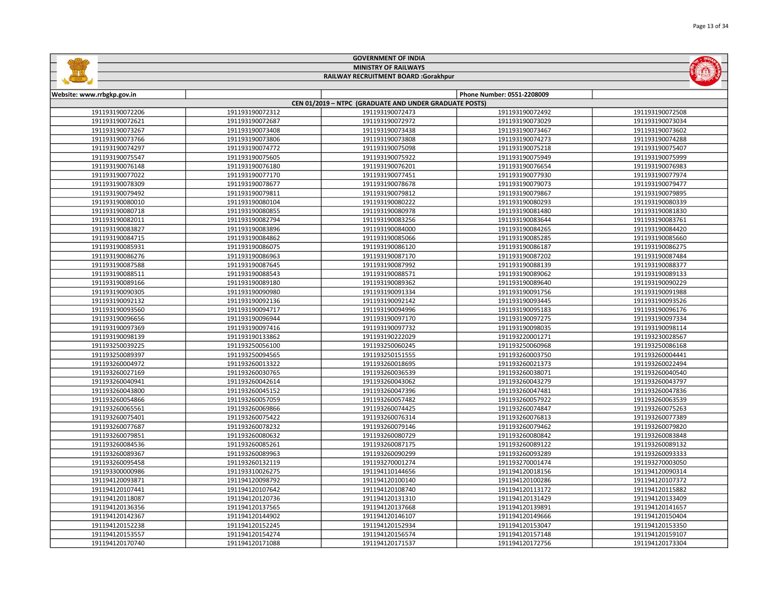|                                      |                 | <b>GOVERNMENT OF INDIA</b>                             |                            |                 |  |
|--------------------------------------|-----------------|--------------------------------------------------------|----------------------------|-----------------|--|
|                                      |                 | <b>MINISTRY OF RAILWAYS</b>                            |                            |                 |  |
| RAILWAY RECRUITMENT BOARD :Gorakhpur |                 |                                                        |                            |                 |  |
| Website: www.rrbgkp.gov.in           |                 |                                                        | Phone Number: 0551-2208009 |                 |  |
|                                      |                 | CEN 01/2019 - NTPC (GRADUATE AND UNDER GRADUATE POSTS) |                            |                 |  |
| 191193190072206                      | 191193190072312 | 191193190072473                                        | 191193190072492            | 191193190072508 |  |
| 191193190072621                      | 191193190072687 | 191193190072972                                        | 191193190073029            | 191193190073034 |  |
| 191193190073267                      | 191193190073408 | 191193190073438                                        | 191193190073467            | 191193190073602 |  |
| 191193190073766                      | 191193190073806 | 191193190073808                                        | 191193190074273            | 191193190074288 |  |
| 191193190074297                      | 191193190074772 | 191193190075098                                        | 191193190075218            | 191193190075407 |  |
| 191193190075547                      | 191193190075605 | 191193190075922                                        | 191193190075949            | 191193190075999 |  |
| 191193190076148                      | 191193190076180 | 191193190076201                                        | 191193190076654            | 191193190076983 |  |
| 191193190077022                      | 191193190077170 | 191193190077451                                        | 191193190077930            | 191193190077974 |  |
| 191193190078309                      | 191193190078677 | 191193190078678                                        | 191193190079073            | 191193190079477 |  |
| 191193190079492                      | 191193190079811 | 191193190079812                                        | 191193190079867            | 191193190079895 |  |
| 191193190080010                      | 191193190080104 | 191193190080222                                        | 191193190080293            | 191193190080339 |  |
| 191193190080718                      | 191193190080855 | 191193190080978                                        | 191193190081480            | 191193190081830 |  |
| 191193190082011                      | 191193190082794 | 191193190083256                                        | 191193190083644            | 191193190083761 |  |
| 191193190083827                      | 191193190083896 | 191193190084000                                        | 191193190084265            | 191193190084420 |  |
| 191193190084715                      | 191193190084862 | 191193190085066                                        | 191193190085285            | 191193190085660 |  |
| 191193190085931                      | 191193190086075 | 191193190086120                                        | 191193190086187            | 191193190086275 |  |
| 191193190086276                      | 191193190086963 | 191193190087170                                        | 191193190087202            | 191193190087484 |  |
| 191193190087588                      | 191193190087645 | 191193190087992                                        | 191193190088139            | 191193190088377 |  |
| 191193190088511                      | 191193190088543 | 191193190088571                                        | 191193190089062            | 191193190089133 |  |
| 191193190089166                      | 191193190089180 | 191193190089362                                        | 191193190089640            | 191193190090229 |  |
| 191193190090305                      | 191193190090980 | 191193190091334                                        | 191193190091756            | 191193190091988 |  |
| 191193190092132                      | 191193190092136 | 191193190092142                                        | 191193190093445            | 191193190093526 |  |
| 191193190093560                      | 191193190094717 | 191193190094996                                        | 191193190095183            | 191193190096176 |  |
| 191193190096656                      | 191193190096944 | 191193190097170                                        | 191193190097275            | 191193190097334 |  |
| 191193190097369                      | 191193190097416 | 191193190097732                                        | 191193190098035            | 191193190098114 |  |
| 191193190098139                      | 191193190133862 | 191193190222029                                        | 191193220001271            | 191193230028567 |  |
| 191193250039225                      | 191193250056100 | 191193250060245                                        | 191193250060968            | 191193250086168 |  |
| 191193250089397                      | 191193250094565 | 191193250151555                                        | 191193260003750            | 191193260004441 |  |
| 191193260004972                      | 191193260013322 | 191193260018695                                        | 191193260021373            | 191193260022494 |  |
| 191193260027169                      | 191193260030765 | 191193260036539                                        | 191193260038071            | 191193260040540 |  |
| 191193260040941                      | 191193260042614 | 191193260043062                                        | 191193260043279            | 191193260043797 |  |
| 191193260043800                      | 191193260045152 | 191193260047396                                        | 191193260047481            | 191193260047836 |  |
| 191193260054866                      | 191193260057059 | 191193260057482                                        | 191193260057922            | 191193260063539 |  |
| 191193260065561                      | 191193260069866 | 191193260074425                                        | 191193260074847            | 191193260075263 |  |
| 191193260075401                      | 191193260075422 | 191193260076314                                        | 191193260076813            | 191193260077389 |  |
| 191193260077687                      | 191193260078232 | 191193260079146                                        | 191193260079462            | 191193260079820 |  |
| 191193260079851                      | 191193260080632 | 191193260080729                                        | 191193260080842            | 191193260083848 |  |

| 191193260054866 | 191193260057059 | 191193260057482 | 191193260057922 | 191193260063539 |
|-----------------|-----------------|-----------------|-----------------|-----------------|
| 191193260065561 | 191193260069866 | 191193260074425 | 191193260074847 | 191193260075263 |
| 191193260075401 | 191193260075422 | 191193260076314 | 191193260076813 | 191193260077389 |
| 191193260077687 | 191193260078232 | 191193260079146 | 191193260079462 | 191193260079820 |
| 191193260079851 | 191193260080632 | 191193260080729 | 191193260080842 | 191193260083848 |
| 191193260084536 | 191193260085261 | 191193260087175 | 191193260089122 | 191193260089132 |
| 191193260089367 | 191193260089963 | 191193260090299 | 191193260093289 | 191193260093333 |
| 191193260095458 | 191193260132119 | 191193270001274 | 191193270001474 | 191193270003050 |
| 191193300000986 | 191193310026275 | 191194110144656 | 191194120018156 | 191194120090314 |
| 191194120093871 | 191194120098792 | 191194120100140 | 191194120100286 | 191194120107372 |
| 191194120107441 | 191194120107642 | 191194120108740 | 191194120113172 | 191194120115882 |
| 191194120118087 | 191194120120736 | 191194120131310 | 191194120131429 | 191194120133409 |
| 191194120136356 | 191194120137565 | 191194120137668 | 191194120139891 | 191194120141657 |
| 191194120142367 | 191194120144902 | 191194120146107 | 191194120149666 | 191194120150404 |
| 191194120152238 | 191194120152245 | 191194120152934 | 191194120153047 | 191194120153350 |
| 191194120153557 | 191194120154274 | 191194120156574 | 191194120157148 | 191194120159107 |
| 191194120170740 | 191194120171088 | 191194120171537 | 191194120172756 | 191194120173304 |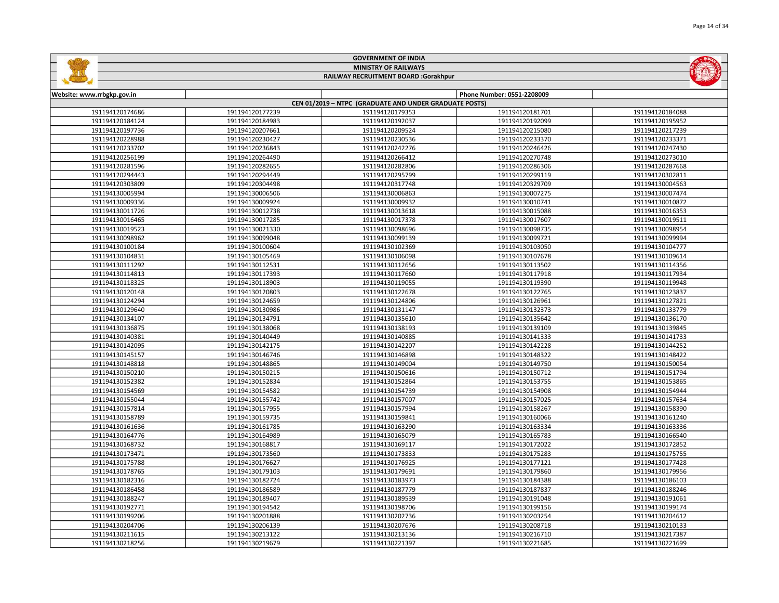|                            |                 | <b>GOVERNMENT OF INDIA</b>                             |                            |                 |
|----------------------------|-----------------|--------------------------------------------------------|----------------------------|-----------------|
|                            |                 | <b>MINISTRY OF RAILWAYS</b>                            |                            |                 |
|                            |                 | RAILWAY RECRUITMENT BOARD :Gorakhpur                   |                            |                 |
|                            |                 |                                                        |                            |                 |
| Website: www.rrbgkp.gov.in |                 |                                                        | Phone Number: 0551-2208009 |                 |
|                            |                 | CEN 01/2019 - NTPC (GRADUATE AND UNDER GRADUATE POSTS) |                            |                 |
| 191194120174686            | 191194120177239 | 191194120179353                                        | 191194120181701            | 191194120184088 |
| 191194120184124            | 191194120184983 | 191194120192037                                        | 191194120192099            | 191194120195952 |
| 191194120197736            | 191194120207661 | 191194120209524                                        | 191194120215080            | 191194120217239 |
| 191194120228988            | 191194120230427 | 191194120230536                                        | 191194120233370            | 191194120233371 |
| 191194120233702            | 191194120236843 | 191194120242276                                        | 191194120246426            | 191194120247430 |
| 191194120256199            | 191194120264490 | 191194120266412                                        | 191194120270748            | 191194120273010 |
| 191194120281596            | 191194120282655 | 191194120282806                                        | 191194120286306            | 191194120287668 |
| 191194120294443            | 191194120294449 | 191194120295799                                        | 191194120299119            | 191194120302811 |
| 191194120303809            | 191194120304498 | 191194120317748                                        | 191194120329709            | 191194130004563 |
| 191194130005994            | 191194130006506 | 191194130006863                                        | 191194130007275            | 191194130007474 |
| 191194130009336            | 191194130009924 | 191194130009932                                        | 191194130010741            | 191194130010872 |
| 191194130011726            | 191194130012738 | 191194130013618                                        | 191194130015088            | 191194130016353 |
| 191194130016465            | 191194130017285 | 191194130017378                                        | 191194130017607            | 191194130019511 |
| 191194130019523            | 191194130021330 | 191194130098696                                        | 191194130098735            | 191194130098954 |
| 191194130098962            | 191194130099048 | 191194130099139                                        | 191194130099721            | 191194130099994 |
| 191194130100184            | 191194130100604 | 191194130102369                                        | 191194130103050            | 191194130104777 |
| 191194130104831            | 191194130105469 | 191194130106098                                        | 191194130107678            | 191194130109614 |
| 191194130111292            | 191194130112531 | 191194130112656                                        | 191194130113502            | 191194130114356 |
| 191194130114813            | 191194130117393 | 191194130117660                                        | 191194130117918            | 191194130117934 |
| 191194130118325            | 191194130118903 | 191194130119055                                        | 191194130119390            | 191194130119948 |
| 191194130120148            | 191194130120803 | 191194130122678                                        | 191194130122765            | 191194130123837 |
| 191194130124294            | 191194130124659 | 191194130124806                                        | 191194130126961            | 191194130127821 |
| 191194130129640            | 191194130130986 | 191194130131147                                        | 191194130132373            | 191194130133779 |
| 191194130134107            | 191194130134791 | 191194130135610                                        | 191194130135642            | 191194130136170 |
| 191194130136875            | 191194130138068 | 191194130138193                                        | 191194130139109            | 191194130139845 |
| 191194130140381            | 191194130140449 | 191194130140885                                        | 191194130141333            | 191194130141733 |
| 191194130142095            | 191194130142175 | 191194130142207                                        | 191194130142228            | 191194130144252 |
| 191194130145157            | 191194130146746 | 191194130146898                                        | 191194130148322            | 191194130148422 |
| 191194130148818            | 191194130148865 | 191194130149004                                        | 191194130149750            | 191194130150054 |
| 191194130150210            | 191194130150215 | 191194130150616                                        | 191194130150712            | 191194130151794 |
| 191194130152382            | 191194130152834 | 191194130152864                                        | 191194130153755            | 191194130153865 |
| 191194130154569            | 191194130154582 | 191194130154739                                        | 191194130154908            | 191194130154944 |
| 191194130155044            | 191194130155742 | 191194130157007                                        | 191194130157025            | 191194130157634 |
| 191194130157814            | 191194130157955 | 191194130157994                                        | 191194130158267            | 191194130158390 |
| 191194130158789            | 191194130159735 | 191194130159841                                        | 191194130160066            | 191194130161240 |
| 191194130161636            | 191194130161785 | 191194130163290                                        | 191194130163334            | 191194130163336 |
| 191194130164776            | 191194130164989 | 191194130165079                                        | 191194130165783            | 191194130166540 |
| 191194130168732            | 191194130168817 | 191194130169117                                        | 191194130172022            | 191194130172852 |
| 191194130173471            | 191194130173560 | 191194130173833                                        | 191194130175283            | 191194130175755 |
| 191194130175788            | 191194130176627 | 191194130176925                                        | 191194130177121            | 191194130177428 |
| 191194130178765            | 191194130179103 | 191194130179691                                        | 191194130179860            | 191194130179956 |
| 191194130182316            | 191194130182724 | 191194130183973                                        | 191194130184388            | 191194130186103 |
| 191194130186458            | 191194130186589 | 191194130187779                                        | 191194130187837            | 191194130188246 |
| 191194130188247            | 191194130189407 | 191194130189539                                        | 191194130191048            | 191194130191061 |
| 191194130192771            | 191194130194542 | 191194130198706                                        | 191194130199156            | 191194130199174 |
| 191194130199206            | 191194130201888 | 191194130202736                                        | 191194130203254            | 191194130204612 |
| 191194130204706            | 191194130206139 | 191194130207676                                        | 191194130208718            | 191194130210133 |
|                            |                 |                                                        |                            |                 |

L,

 191194130213122 191194130213136 191194130216710 191194130217387 191194130219679 191194130221397 191194130221685 191194130221699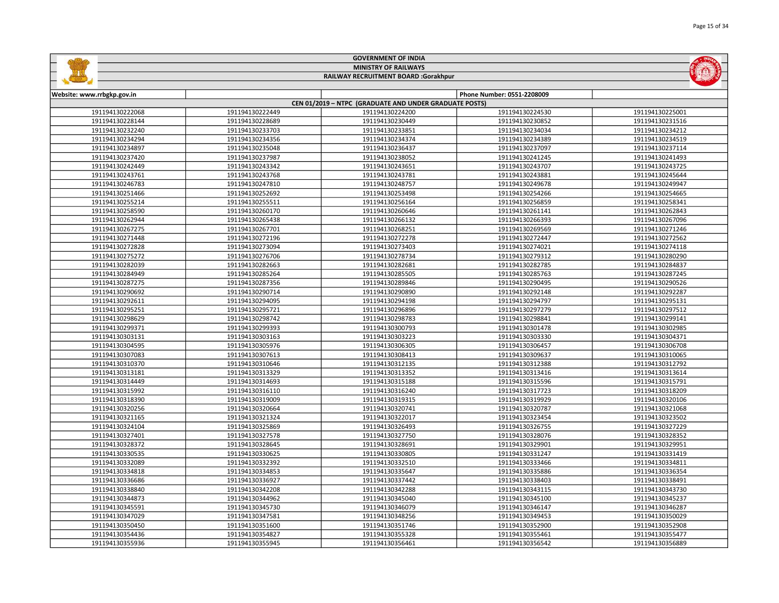|                            |                 | <b>MINISTRY OF RAILWAYS</b>                            |                            |                 |
|----------------------------|-----------------|--------------------------------------------------------|----------------------------|-----------------|
|                            |                 | RAILWAY RECRUITMENT BOARD :Gorakhpur                   |                            |                 |
| Website: www.rrbgkp.gov.in |                 |                                                        | Phone Number: 0551-2208009 |                 |
|                            |                 | CEN 01/2019 - NTPC (GRADUATE AND UNDER GRADUATE POSTS) |                            |                 |
| 191194130222068            | 191194130222449 | 191194130224200                                        | 191194130224530            | 191194130225001 |
| 191194130228144            | 191194130228689 | 191194130230449                                        | 191194130230852            | 191194130231516 |
| 191194130232240            | 191194130233703 | 191194130233851                                        | 191194130234034            | 191194130234212 |
| 191194130234294            | 191194130234356 | 191194130234374                                        | 191194130234389            | 191194130234519 |
| 191194130234897            | 191194130235048 | 191194130236437                                        | 191194130237097            | 191194130237114 |
| 191194130237420            | 191194130237987 | 191194130238052                                        | 191194130241245            | 191194130241493 |
| 191194130242449            | 191194130243342 | 191194130243651                                        | 191194130243707            | 191194130243725 |
| 191194130243761            | 191194130243768 | 191194130243781                                        | 191194130243881            | 191194130245644 |
| 191194130246783            | 191194130247810 | 191194130248757                                        | 191194130249678            | 191194130249947 |
| 191194130251466            | 191194130252692 | 191194130253498                                        | 191194130254266            | 191194130254665 |
| 191194130255214            | 191194130255511 | 191194130256164                                        | 191194130256859            | 191194130258341 |
| 191194130258590            | 191194130260170 | 191194130260646                                        | 191194130261141            | 191194130262843 |
| 191194130262944            | 191194130265438 | 191194130266132                                        | 191194130266393            | 191194130267096 |
| 191194130267275            | 191194130267701 | 191194130268251                                        | 191194130269569            | 191194130271246 |
| 191194130271448            | 191194130272196 | 191194130272278                                        | 191194130272447            | 191194130272562 |
| 191194130272828            | 191194130273094 | 191194130273403                                        | 191194130274021            | 191194130274118 |
| 191194130275272            | 191194130276706 | 191194130278734                                        | 191194130279312            | 191194130280290 |
| 191194130282039            | 191194130282663 | 191194130282681                                        | 191194130282785            | 191194130284837 |
| 191194130284949            | 191194130285264 | 191194130285505                                        | 191194130285763            | 191194130287245 |
| 191194130287275            | 191194130287356 | 191194130289846                                        | 191194130290495            | 191194130290526 |
| 191194130290692            | 191194130290714 | 191194130290890                                        | 191194130292148            | 191194130292287 |
| 191194130292611            | 191194130294095 | 191194130294198                                        | 191194130294797            | 191194130295131 |
| 191194130295251            | 191194130295721 | 191194130296896                                        | 191194130297279            | 191194130297512 |
| 191194130298629            | 191194130298742 | 191194130298783                                        | 191194130298841            | 191194130299141 |
| 191194130299371            | 191194130299393 | 191194130300793                                        | 191194130301478            | 191194130302985 |
| 191194130303131            | 191194130303163 | 191194130303223                                        | 191194130303330            | 191194130304371 |
| 191194130304595            | 191194130305976 | 191194130306305                                        | 191194130306457            | 191194130306708 |
| 191194130307083            | 191194130307613 | 191194130308413                                        | 191194130309637            | 191194130310065 |
| 191194130310370            | 191194130310646 | 191194130312135                                        | 191194130312388            | 191194130312792 |
| 191194130313181            | 191194130313329 | 191194130313352                                        | 191194130313416            | 191194130313614 |
| 191194130314449            | 191194130314693 | 191194130315188                                        | 191194130315596            | 191194130315791 |
| 191194130315992            | 191194130316110 | 191194130316240                                        | 191194130317723            | 191194130318209 |
| 191194130318390            | 191194130319009 | 191194130319315                                        | 191194130319929            | 191194130320106 |
| 191194130320256            | 191194130320664 | 191194130320741                                        | 191194130320787            | 191194130321068 |
| 191194130321165            | 191194130321324 | 191194130322017                                        | 191194130323454            | 191194130323502 |
| 191194130324104            | 191194130325869 | 191194130326493                                        | 191194130326755            | 191194130327229 |
| 191194130327401            | 191194130327578 | 191194130327750                                        | 191194130328076            | 191194130328352 |
| 191194130328372            | 191194130328645 | 191194130328691                                        | 191194130329901            | 191194130329951 |
| 191194130330535            | 191194130330625 | 191194130330805                                        | 191194130331247            | 191194130331419 |
| 191194130332089            | 191194130332392 | 191194130332510                                        | 191194130333466            | 191194130334811 |
| 191194130334818            | 191194130334853 | 191194130335647                                        | 191194130335886            | 191194130336354 |
| 191194130336686            | 191194130336927 | 191194130337442                                        | 191194130338403            | 191194130338491 |
| 191194130338840            | 191194130342208 | 191194130342288                                        | 191194130343115            | 191194130343730 |
| 191194130344873            | 191194130344962 | 191194130345040                                        | 191194130345100            | 191194130345237 |
| 191194130345591            | 191194130345730 | 191194130346079                                        | 191194130346147            | 191194130346287 |
| 191194130347029            | 191194130347581 | 191194130348256                                        | 191194130349453            | 191194130350029 |
| 191194130350450            | 191194130351600 | 191194130351746                                        | 191194130352900            | 191194130352908 |
| 191194130354436            | 191194130354827 | 191194130355328                                        | 191194130355461            | 191194130355477 |

191194130355945 191194130356461 191194130356542 191194130356889

GOVERNMENT OF INDIA

**Sallidge** 

**MOMENT**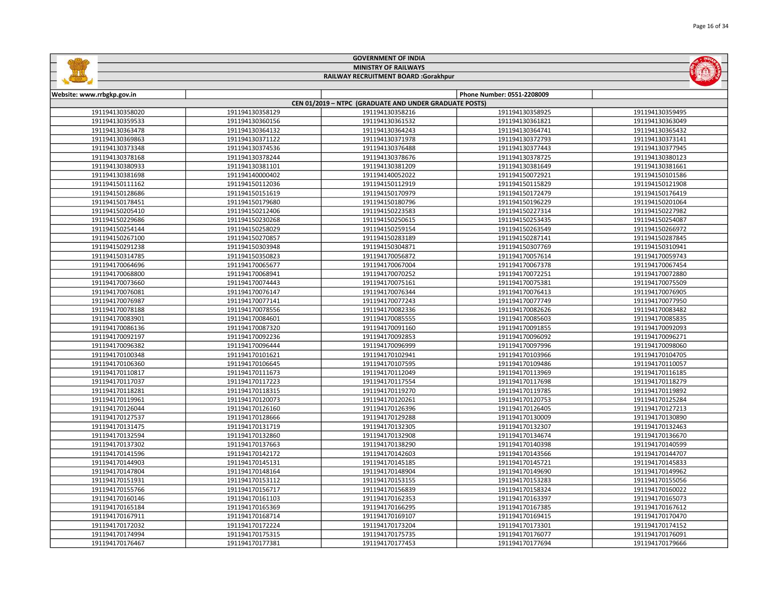|                            |                 |                                                        |                            | Page 16 of 34   |
|----------------------------|-----------------|--------------------------------------------------------|----------------------------|-----------------|
|                            |                 |                                                        |                            |                 |
|                            |                 | <b>GOVERNMENT OF INDIA</b>                             |                            |                 |
|                            |                 | <b>MINISTRY OF RAILWAYS</b>                            |                            |                 |
|                            |                 | RAILWAY RECRUITMENT BOARD :Gorakhpur                   |                            |                 |
|                            |                 |                                                        |                            |                 |
| Website: www.rrbgkp.gov.in |                 |                                                        | Phone Number: 0551-2208009 |                 |
|                            |                 | CEN 01/2019 - NTPC (GRADUATE AND UNDER GRADUATE POSTS) |                            |                 |
| 191194130358020            | 191194130358129 | 191194130358216                                        | 191194130358925            | 191194130359495 |
| 191194130359533            | 191194130360156 | 191194130361532                                        | 191194130361821            | 191194130363049 |
| 191194130363478            | 191194130364132 | 191194130364243                                        | 191194130364741            | 191194130365432 |
| 191194130369863            | 191194130371122 | 191194130371978                                        | 191194130372793            | 191194130373141 |
| 191194130373348            | 191194130374536 | 191194130376488                                        | 191194130377443            | 191194130377945 |
| 191194130378168            | 191194130378244 | 191194130378676                                        | 191194130378725            | 191194130380123 |
| 191194130380933            | 191194130381101 | 191194130381209                                        | 191194130381649            | 191194130381661 |
| 191194130381698            | 191194140000402 | 191194140052022                                        | 191194150072921            | 191194150101586 |
| 191194150111162            | 191194150112036 | 191194150112919                                        | 191194150115829            | 191194150121908 |
| 191194150128686            | 191194150151619 | 191194150170979                                        | 191194150172479            | 191194150176419 |
| 191194150178451            | 191194150179680 | 191194150180796                                        | 191194150196229            | 191194150201064 |
| 191194150205410            | 191194150212406 | 191194150223583                                        | 191194150227314            | 191194150227982 |
| 191194150229686            | 191194150230268 | 191194150250615                                        | 191194150253435            | 191194150254087 |
| 191194150254144            | 191194150258029 | 191194150259154                                        | 191194150263549            | 191194150266972 |
| 191194150267100            | 191194150270857 | 191194150283189                                        | 191194150287141            | 191194150287845 |

| 191194130378168 | 191194130378244 | 191194130378676 | 191194130378725 | 191194130380123 |
|-----------------|-----------------|-----------------|-----------------|-----------------|
| 191194130380933 | 191194130381101 | 191194130381209 | 191194130381649 | 191194130381661 |
| 191194130381698 | 191194140000402 | 191194140052022 | 191194150072921 | 191194150101586 |
| 191194150111162 | 191194150112036 | 191194150112919 | 191194150115829 | 191194150121908 |
| 191194150128686 | 191194150151619 | 191194150170979 | 191194150172479 | 191194150176419 |
| 191194150178451 | 191194150179680 | 191194150180796 | 191194150196229 | 191194150201064 |
| 191194150205410 | 191194150212406 | 191194150223583 | 191194150227314 | 191194150227982 |
| 191194150229686 | 191194150230268 | 191194150250615 | 191194150253435 | 191194150254087 |
| 191194150254144 | 191194150258029 | 191194150259154 | 191194150263549 | 191194150266972 |
| 191194150267100 | 191194150270857 | 191194150283189 | 191194150287141 | 191194150287845 |
| 191194150291238 | 191194150303948 | 191194150304871 | 191194150307769 | 191194150310941 |
| 191194150314785 | 191194150350823 | 191194170056872 | 191194170057614 | 191194170059743 |
| 191194170064696 | 191194170065677 | 191194170067004 | 191194170067378 | 191194170067454 |
| 191194170068800 | 191194170068941 | 191194170070252 | 191194170072251 | 191194170072880 |
| 191194170073660 | 191194170074443 | 191194170075161 | 191194170075381 | 191194170075509 |
| 191194170076081 | 191194170076147 | 191194170076344 | 191194170076413 | 191194170076905 |
| 191194170076987 | 191194170077141 | 191194170077243 | 191194170077749 | 191194170077950 |
| 191194170078188 | 191194170078556 | 191194170082336 | 191194170082626 | 191194170083482 |
| 191194170083901 | 191194170084601 | 191194170085555 | 191194170085603 | 191194170085835 |
| 191194170086136 | 191194170087320 | 191194170091160 | 191194170091855 | 191194170092093 |
| 191194170092197 | 191194170092236 | 191194170092853 | 191194170096092 | 191194170096271 |
| 191194170096382 | 191194170096444 | 191194170096999 | 191194170097996 | 191194170098060 |
| 191194170100348 | 191194170101621 | 191194170102941 | 191194170103966 | 191194170104705 |
| 191194170106360 | 191194170106645 | 191194170107595 | 191194170109486 | 191194170110057 |
| 191194170110817 | 191194170111673 | 191194170112049 | 191194170113969 | 191194170116185 |
| 191194170117037 | 191194170117223 | 191194170117554 | 191194170117698 | 191194170118279 |
| 191194170118281 | 191194170118315 | 191194170119270 | 191194170119785 | 191194170119892 |
| 191194170119961 | 191194170120073 | 191194170120261 | 191194170120753 | 191194170125284 |
| 191194170126044 | 191194170126160 | 191194170126396 | 191194170126405 | 191194170127213 |
| 191194170127537 | 191194170128666 | 191194170129288 | 191194170130009 | 191194170130890 |
| 191194170131475 | 191194170131719 | 191194170132305 | 191194170132307 | 191194170132463 |
| 191194170132594 | 191194170132860 | 191194170132908 | 191194170134674 | 191194170136670 |
| 191194170137302 | 191194170137663 | 191194170138290 | 191194170140398 | 191194170140599 |
| 191194170141596 | 191194170142172 | 191194170142603 | 191194170143566 | 191194170144707 |
| 191194170144903 | 191194170145131 | 191194170145185 | 191194170145721 | 191194170145833 |
| 191194170147804 | 191194170148164 | 191194170148904 | 191194170149690 | 191194170149962 |
| 191194170151931 | 191194170153112 | 191194170153155 | 191194170153283 | 191194170155056 |
| 191194170155766 | 191194170156717 | 191194170156839 | 191194170158324 | 191194170160022 |
| 191194170160146 | 191194170161103 | 191194170162353 | 191194170163397 | 191194170165073 |
| 191194170165184 | 191194170165369 | 191194170166295 | 191194170167385 | 191194170167612 |
| 191194170167911 | 191194170168714 | 191194170169107 | 191194170169415 | 191194170170470 |
| 191194170172032 | 191194170172224 | 191194170173204 | 191194170173301 | 191194170174152 |
| 191194170174994 | 191194170175315 | 191194170175735 | 191194170176077 | 191194170176091 |
| 191194170176467 | 191194170177381 | 191194170177453 | 191194170177694 | 191194170179666 |
|                 |                 |                 |                 |                 |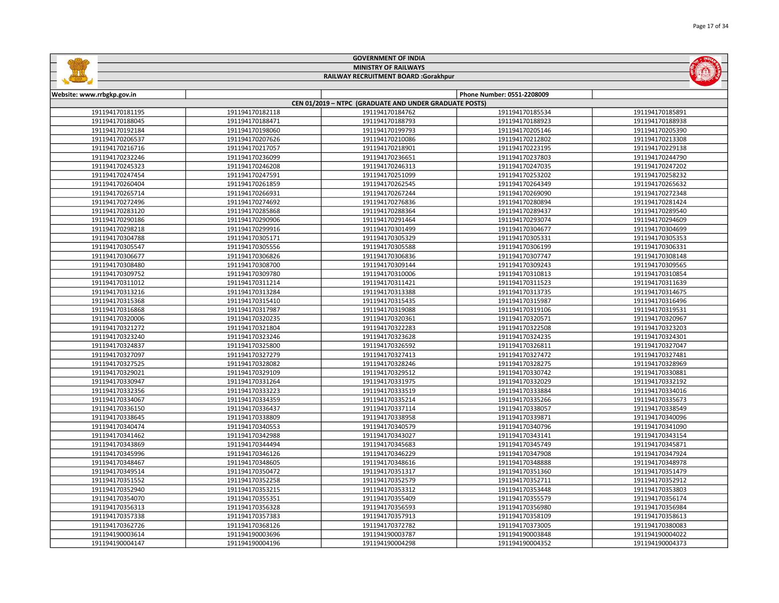|                            |                 | <b>GOVERNMENT OF INDIA</b>                             |                            |                 |
|----------------------------|-----------------|--------------------------------------------------------|----------------------------|-----------------|
|                            |                 | <b>MINISTRY OF RAILWAYS</b>                            |                            |                 |
|                            |                 | RAILWAY RECRUITMENT BOARD :Gorakhpur                   |                            |                 |
|                            |                 |                                                        |                            |                 |
| Website: www.rrbgkp.gov.in |                 |                                                        | Phone Number: 0551-2208009 |                 |
|                            |                 | CEN 01/2019 - NTPC (GRADUATE AND UNDER GRADUATE POSTS) |                            |                 |
| 191194170181195            | 191194170182118 | 191194170184762                                        | 191194170185534            | 191194170185891 |
| 191194170188045            | 191194170188471 | 191194170188793                                        | 191194170188923            | 191194170188938 |
| 191194170192184            | 191194170198060 | 191194170199793                                        | 191194170205146            | 191194170205390 |
| 191194170206537            | 191194170207626 | 191194170210086                                        | 191194170212802            | 191194170213308 |
| 191194170216716            | 191194170217057 | 191194170218901                                        | 191194170223195            | 191194170229138 |
| 191194170232246            | 191194170236099 | 191194170236651                                        | 191194170237803            | 191194170244790 |
| 191194170245323            | 191194170246208 | 191194170246313                                        | 191194170247035            | 191194170247202 |
| 191194170247454            | 191194170247591 | 191194170251099                                        | 191194170253202            | 191194170258232 |
| 191194170260404            | 191194170261859 | 191194170262545                                        | 191194170264349            | 191194170265632 |
| 191194170265714            | 191194170266931 | 191194170267244                                        | 191194170269090            | 191194170272348 |
| 191194170272496            | 191194170274692 | 191194170276836                                        | 191194170280894            | 191194170281424 |
| 191194170283120            | 191194170285868 | 191194170288364                                        | 191194170289437            | 191194170289540 |
| 191194170290186            | 191194170290906 | 191194170291464                                        | 191194170293074            | 191194170294609 |
| 191194170298218            | 191194170299916 | 191194170301499                                        | 191194170304677            | 191194170304699 |
| 191194170304788            | 191194170305171 | 191194170305329                                        | 191194170305331            | 191194170305353 |
| 191194170305547            | 191194170305556 | 191194170305588                                        | 191194170306199            | 191194170306331 |
| 191194170306677            | 191194170306826 | 191194170306836                                        | 191194170307747            | 191194170308148 |
| 191194170308480            | 191194170308700 | 191194170309144                                        | 191194170309243            | 191194170309565 |
| 191194170309752            | 191194170309780 | 191194170310006                                        | 191194170310813            | 191194170310854 |
| 191194170311012            | 191194170311214 | 191194170311421                                        | 191194170311523            | 191194170311639 |
| 191194170313216            | 191194170313284 | 191194170313388                                        | 191194170313735            | 191194170314675 |
| 191194170315368            | 191194170315410 | 191194170315435                                        | 191194170315987            | 191194170316496 |
| 191194170316868            | 191194170317987 | 191194170319088                                        | 191194170319106            | 191194170319531 |
| 191194170320006            | 191194170320235 | 191194170320361                                        | 191194170320571            | 191194170320967 |
| 191194170321272            | 191194170321804 | 191194170322283                                        | 191194170322508            | 191194170323203 |
| 191194170323240            | 191194170323246 | 191194170323628                                        | 191194170324235            | 191194170324301 |
| 191194170324837            | 191194170325800 | 191194170326592                                        | 191194170326811            | 191194170327047 |
| 191194170327097            | 191194170327279 | 191194170327413                                        | 191194170327472            | 191194170327481 |
| 191194170327525            | 191194170328082 | 191194170328246                                        | 191194170328275            | 191194170328969 |
| 191194170329021            | 191194170329109 | 191194170329512                                        | 191194170330742            | 191194170330881 |
| 191194170330947            | 191194170331264 | 191194170331975                                        | 191194170332029            | 191194170332192 |
| 191194170332356            | 191194170333223 | 191194170333519                                        | 191194170333884            | 191194170334016 |
| 191194170334067            | 191194170334359 | 191194170335214                                        | 191194170335266            | 191194170335673 |
| 191194170336150            | 191194170336437 | 191194170337114                                        | 191194170338057            | 191194170338549 |
| 191194170338645            | 191194170338809 | 191194170338958                                        | 191194170339871            | 191194170340096 |
| 191194170340474            | 191194170340553 | 191194170340579                                        | 191194170340796            | 191194170341090 |
| 191194170341462            | 191194170342988 | 191194170343027                                        | 191194170343141            | 191194170343154 |
| 191194170343869            | 191194170344494 | 191194170345683                                        | 191194170345749            | 191194170345871 |
| 191194170345996            | 191194170346126 | 191194170346229                                        | 191194170347908            | 191194170347924 |
| 191194170348467            | 191194170348605 | 191194170348616                                        | 191194170348888            | 191194170348978 |
| 191194170349514            | 191194170350472 | 191194170351317                                        | 191194170351360            | 191194170351479 |
| 191194170351552            | 191194170352258 | 191194170352579                                        | 191194170352711            | 191194170352912 |
| 191194170352940            | 191194170353215 | 191194170353312                                        | 191194170353448            | 191194170353803 |
| 191194170354070            | 191194170355351 | 191194170355409                                        | 191194170355579            | 191194170356174 |
| 191194170356313            | 191194170356328 | 191194170356593                                        | 191194170356980            | 191194170356984 |
| 191194170357338            | 191194170357383 | 191194170357913                                        | 191194170358109            | 191194170358613 |
| 191194170362726            | 191194170368126 | 191194170372782                                        | 191194170373005            | 191194170380083 |
| 191194190003614            | 191194190003696 | 191194190003787                                        | 191194190003848            | 191194190004022 |

191194190004196 191194190004298 191194190004352 191194190004373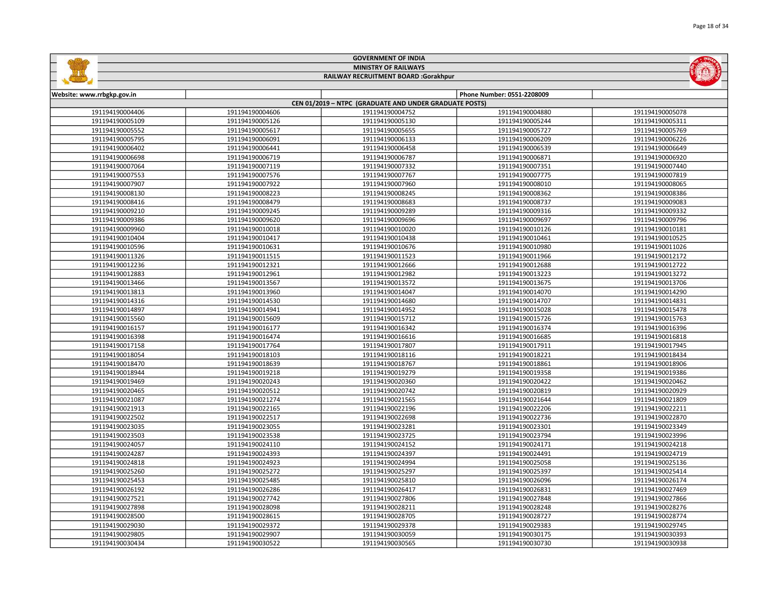|                            |                 | <b>MINISTRY OF RAILWAYS</b>                            |                            |                 |
|----------------------------|-----------------|--------------------------------------------------------|----------------------------|-----------------|
|                            |                 | RAILWAY RECRUITMENT BOARD :Gorakhpur                   |                            |                 |
| Website: www.rrbgkp.gov.in |                 |                                                        | Phone Number: 0551-2208009 |                 |
|                            |                 | CEN 01/2019 - NTPC (GRADUATE AND UNDER GRADUATE POSTS) |                            |                 |
| 191194190004406            | 191194190004606 | 191194190004752                                        | 191194190004880            | 191194190005078 |
| 191194190005109            | 191194190005126 | 191194190005130                                        | 191194190005244            | 191194190005311 |
| 191194190005552            | 191194190005617 | 191194190005655                                        | 191194190005727            | 191194190005769 |
| 191194190005795            | 191194190006091 | 191194190006133                                        | 191194190006209            | 191194190006226 |
| 191194190006402            | 191194190006441 | 191194190006458                                        | 191194190006539            | 191194190006649 |
| 191194190006698            | 191194190006719 | 191194190006787                                        | 191194190006871            | 191194190006920 |
| 191194190007064            | 191194190007119 | 191194190007332                                        | 191194190007351            | 191194190007440 |
| 191194190007553            | 191194190007576 | 191194190007767                                        | 191194190007775            | 191194190007819 |
| 191194190007907            | 191194190007922 | 191194190007960                                        | 191194190008010            | 191194190008065 |
| 191194190008130            | 191194190008223 | 191194190008245                                        | 191194190008362            | 191194190008386 |
| 191194190008416            | 191194190008479 | 191194190008683                                        | 191194190008737            | 191194190009083 |
| 191194190009210            | 191194190009245 | 191194190009289                                        | 191194190009316            | 191194190009332 |
| 191194190009386            | 191194190009620 | 191194190009696                                        | 191194190009697            | 191194190009796 |
| 191194190009960            | 191194190010018 | 191194190010020                                        | 191194190010126            | 191194190010181 |
| 191194190010404            | 191194190010417 | 191194190010438                                        | 191194190010461            | 191194190010525 |
| 191194190010596            | 191194190010631 | 191194190010676                                        | 191194190010980            | 191194190011026 |
| 191194190011326            | 191194190011515 | 191194190011523                                        | 191194190011966            | 191194190012172 |
| 191194190012236            | 191194190012321 | 191194190012666                                        | 191194190012688            | 191194190012722 |
| 191194190012883            | 191194190012961 | 191194190012982                                        | 191194190013223            | 191194190013272 |
| 191194190013466            | 191194190013567 | 191194190013572                                        | 191194190013675            | 191194190013706 |
| 191194190013813            | 191194190013960 | 191194190014047                                        | 191194190014070            | 191194190014290 |
| 191194190014316            | 191194190014530 | 191194190014680                                        | 191194190014707            | 191194190014831 |
| 191194190014897            | 191194190014941 | 191194190014952                                        | 191194190015028            | 191194190015478 |
| 191194190015560            | 191194190015609 | 191194190015712                                        | 191194190015726            | 191194190015763 |
| 191194190016157            | 191194190016177 | 191194190016342                                        | 191194190016374            | 191194190016396 |
| 191194190016398            | 191194190016474 | 191194190016616                                        | 191194190016685            | 191194190016818 |
| 191194190017158            | 191194190017764 | 191194190017807                                        | 191194190017911            | 191194190017945 |
| 191194190018054            | 191194190018103 | 191194190018116                                        | 191194190018221            | 191194190018434 |
| 191194190018470            | 191194190018639 | 191194190018767                                        | 191194190018861            | 191194190018906 |
| 191194190018944            | 191194190019218 | 191194190019279                                        | 191194190019358            | 191194190019386 |
| 191194190019469            | 191194190020243 | 191194190020360                                        | 191194190020422            | 191194190020462 |
| 191194190020465            | 191194190020512 | 191194190020742                                        | 191194190020819            | 191194190020929 |
| 191194190021087            | 191194190021274 | 191194190021565                                        | 191194190021644            | 191194190021809 |
| 191194190021913            | 191194190022165 | 191194190022196                                        | 191194190022206            | 191194190022211 |
| 191194190022502            | 191194190022517 | 191194190022698                                        | 191194190022736            | 191194190022870 |
| 191194190023035            | 191194190023055 | 191194190023281                                        | 191194190023301            | 191194190023349 |
| 191194190023503            | 191194190023538 | 191194190023725                                        | 191194190023794            | 191194190023996 |
| 191194190024057            | 191194190024110 | 191194190024152                                        | 191194190024171            | 191194190024218 |
| 191194190024287            | 191194190024393 | 191194190024397                                        | 191194190024491            | 191194190024719 |
| 191194190024818            | 191194190024923 | 191194190024994                                        | 191194190025058            | 191194190025136 |
| 191194190025260            | 191194190025272 | 191194190025297                                        | 191194190025397            | 191194190025414 |
| 191194190025453            | 191194190025485 | 191194190025810                                        | 191194190026096            | 191194190026174 |
| 191194190026192            | 191194190026286 | 191194190026417                                        | 191194190026831            | 191194190027469 |
| 191194190027521            | 191194190027742 | 191194190027806                                        | 191194190027848            | 191194190027866 |
| 191194190027898            | 191194190028098 | 191194190028211                                        | 191194190028248            | 191194190028276 |
| 191194190028500            | 191194190028615 | 191194190028705                                        | 191194190028727            | 191194190028774 |
| 191194190029030            | 191194190029372 | 191194190029378                                        | 191194190029383            | 191194190029745 |
| 191194190029805            | 191194190029907 | 191194190030059                                        | 191194190030175            | 191194190030393 |

191194190030522 191194190030565 191194190030730 191194190030938

GOVERNMENT OF INDIA

**GARAGE** 

**STATE OF STREET**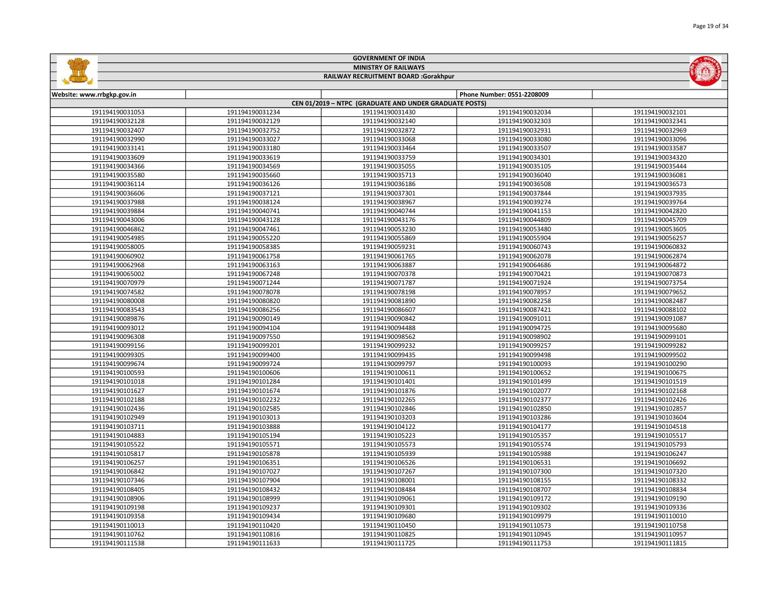|                             |                 | <b>GOVERNMENT OF INDIA</b>                             |                            |                 |
|-----------------------------|-----------------|--------------------------------------------------------|----------------------------|-----------------|
| <b>MINISTRY OF RAILWAYS</b> |                 |                                                        |                            |                 |
|                             |                 | RAILWAY RECRUITMENT BOARD :Gorakhpur                   |                            |                 |
|                             |                 |                                                        |                            |                 |
| Website: www.rrbgkp.gov.in  |                 |                                                        | Phone Number: 0551-2208009 |                 |
|                             |                 | CEN 01/2019 - NTPC (GRADUATE AND UNDER GRADUATE POSTS) |                            |                 |
| 191194190031053             | 191194190031234 | 191194190031430                                        | 191194190032034            | 191194190032101 |
| 191194190032128             | 191194190032129 | 191194190032140                                        | 191194190032303            | 191194190032341 |
| 191194190032407             | 191194190032752 | 191194190032872                                        | 191194190032931            | 191194190032969 |
| 191194190032990             | 191194190033027 | 191194190033068                                        | 191194190033080            | 191194190033096 |
| 191194190033141             | 191194190033180 | 191194190033464                                        | 191194190033507            | 191194190033587 |
| 191194190033609             | 191194190033619 | 191194190033759                                        | 191194190034301            | 191194190034320 |
| 191194190034366             | 191194190034569 | 191194190035055                                        | 191194190035105            | 191194190035444 |
| 191194190035580             | 191194190035660 | 191194190035713                                        | 191194190036040            | 191194190036081 |
| 191194190036114             | 191194190036126 | 191194190036186                                        | 191194190036508            | 191194190036573 |
| 191194190036606             | 191194190037121 | 191194190037301                                        | 191194190037844            | 191194190037935 |
| 191194190037988             | 191194190038124 | 191194190038967                                        | 191194190039274            | 191194190039764 |
| 191194190039884             | 191194190040741 | 191194190040744                                        | 191194190041153            | 191194190042820 |
| 191194190043006             | 191194190043128 | 191194190043176                                        | 191194190044809            | 191194190045709 |
| 191194190046862             | 191194190047461 | 191194190053230                                        | 191194190053480            | 191194190053605 |
| 191194190054985             | 191194190055220 | 191194190055869                                        | 191194190055904            | 191194190056257 |
| 191194190058005             | 191194190058385 | 191194190059231                                        | 191194190060743            | 191194190060832 |
| 191194190060902             | 191194190061758 | 191194190061765                                        | 191194190062078            | 191194190062874 |
| 191194190062968             | 191194190063163 | 191194190063887                                        | 191194190064686            | 191194190064872 |
| 191194190065002             | 191194190067248 | 191194190070378                                        | 191194190070421            | 191194190070873 |
| 191194190070979             | 191194190071244 | 191194190071787                                        | 191194190071924            | 191194190073754 |
| 191194190074582             | 191194190078078 | 191194190078198                                        | 191194190078957            | 191194190079652 |
| 191194190080008             | 191194190080820 | 191194190081890                                        | 191194190082258            | 191194190082487 |
| 191194190083543             | 191194190086256 | 191194190086607                                        | 191194190087421            | 191194190088102 |
| 191194190089876             | 191194190090149 | 191194190090842                                        | 191194190091011            | 191194190091087 |
| 191194190093012             | 191194190094104 | 191194190094488                                        | 191194190094725            | 191194190095680 |
| 191194190096308             | 191194190097550 | 191194190098562                                        | 191194190098902            | 191194190099101 |
| 191194190099156             | 191194190099201 | 191194190099232                                        | 191194190099257            | 191194190099282 |
| 191194190099305             | 191194190099400 | 191194190099435                                        | 191194190099498            | 191194190099502 |
| 191194190099674             | 191194190099724 | 191194190099797                                        | 191194190100093            | 191194190100290 |
| 191194190100593             | 191194190100606 | 191194190100611                                        | 191194190100652            | 191194190100675 |
| 191194190101018             | 191194190101284 | 191194190101401                                        | 191194190101499            | 191194190101519 |
| 191194190101627             | 191194190101674 | 191194190101876                                        | 191194190102077            | 191194190102168 |
| 191194190102188             | 191194190102232 | 191194190102265                                        | 191194190102377            | 191194190102426 |
| 191194190102436             | 191194190102585 | 191194190102846                                        | 191194190102850            | 191194190102857 |
| 191194190102949             | 191194190103013 | 191194190103203                                        | 191194190103286            | 191194190103604 |
| 191194190103711             | 191194190103888 | 191194190104122                                        | 191194190104177            | 191194190104518 |
| 191194190104883             | 191194190105194 | 191194190105223                                        | 191194190105357            | 191194190105517 |
| 191194190105522             | 191194190105571 | 191194190105573                                        | 191194190105574            | 191194190105793 |
| 191194190105817             | 191194190105878 | 191194190105939                                        | 191194190105988            | 191194190106247 |
| 191194190106257             | 191194190106351 | 191194190106526                                        | 191194190106531            | 191194190106692 |
| 191194190106842             | 191194190107027 | 191194190107267                                        | 191194190107300            | 191194190107320 |
|                             |                 |                                                        |                            |                 |
| 191194190107346             | 191194190107904 | 191194190108001                                        | 191194190108155            | 191194190108332 |
| 191194190108405             | 191194190108432 | 191194190108484                                        | 191194190108707            | 191194190108834 |
| 191194190108906             | 191194190108999 | 191194190109061                                        | 191194190109172            | 191194190109190 |
| 191194190109198             | 191194190109237 | 191194190109301                                        | 191194190109302            | 191194190109336 |
| 191194190109358             | 191194190109434 | 191194190109680                                        | 191194190109979            | 191194190110010 |
| 191194190110013             | 191194190110420 | 191194190110450                                        | 191194190110573            | 191194190110758 |

 191194190110816 191194190110825 191194190110945 191194190110957 191194190111633 191194190111725 191194190111753 191194190111815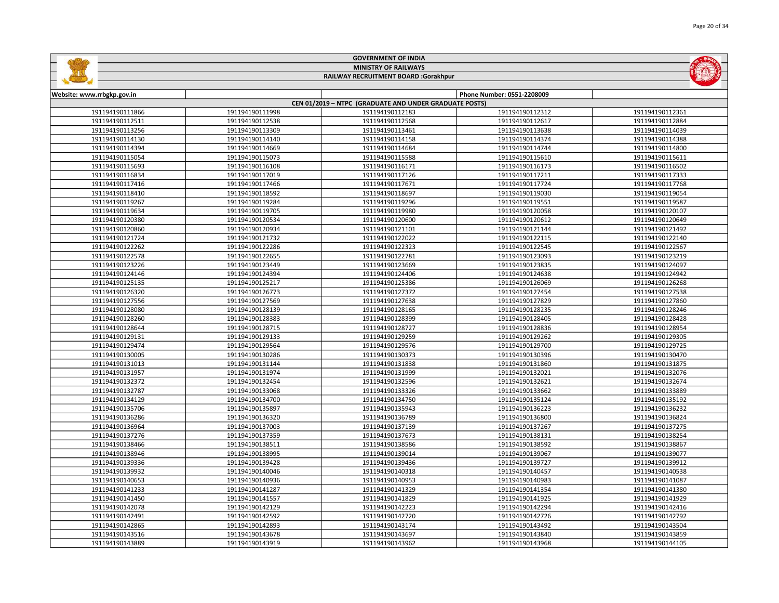|                            |                 | <b>GOVERNMENT OF INDIA</b><br><b>MINISTRY OF RAILWAYS</b> |                            |                 |  |  |
|----------------------------|-----------------|-----------------------------------------------------------|----------------------------|-----------------|--|--|
|                            |                 | RAILWAY RECRUITMENT BOARD :Gorakhpur                      |                            |                 |  |  |
|                            |                 |                                                           |                            |                 |  |  |
| Website: www.rrbgkp.gov.in |                 |                                                           | Phone Number: 0551-2208009 |                 |  |  |
|                            |                 | CEN 01/2019 - NTPC (GRADUATE AND UNDER GRADUATE POSTS)    |                            |                 |  |  |
| 191194190111866            | 191194190111998 | 191194190112183                                           | 191194190112312            | 191194190112361 |  |  |
| 191194190112511            | 191194190112538 | 191194190112568                                           | 191194190112617            | 191194190112884 |  |  |
| 191194190113256            | 191194190113309 | 191194190113461                                           | 191194190113638            | 191194190114039 |  |  |
| 191194190114130            | 191194190114140 | 191194190114158                                           | 191194190114374            | 191194190114388 |  |  |
| 191194190114394            | 191194190114669 | 191194190114684                                           | 191194190114744            | 191194190114800 |  |  |
| 191194190115054            | 191194190115073 | 191194190115588                                           | 191194190115610            | 191194190115611 |  |  |
| 191194190115693            | 191194190116108 | 191194190116171                                           | 191194190116173            | 191194190116502 |  |  |
| 191194190116834            | 191194190117019 | 191194190117126                                           | 191194190117211            | 191194190117333 |  |  |
| 191194190117416            | 191194190117466 | 191194190117671                                           | 191194190117724            | 191194190117768 |  |  |
| 191194190118410            | 191194190118592 | 191194190118697                                           | 191194190119030            | 191194190119054 |  |  |
| 191194190119267            | 191194190119284 | 191194190119296                                           | 191194190119551            | 191194190119587 |  |  |
| 191194190119634            | 191194190119705 | 191194190119980                                           | 191194190120058            | 191194190120107 |  |  |
| 191194190120380            | 191194190120534 | 191194190120600                                           | 191194190120612            | 191194190120649 |  |  |
| 191194190120860            | 191194190120934 | 191194190121101                                           | 191194190121144            | 191194190121492 |  |  |
| 191194190121724            | 191194190121732 | 191194190122022                                           | 191194190122115            | 191194190122140 |  |  |
| 191194190122262            | 191194190122286 | 191194190122323                                           | 191194190122545            | 191194190122567 |  |  |
| 191194190122578            | 191194190122655 | 191194190122781                                           | 191194190123093            | 191194190123219 |  |  |
| 191194190123226            | 191194190123449 | 191194190123669                                           | 191194190123835            | 191194190124097 |  |  |
| 191194190124146            | 191194190124394 | 191194190124406                                           | 191194190124638            | 191194190124942 |  |  |
| 191194190125135            | 191194190125217 | 191194190125386                                           | 191194190126069            | 191194190126268 |  |  |
| 191194190126320            | 191194190126773 | 191194190127372                                           | 191194190127454            | 191194190127538 |  |  |
| 191194190127556            | 191194190127569 | 191194190127638                                           | 191194190127829            | 191194190127860 |  |  |
| 191194190128080            | 191194190128139 | 191194190128165                                           | 191194190128235            | 191194190128246 |  |  |
| 191194190128260            | 191194190128383 | 191194190128399                                           | 191194190128405            | 191194190128428 |  |  |
| 191194190128644            | 191194190128715 | 191194190128727                                           | 191194190128836            | 191194190128954 |  |  |
| 191194190129131            | 191194190129133 | 191194190129259                                           | 191194190129262            | 191194190129305 |  |  |
| 191194190129474            | 191194190129564 | 191194190129576                                           | 191194190129700            | 191194190129725 |  |  |
| 191194190130005            | 191194190130286 | 191194190130373                                           | 191194190130396            | 191194190130470 |  |  |
| 191194190131013            | 191194190131144 | 191194190131838                                           | 191194190131860            | 191194190131875 |  |  |
| 191194190131957            | 191194190131974 | 191194190131999                                           | 191194190132021            | 191194190132076 |  |  |
| 191194190132372            | 191194190132454 | 191194190132596                                           | 191194190132621            | 191194190132674 |  |  |
| 191194190132787            | 191194190133068 | 191194190133326                                           | 191194190133662            | 191194190133889 |  |  |
| 191194190134129            | 191194190134700 | 191194190134750                                           | 191194190135124            | 191194190135192 |  |  |
| 191194190135706            | 191194190135897 | 191194190135943                                           | 191194190136223            | 191194190136232 |  |  |
| 191194190136286            | 191194190136320 | 191194190136789                                           | 191194190136800            | 191194190136824 |  |  |
| 191194190136964            | 191194190137003 | 191194190137139                                           | 191194190137267            | 191194190137275 |  |  |
| 191194190137276            | 191194190137359 | 191194190137673                                           | 191194190138131            | 191194190138254 |  |  |
|                            |                 |                                                           |                            |                 |  |  |

191194190138466 | 191194190138511 | 191194190138586 | 191194190138592 | 191194190138867 191194190138995 191194190139014 191194190139067 191194190139077 191194190139428 191194190139436 191194190139727 191194190139912 191194190140046 191194190140318 191194190140457 191194190140538 191194190140936 191194190140953 191194190140983 191194190141087 191194190141287 191194190141329 191194190141354 191194190141380 191194190141557 191194190141829 191194190141925 191194190141929 191194190142129 191194190142223 191194190142294 191194190142416 191194190142592 191194190142720 191194190142726 191194190142792 191194190142893 191194190143174 191194190143492 191194190143504 191194190143678 191194190143697 191194190143840 191194190143859 191194190143919 191194190143962 191194190143968 191194190144105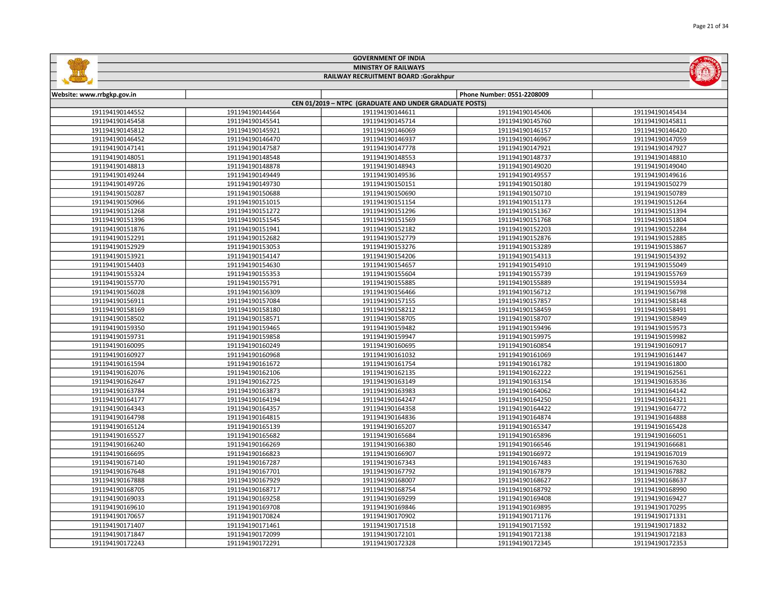|                                      |                                                        | <b>GOVERNMENT OF INDIA</b> |                            |                 |  |  |
|--------------------------------------|--------------------------------------------------------|----------------------------|----------------------------|-----------------|--|--|
|                                      | <b>MINISTRY OF RAILWAYS</b>                            |                            |                            |                 |  |  |
| RAILWAY RECRUITMENT BOARD :Gorakhpur |                                                        |                            |                            |                 |  |  |
|                                      |                                                        |                            |                            |                 |  |  |
| Website: www.rrbgkp.gov.in           |                                                        |                            | Phone Number: 0551-2208009 |                 |  |  |
|                                      | CEN 01/2019 - NTPC (GRADUATE AND UNDER GRADUATE POSTS) |                            |                            |                 |  |  |
| 191194190144552                      | 191194190144564                                        | 191194190144611            | 191194190145406            | 191194190145434 |  |  |
| 191194190145458                      | 191194190145541                                        | 191194190145714            | 191194190145760            | 191194190145811 |  |  |
| 191194190145812                      | 191194190145921                                        | 191194190146069            | 191194190146157            | 191194190146420 |  |  |
| 191194190146452                      | 191194190146470                                        | 191194190146937            | 191194190146967            | 191194190147059 |  |  |
| 191194190147141                      | 191194190147587                                        | 191194190147778            | 191194190147921            | 191194190147927 |  |  |
| 191194190148051                      | 191194190148548                                        | 191194190148553            | 191194190148737            | 191194190148810 |  |  |
| 191194190148813                      | 191194190148878                                        | 191194190148943            | 191194190149020            | 191194190149040 |  |  |
| 191194190149244                      | 191194190149449                                        | 191194190149536            | 191194190149557            | 191194190149616 |  |  |
| 191194190149726                      | 191194190149730                                        | 191194190150151            | 191194190150180            | 191194190150279 |  |  |
| 191194190150287                      | 191194190150688                                        | 191194190150690            | 191194190150710            | 191194190150789 |  |  |
| 191194190150966                      | 191194190151015                                        | 191194190151154            | 191194190151173            | 191194190151264 |  |  |
| 191194190151268                      | 191194190151272                                        | 191194190151296            | 191194190151367            | 191194190151394 |  |  |
| 191194190151396                      | 191194190151545                                        | 191194190151569            | 191194190151768            | 191194190151804 |  |  |
| 191194190151876                      | 191194190151941                                        | 191194190152182            | 191194190152203            | 191194190152284 |  |  |
| 191194190152291                      | 191194190152682                                        | 191194190152779            | 191194190152876            | 191194190152885 |  |  |
| 191194190152929                      | 191194190153053                                        | 191194190153276            | 191194190153289            | 191194190153867 |  |  |
| 191194190153921                      | 191194190154147                                        | 191194190154206            | 191194190154313            | 191194190154392 |  |  |
| 191194190154403                      | 191194190154630                                        | 191194190154657            | 191194190154910            | 191194190155049 |  |  |
| 191194190155324                      | 191194190155353                                        | 191194190155604            | 191194190155739            | 191194190155769 |  |  |
| 191194190155770                      | 191194190155791                                        | 191194190155885            | 191194190155889            | 191194190155934 |  |  |
| 191194190156028                      | 191194190156309                                        | 191194190156466            | 191194190156712            | 191194190156798 |  |  |
| 191194190156911                      | 191194190157084                                        | 191194190157155            | 191194190157857            | 191194190158148 |  |  |
| 191194190158169                      | 191194190158180                                        | 191194190158212            | 191194190158459            | 191194190158491 |  |  |
| 191194190158502                      | 191194190158571                                        | 191194190158705            | 191194190158707            | 191194190158949 |  |  |
| 191194190159350                      | 191194190159465                                        | 191194190159482            | 191194190159496            | 191194190159573 |  |  |
| 191194190159731                      | 191194190159858                                        | 191194190159947            | 191194190159975            | 191194190159982 |  |  |
| 191194190160095                      | 191194190160249                                        | 191194190160695            | 191194190160854            | 191194190160917 |  |  |
| 191194190160927                      | 191194190160968                                        | 191194190161032            | 191194190161069            | 191194190161447 |  |  |
| 191194190161594                      | 191194190161672                                        | 191194190161754            | 191194190161782            | 191194190161800 |  |  |
| 191194190162076                      | 191194190162106                                        | 191194190162135            | 191194190162222            | 191194190162561 |  |  |
| 191194190162647                      | 191194190162725                                        | 191194190163149            | 191194190163154            | 191194190163536 |  |  |
| 191194190163784                      | 191194190163873                                        | 191194190163983            | 191194190164062            | 191194190164142 |  |  |
| 191194190164177                      | 191194190164194                                        | 191194190164247            | 191194190164250            | 191194190164321 |  |  |
| 191194190164343                      | 191194190164357                                        | 191194190164358            | 191194190164422            | 191194190164772 |  |  |
| 191194190164798                      | 191194190164815                                        | 191194190164836            | 191194190164874            | 191194190164888 |  |  |
| 191194190165124                      | 191194190165139                                        | 191194190165207            | 191194190165347            | 191194190165428 |  |  |
| 191194190165527                      | 191194190165682                                        | 191194190165684            | 191194190165896            | 191194190166051 |  |  |
| 191194190166240                      | 191194190166269                                        | 191194190166380            | 191194190166546            | 191194190166681 |  |  |
| 191194190166695                      | 191194190166823                                        | 191194190166907            | 191194190166972            | 191194190167019 |  |  |
| 191194190167140                      | 191194190167287                                        | 191194190167343            | 191194190167483            | 191194190167630 |  |  |
| 191194190167648                      | 191194190167701                                        | 191194190167792            | 191194190167879            | 191194190167882 |  |  |
| 191194190167888                      | 191194190167929                                        | 191194190168007            | 191194190168627            | 191194190168637 |  |  |
| 191194190168705                      | 191194190168717                                        | 191194190168754            | 191194190168792            | 191194190168990 |  |  |

 191194190169258 191194190169299 191194190169408 191194190169427 191194190169708 191194190169846 191194190169895 191194190170295 191194190170657 | 191194190170824 | 191194190170902 | 191194190170902 | 191194190171176 | 191194190171331 191194190171461 191194190171518 191194190171592 191194190171832 191194190172099 191194190172101 191194190172138 191194190172183 191194190172291 191194190172328 191194190172345 191194190172353

Page 21 of 34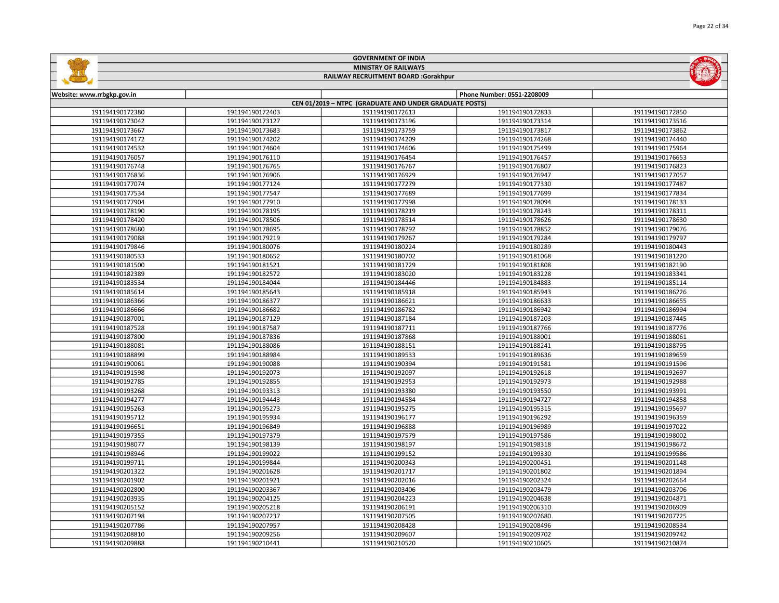|  |  | $\frac{1}{\sqrt{2}}$ |
|--|--|----------------------|
|  |  |                      |
|  |  |                      |
|  |  |                      |
|  |  |                      |
|  |  |                      |
|  |  |                      |



## RAILWAY RECRUITMENT BOARD :Gorakhpur

| Website: www.rrbgkp.gov.in |                 |                                                        | Phone Number: 0551-2208009 |                 |
|----------------------------|-----------------|--------------------------------------------------------|----------------------------|-----------------|
|                            |                 | CEN 01/2019 - NTPC (GRADUATE AND UNDER GRADUATE POSTS) |                            |                 |
| 191194190172380            | 191194190172403 | 191194190172613                                        | 191194190172833            | 191194190172850 |
| 191194190173042            | 191194190173127 | 191194190173196                                        | 191194190173314            | 191194190173516 |
| 191194190173667            | 191194190173683 | 191194190173759                                        | 191194190173817            | 191194190173862 |
| 191194190174172            | 191194190174202 | 191194190174209                                        | 191194190174268            | 191194190174440 |
| 191194190174532            | 191194190174604 | 191194190174606                                        | 191194190175499            | 191194190175964 |
| 191194190176057            | 191194190176110 | 191194190176454                                        | 191194190176457            | 191194190176653 |
| 191194190176748            | 191194190176765 | 191194190176767                                        | 191194190176807            | 191194190176823 |
| 191194190176836            | 191194190176906 | 191194190176929                                        | 191194190176947            | 191194190177057 |
| 191194190177074            | 191194190177124 | 191194190177279                                        | 191194190177330            | 191194190177487 |
| 191194190177534            | 191194190177547 | 191194190177689                                        | 191194190177699            | 191194190177834 |
| 191194190177904            | 191194190177910 | 191194190177998                                        | 191194190178094            | 191194190178133 |
| 191194190178190            | 191194190178195 | 191194190178219                                        | 191194190178243            | 191194190178311 |
| 191194190178420            | 191194190178506 | 191194190178514                                        | 191194190178626            | 191194190178630 |
| 191194190178680            | 191194190178695 | 191194190178792                                        | 191194190178852            | 191194190179076 |
| 191194190179088            | 191194190179219 | 191194190179267                                        | 191194190179284            | 191194190179797 |
| 191194190179846            | 191194190180076 | 191194190180224                                        | 191194190180289            | 191194190180443 |
| 191194190180533            | 191194190180652 | 191194190180702                                        | 191194190181068            | 191194190181220 |
| 191194190181500            | 191194190181521 | 191194190181729                                        | 191194190181808            | 191194190182190 |
| 191194190182389            | 191194190182572 | 191194190183020                                        | 191194190183228            | 191194190183341 |
| 191194190183534            | 191194190184044 | 191194190184446                                        | 191194190184883            | 191194190185114 |
| 191194190185614            | 191194190185643 | 191194190185918                                        | 191194190185943            | 191194190186226 |
| 191194190186366            | 191194190186377 | 191194190186621                                        | 191194190186633            | 191194190186655 |
| 191194190186666            | 191194190186682 | 191194190186782                                        | 191194190186942            | 191194190186994 |
| 191194190187001            | 191194190187129 | 191194190187184                                        | 191194190187203            | 191194190187445 |
| 191194190187528            | 191194190187587 | 191194190187711                                        | 191194190187766            | 191194190187776 |
| 191194190187800            | 191194190187836 | 191194190187868                                        | 191194190188001            | 191194190188061 |
| 191194190188081            | 191194190188086 | 191194190188151                                        | 191194190188241            | 191194190188795 |
| 191194190188899            | 191194190188984 | 191194190189533                                        | 191194190189636            | 191194190189659 |
| 191194190190061            | 191194190190088 | 191194190190394                                        | 191194190191581            | 191194190191596 |
| 191194190191598            | 191194190192073 | 191194190192097                                        | 191194190192618            | 191194190192697 |
| 191194190192785            | 191194190192855 | 191194190192953                                        | 191194190192973            | 191194190192988 |
| 191194190193268            | 191194190193313 | 191194190193380                                        | 191194190193550            | 191194190193991 |
| 191194190194277            | 191194190194443 | 191194190194584                                        | 191194190194727            | 191194190194858 |
| 191194190195263            | 191194190195273 | 191194190195275                                        | 191194190195315            | 191194190195697 |
| 191194190195712            | 191194190195934 | 191194190196177                                        | 191194190196292            | 191194190196359 |
| 191194190196651            | 191194190196849 | 191194190196888                                        | 191194190196989            | 191194190197022 |
| 191194190197355            | 191194190197379 | 191194190197579                                        | 191194190197586            | 191194190198002 |
| 191194190198077            | 191194190198139 | 191194190198197                                        | 191194190198318            | 191194190198672 |
| 191194190198946            | 191194190199022 | 191194190199152                                        | 191194190199330            | 191194190199586 |
| 191194190199711            | 191194190199844 | 191194190200343                                        | 191194190200451            | 191194190201148 |
| 191194190201322            | 191194190201628 | 191194190201717                                        | 191194190201802            | 191194190201894 |
| 191194190201902            | 191194190201921 | 191194190202016                                        | 191194190202324            | 191194190202664 |
| 191194190202800            | 191194190203367 | 191194190203406                                        | 191194190203479            | 191194190203706 |
| 191194190203935            | 191194190204125 | 191194190204223                                        | 191194190204638            | 191194190204871 |
| 191194190205152            | 191194190205218 | 191194190206191                                        | 191194190206310            | 191194190206909 |
| 191194190207198            | 191194190207237 | 191194190207505                                        | 191194190207680            | 191194190207725 |
| 191194190207786            | 191194190207957 | 191194190208428                                        | 191194190208496            | 191194190208534 |
| 191194190208810            | 191194190209256 | 191194190209607                                        | 191194190209702            | 191194190209742 |
| 191194190209888            | 191194190210441 | 191194190210520                                        | 191194190210605            | 191194190210874 |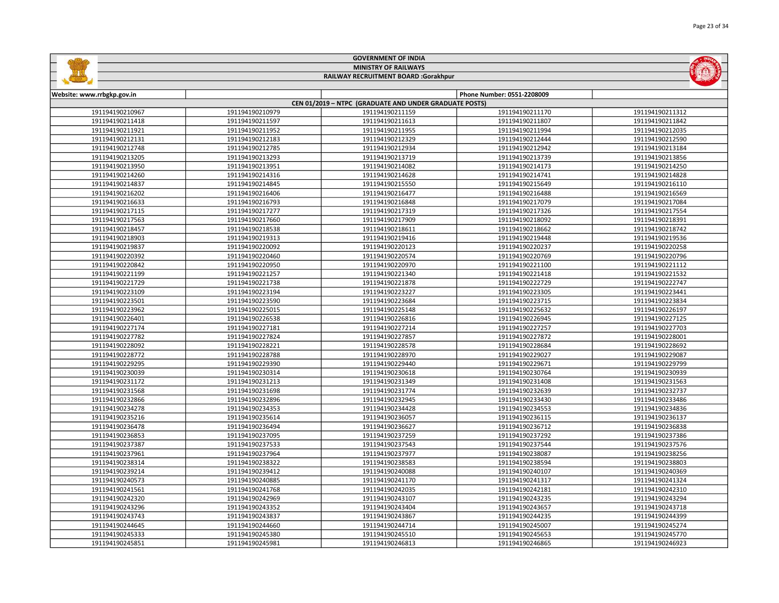| Page 23 of 34 |
|---------------|
|               |



## GOVERNMENT OF INDIA MINISTRY OF RAILWAYS RAILWAY RECRUITMENT BOARD :Gorakhpur

| Website: www.rrbgkp.gov.in |                 |                                                        | Phone Number: 0551-2208009 |                 |
|----------------------------|-----------------|--------------------------------------------------------|----------------------------|-----------------|
|                            |                 | CEN 01/2019 - NTPC (GRADUATE AND UNDER GRADUATE POSTS) |                            |                 |
| 191194190210967            | 191194190210979 | 191194190211159                                        | 191194190211170            | 191194190211312 |
| 191194190211418            | 191194190211597 | 191194190211613                                        | 191194190211807            | 191194190211842 |
| 191194190211921            | 191194190211952 | 191194190211955                                        | 191194190211994            | 191194190212035 |
| 191194190212131            | 191194190212183 | 191194190212329                                        | 191194190212444            | 191194190212590 |
| 191194190212748            | 191194190212785 | 191194190212934                                        | 191194190212942            | 191194190213184 |
| 191194190213205            | 191194190213293 | 191194190213719                                        | 191194190213739            | 191194190213856 |
| 191194190213950            | 191194190213951 | 191194190214082                                        | 191194190214173            | 191194190214250 |
| 191194190214260            | 191194190214316 | 191194190214628                                        | 191194190214741            | 191194190214828 |
| 191194190214837            | 191194190214845 | 191194190215550                                        | 191194190215649            | 191194190216110 |
| 191194190216202            | 191194190216406 | 191194190216477                                        | 191194190216488            | 191194190216569 |
| 191194190216633            | 191194190216793 | 191194190216848                                        | 191194190217079            | 191194190217084 |
| 191194190217115            | 191194190217277 | 191194190217319                                        | 191194190217326            | 191194190217554 |
| 191194190217563            | 191194190217660 | 191194190217909                                        | 191194190218092            | 191194190218391 |
| 191194190218457            | 191194190218538 | 191194190218611                                        | 191194190218662            | 191194190218742 |
| 191194190218903            | 191194190219313 | 191194190219416                                        | 191194190219448            | 191194190219536 |
| 191194190219837            | 191194190220092 | 191194190220123                                        | 191194190220237            | 191194190220258 |
| 191194190220392            | 191194190220460 | 191194190220574                                        | 191194190220769            | 191194190220796 |
| 191194190220842            | 191194190220950 | 191194190220970                                        | 191194190221100            | 191194190221112 |
| 191194190221199            | 191194190221257 | 191194190221340                                        | 191194190221418            | 191194190221532 |
| 191194190221729            | 191194190221738 | 191194190221878                                        | 191194190222729            | 191194190222747 |
| 191194190223109            | 191194190223194 | 191194190223227                                        | 191194190223305            | 191194190223441 |
| 191194190223501            | 191194190223590 | 191194190223684                                        | 191194190223715            | 191194190223834 |
| 191194190223962            | 191194190225015 | 191194190225148                                        | 191194190225632            | 191194190226197 |
| 191194190226401            | 191194190226538 | 191194190226816                                        | 191194190226945            | 191194190227125 |
| 191194190227174            | 191194190227181 | 191194190227214                                        | 191194190227257            | 191194190227703 |
| 191194190227782            | 191194190227824 | 191194190227857                                        | 191194190227872            | 191194190228001 |
| 191194190228092            | 191194190228221 | 191194190228578                                        | 191194190228684            | 191194190228692 |
| 191194190228772            | 191194190228788 | 191194190228970                                        | 191194190229027            | 191194190229087 |
| 191194190229295            | 191194190229390 | 191194190229440                                        | 191194190229671            | 191194190229799 |
| 191194190230039            | 191194190230314 | 191194190230618                                        | 191194190230764            | 191194190230939 |
| 191194190231172            | 191194190231213 | 191194190231349                                        | 191194190231408            | 191194190231563 |
| 191194190231568            | 191194190231698 | 191194190231774                                        | 191194190232639            | 191194190232737 |
| 191194190232866            | 191194190232896 | 191194190232945                                        | 191194190233430            | 191194190233486 |
| 191194190234278            | 191194190234353 | 191194190234428                                        | 191194190234553            | 191194190234836 |
| 191194190235216            | 191194190235614 | 191194190236057                                        | 191194190236115            | 191194190236137 |
| 191194190236478            | 191194190236494 | 191194190236627                                        | 191194190236712            | 191194190236838 |
| 191194190236853            | 191194190237095 | 191194190237259                                        | 191194190237292            | 191194190237386 |
| 191194190237387            | 191194190237533 | 191194190237543                                        | 191194190237544            | 191194190237576 |
| 191194190237961            | 191194190237964 | 191194190237977                                        | 191194190238087            | 191194190238256 |
| 191194190238314            | 191194190238322 | 191194190238583                                        | 191194190238594            | 191194190238803 |
| 191194190239214            | 191194190239412 | 191194190240088                                        | 191194190240107            | 191194190240369 |
| 191194190240573            | 191194190240885 | 191194190241170                                        | 191194190241317            | 191194190241324 |
| 191194190241561            | 191194190241768 | 191194190242035                                        | 191194190242181            | 191194190242310 |
| 191194190242320            | 191194190242969 | 191194190243107                                        | 191194190243235            | 191194190243294 |
| 191194190243296            | 191194190243352 | 191194190243404                                        | 191194190243657            | 191194190243718 |
| 191194190243743            | 191194190243837 | 191194190243867                                        | 191194190244235            | 191194190244399 |
| 191194190244645            | 191194190244660 | 191194190244714                                        | 191194190245007            | 191194190245274 |
| 191194190245333            | 191194190245380 | 191194190245510                                        | 191194190245653            | 191194190245770 |
| 191194190245851            | 191194190245981 | 191194190246813                                        | 191194190246865            | 191194190246923 |
|                            |                 |                                                        |                            |                 |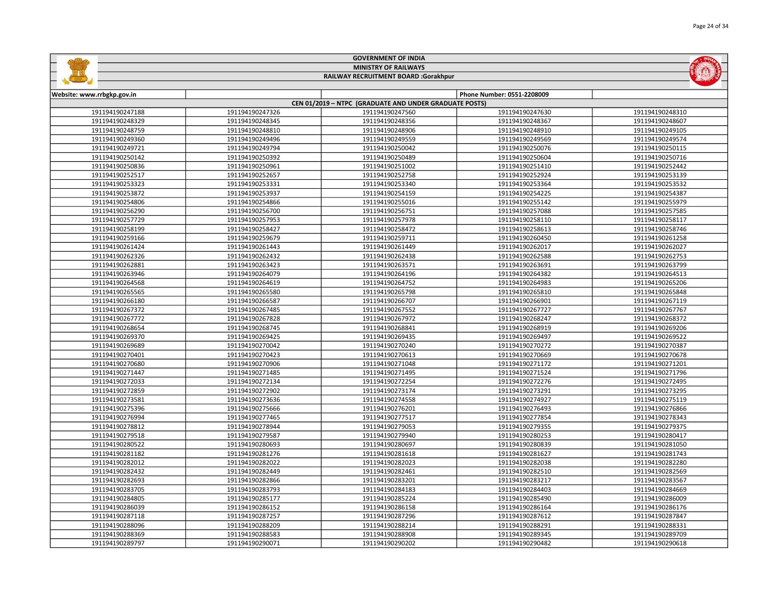|                            |                 | <b>GOVERNMENT OF INDIA</b>                             |                            |                 |
|----------------------------|-----------------|--------------------------------------------------------|----------------------------|-----------------|
|                            |                 | <b>MINISTRY OF RAILWAYS</b>                            |                            |                 |
|                            |                 | RAILWAY RECRUITMENT BOARD :Gorakhpur                   |                            |                 |
| Website: www.rrbgkp.gov.in |                 |                                                        | Phone Number: 0551-2208009 |                 |
|                            |                 | CEN 01/2019 - NTPC (GRADUATE AND UNDER GRADUATE POSTS) |                            |                 |
| 191194190247188            | 191194190247326 | 191194190247560                                        | 191194190247630            | 191194190248310 |
| 191194190248329            | 191194190248345 | 191194190248356                                        | 191194190248367            | 191194190248607 |
| 191194190248759            | 191194190248810 | 191194190248906                                        | 191194190248910            | 191194190249105 |
| 191194190249360            | 191194190249496 | 191194190249559                                        | 191194190249569            | 191194190249574 |
| 191194190249721            | 191194190249794 | 191194190250042                                        | 191194190250076            | 191194190250115 |
| 191194190250142            | 191194190250392 | 191194190250489                                        | 191194190250604            | 191194190250716 |
| 191194190250836            | 191194190250961 | 191194190251002                                        | 191194190251410            | 191194190252442 |
| 191194190252517            | 191194190252657 | 191194190252758                                        | 191194190252924            | 191194190253139 |
| 191194190253323            | 191194190253331 | 191194190253340                                        | 191194190253364            | 191194190253532 |
| 191194190253872            | 191194190253937 | 191194190254159                                        | 191194190254225            | 191194190254387 |
| 191194190254806            | 191194190254866 | 191194190255016                                        | 191194190255142            | 191194190255979 |
| 191194190256290            | 191194190256700 | 191194190256751                                        | 191194190257088            | 191194190257585 |
| 191194190257729            | 191194190257953 | 191194190257978                                        | 191194190258110            | 191194190258117 |
| 191194190258199            | 191194190258427 | 191194190258472                                        | 191194190258613            | 191194190258746 |
| 191194190259166            | 191194190259679 | 191194190259711                                        | 191194190260450            | 191194190261258 |
| 191194190261424            | 191194190261443 | 191194190261449                                        | 191194190262017            | 191194190262027 |
| 191194190262326            | 191194190262432 | 191194190262438                                        | 191194190262588            | 191194190262753 |
| 191194190262881            | 191194190263423 | 191194190263571                                        | 191194190263691            | 191194190263799 |
| 191194190263946            | 191194190264079 | 191194190264196                                        | 191194190264382            | 191194190264513 |
| 191194190264568            | 191194190264619 | 191194190264752                                        | 191194190264983            | 191194190265206 |
| 191194190265565            | 191194190265580 | 191194190265798                                        | 191194190265810            | 191194190265848 |
| 191194190266180            | 191194190266587 | 191194190266707                                        | 191194190266901            | 191194190267119 |
| 191194190267372            | 191194190267485 | 191194190267552                                        | 191194190267727            | 191194190267767 |
| 191194190267772            | 191194190267828 | 191194190267972                                        | 191194190268247            | 191194190268372 |
| 191194190268654            | 191194190268745 | 191194190268841                                        | 191194190268919            | 191194190269206 |
| 191194190269370            | 191194190269425 | 191194190269435                                        | 191194190269497            | 191194190269522 |
| 191194190269689            | 191194190270042 | 191194190270240                                        | 191194190270272            | 191194190270387 |
| 191194190270401            | 191194190270423 | 191194190270613                                        | 191194190270669            | 191194190270678 |
| 191194190270680            | 191194190270906 | 191194190271048                                        | 191194190271172            | 191194190271201 |
| 191194190271447            | 191194190271485 | 191194190271495                                        | 191194190271524            | 191194190271796 |
| 191194190272033            | 191194190272134 | 191194190272254                                        | 191194190272276            | 191194190272495 |
| 191194190272859            | 191194190272902 | 191194190273174                                        | 191194190273291            | 191194190273295 |
| 191194190273581            | 191194190273636 | 191194190274558                                        | 191194190274927            | 191194190275119 |
| 191194190275396            | 191194190275666 | 191194190276201                                        | 191194190276493            | 191194190276866 |
| 191194190276994            | 191194190277465 | 191194190277517                                        | 191194190277854            | 191194190278343 |
| 191194190278812            | 191194190278944 | 191194190279053                                        | 191194190279355            | 191194190279375 |
| 191194190279518            | 191194190279587 | 191194190279940                                        | 191194190280253            | 191194190280417 |
| 191194190280522            | 191194190280693 | 191194190280697                                        | 191194190280839            | 191194190281050 |
| 191194190281182            | 191194190281276 | 191194190281618                                        | 191194190281627            | 191194190281743 |
| 191194190282012            | 191194190282022 | 191194190282023                                        | 191194190282038            | 191194190282280 |
| 191194190282432            | 191194190282449 | 191194190282461                                        | 191194190282510            | 191194190282569 |
| 191194190282693            | 191194190282866 | 191194190283201                                        | 191194190283217            | 191194190283567 |
| 191194190283705            | 191194190283793 | 191194190284183                                        | 191194190284403            | 191194190284669 |
| 191194190284805            | 191194190285177 | 191194190285224                                        | 191194190285490            | 191194190286009 |
| 191194190286039            | 191194190286152 | 191194190286158                                        | 191194190286164            | 191194190286176 |
| 191194190287118            | 191194190287257 | 191194190287296                                        | 191194190287612            | 191194190287847 |

 191194190288209 191194190288214 191194190288291 191194190288331 191194190288583 191194190288908 191194190289345 191194190289709 191194190290071 191194190290202 191194190290482 191194190290618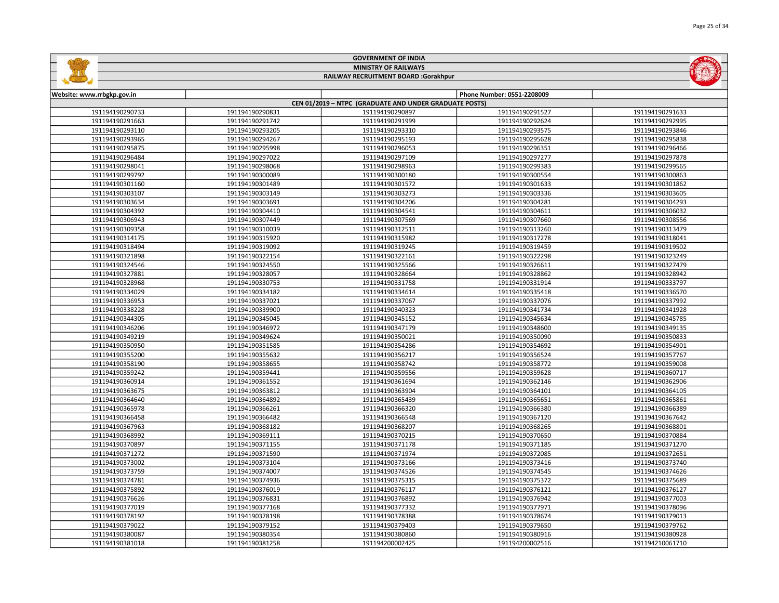|                            |                 | <b>MINISTRY OF RAILWAYS</b>                            |                            | $(\Omega)$      |
|----------------------------|-----------------|--------------------------------------------------------|----------------------------|-----------------|
|                            |                 | RAILWAY RECRUITMENT BOARD :Gorakhpur                   |                            |                 |
| Website: www.rrbgkp.gov.in |                 |                                                        | Phone Number: 0551-2208009 |                 |
|                            |                 | CEN 01/2019 - NTPC (GRADUATE AND UNDER GRADUATE POSTS) |                            |                 |
| 191194190290733            | 191194190290831 | 191194190290897                                        | 191194190291527            | 191194190291633 |
| 191194190291663            | 191194190291742 | 191194190291999                                        | 191194190292624            | 191194190292995 |
| 191194190293110            | 191194190293205 | 191194190293310                                        | 191194190293575            | 191194190293846 |
| 191194190293965            | 191194190294267 | 191194190295193                                        | 191194190295628            | 191194190295838 |
| 191194190295875            | 191194190295998 | 191194190296053                                        | 191194190296351            | 191194190296466 |
| 191194190296484            | 191194190297022 | 191194190297109                                        | 191194190297277            | 191194190297878 |
| 191194190298041            | 191194190298068 | 191194190298963                                        | 191194190299383            | 191194190299565 |
| 191194190299792            | 191194190300089 | 191194190300180                                        | 191194190300554            | 191194190300863 |
| 191194190301160            | 191194190301489 | 191194190301572                                        | 191194190301633            | 191194190301862 |
| 191194190303107            | 191194190303149 | 191194190303273                                        | 191194190303336            | 191194190303605 |
| 191194190303634            | 191194190303691 | 191194190304206                                        | 191194190304281            | 191194190304293 |
| 191194190304392            | 191194190304410 | 191194190304541                                        | 191194190304611            | 191194190306032 |
| 191194190306943            | 191194190307449 | 191194190307569                                        | 191194190307660            | 191194190308556 |
| 191194190309358            | 191194190310039 | 191194190312511                                        | 191194190313260            | 191194190313479 |
| 191194190314175            | 191194190315920 | 191194190315982                                        | 191194190317278            | 191194190318041 |
| 191194190318494            | 191194190319092 | 191194190319245                                        | 191194190319459            | 191194190319502 |
| 191194190321898            | 191194190322154 | 191194190322161                                        | 191194190322298            | 191194190323249 |
| 191194190324546            | 191194190324550 | 191194190325566                                        | 191194190326611            | 191194190327479 |
| 191194190327881            | 191194190328057 | 191194190328664                                        | 191194190328862            | 191194190328942 |
| 191194190328968            | 191194190330753 | 191194190331758                                        | 191194190331914            | 191194190333797 |
| 191194190334029            | 191194190334182 | 191194190334614                                        | 191194190335418            | 191194190336570 |
| 191194190336953            | 191194190337021 | 191194190337067                                        | 191194190337076            | 191194190337992 |
| 191194190338228            | 191194190339900 | 191194190340323                                        | 191194190341734            | 191194190341928 |
| 191194190344305            | 191194190345045 | 191194190345152                                        | 191194190345634            | 191194190345785 |
| 191194190346206            | 191194190346972 | 191194190347179                                        | 191194190348600            | 191194190349135 |
| 191194190349219            | 191194190349624 | 191194190350021                                        | 191194190350090            | 191194190350833 |
| 191194190350950            | 191194190351585 | 191194190354286                                        | 191194190354692            | 191194190354901 |
| 191194190355200            | 191194190355632 | 191194190356217                                        | 191194190356524            | 191194190357767 |
| 191194190358190            | 191194190358655 | 191194190358742                                        | 191194190358772            | 191194190359008 |
| 191194190359242            | 191194190359441 | 191194190359556                                        | 191194190359628            | 191194190360717 |
| 191194190360914            | 191194190361552 | 191194190361694                                        | 191194190362146            | 191194190362906 |
| 191194190363675            | 191194190363812 | 191194190363904                                        | 191194190364101            | 191194190364105 |
| 191194190364640            | 191194190364892 | 191194190365439                                        | 191194190365651            | 191194190365861 |
| 191194190365978            | 191194190366261 | 191194190366320                                        | 191194190366380            | 191194190366389 |
| 191194190366458            | 191194190366482 | 191194190366548                                        | 191194190367120            | 191194190367642 |
| 191194190367963            | 191194190368182 | 191194190368207                                        | 191194190368265            | 191194190368801 |
| 191194190368992            | 191194190369111 | 191194190370215                                        | 191194190370650            | 191194190370884 |
| 191194190370897            | 191194190371155 | 191194190371178                                        | 191194190371185            | 191194190371270 |
| 191194190371272            | 191194190371590 | 191194190371974                                        | 191194190372085            | 191194190372651 |
| 191194190373002            | 191194190373104 | 191194190373166                                        | 191194190373416            | 191194190373740 |
| 191194190373759            | 191194190374007 | 191194190374526                                        | 191194190374545            | 191194190374626 |
| 191194190374781            | 191194190374936 | 191194190375315                                        | 191194190375372            | 191194190375689 |
| 191194190375892            | 191194190376019 | 191194190376117                                        | 191194190376121            | 191194190376127 |
| 191194190376626            | 191194190376831 | 191194190376892                                        | 191194190376942            | 191194190377003 |
| 191194190377019            | 191194190377168 | 191194190377332                                        | 191194190377971            | 191194190378096 |
| 191194190378192            | 191194190378198 | 191194190378388                                        | 191194190378674            | 191194190379013 |
| 191194190379022            | 191194190379152 | 191194190379403                                        | 191194190379650            | 191194190379762 |
| 191194190380087            | 191194190380354 | 191194190380860                                        | 191194190380916            | 191194190380928 |

191194190381258 191194200002425 191194200002516 191194210061710

GOVERNMENT OF INDIA

**GARAGE**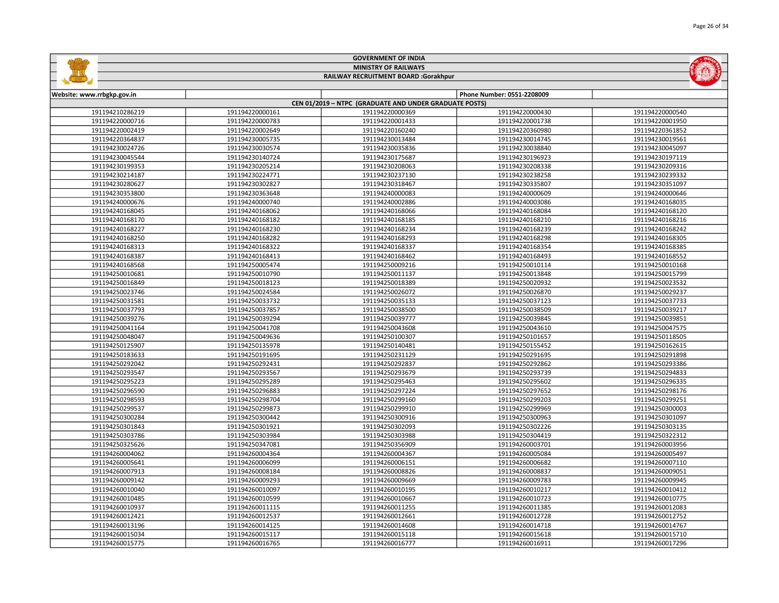|                            |                 | <b>GOVERNMENT OF INDIA</b>                             |                            |                 |
|----------------------------|-----------------|--------------------------------------------------------|----------------------------|-----------------|
|                            |                 | <b>MINISTRY OF RAILWAYS</b>                            |                            |                 |
|                            |                 | RAILWAY RECRUITMENT BOARD :Gorakhpur                   |                            |                 |
|                            |                 |                                                        |                            |                 |
| Website: www.rrbgkp.gov.in |                 |                                                        | Phone Number: 0551-2208009 |                 |
|                            |                 | CEN 01/2019 - NTPC (GRADUATE AND UNDER GRADUATE POSTS) |                            |                 |
| 191194210286219            | 191194220000161 | 191194220000369                                        | 191194220000430            | 191194220000540 |
| 191194220000716            | 191194220000783 | 191194220001433                                        | 191194220001738            | 191194220001950 |
| 191194220002419            | 191194220002649 | 191194220160240                                        | 191194220360980            | 191194220361852 |
| 191194220364837            | 191194230005735 | 191194230013484                                        | 191194230014745            | 191194230019561 |
| 191194230024726            | 191194230030574 | 191194230035836                                        | 191194230038840            | 191194230045097 |
| 191194230045544            | 191194230140724 | 191194230175687                                        | 191194230196923            | 191194230197119 |
| 191194230199353            | 191194230205214 | 191194230208063                                        | 191194230208338            | 191194230209316 |
| 191194230214187            | 191194230224771 | 191194230237130                                        | 191194230238258            | 191194230239332 |
| 191194230280627            | 191194230302827 | 191194230318467                                        | 191194230335807            | 191194230351097 |
| 191194230353800            | 191194230363648 | 191194240000083                                        | 191194240000609            | 191194240000646 |
| 191194240000676            | 191194240000740 | 191194240002886                                        | 191194240003086            | 191194240168035 |
| 191194240168045            | 191194240168062 | 191194240168066                                        | 191194240168084            | 191194240168120 |
| 191194240168170            | 191194240168182 | 191194240168185                                        | 191194240168210            | 191194240168216 |
| 191194240168227            | 191194240168230 | 191194240168234                                        | 191194240168239            | 191194240168242 |
| 191194240168250            | 191194240168282 | 191194240168293                                        | 191194240168298            | 191194240168305 |
| 191194240168313            | 191194240168322 | 191194240168337                                        | 191194240168354            | 191194240168385 |
| 191194240168387            | 191194240168413 | 191194240168462                                        | 191194240168493            | 191194240168552 |
| 191194240168568            | 191194250005474 | 191194250009216                                        | 191194250010114            | 191194250010168 |
| 191194250010681            | 191194250010790 | 191194250011137                                        | 191194250013848            | 191194250015799 |
| 191194250016849            | 191194250018123 | 191194250018389                                        | 191194250020932            | 191194250023532 |
| 191194250023746            | 191194250024584 | 191194250026072                                        | 191194250026870            | 191194250029237 |
| 191194250031581            | 191194250033732 | 191194250035133                                        | 191194250037123            | 191194250037733 |
| 191194250037793            | 191194250037857 | 191194250038500                                        | 191194250038509            | 191194250039217 |
| 191194250039276            | 191194250039294 | 191194250039777                                        | 191194250039845            | 191194250039851 |
| 191194250041164            | 191194250041708 | 191194250043608                                        | 191194250043610            | 191194250047575 |
| 191194250048047            | 191194250049636 | 191194250100307                                        | 191194250101657            | 191194250118505 |
| 191194250125907            | 191194250135978 | 191194250140481                                        | 191194250155452            | 191194250162615 |
| 191194250183633            | 191194250191695 | 191194250231129                                        | 191194250291695            | 191194250291898 |
| 191194250292042            | 191194250292431 | 191194250292837                                        | 191194250292862            | 191194250293386 |
| 191194250293547            | 191194250293567 | 191194250293679                                        | 191194250293739            | 191194250294833 |
| 191194250295223            | 191194250295289 | 191194250295463                                        | 191194250295602            | 191194250296335 |
| 191194250296590            | 191194250296883 | 191194250297224                                        | 191194250297652            | 191194250298176 |
| 191194250298593            | 191194250298704 | 191194250299160                                        | 191194250299203            | 191194250299251 |
| 191194250299537            | 191194250299873 | 191194250299910                                        | 191194250299969            | 191194250300003 |
| 191194250300284            | 191194250300442 | 191194250300916                                        | 191194250300963            | 191194250301097 |
| 191194250301843            | 191194250301921 | 191194250302093                                        | 191194250302226            | 191194250303135 |
| 191194250303786            | 191194250303984 | 191194250303988                                        | 191194250304419            | 191194250322312 |
| 191194250325626            | 191194250347081 | 191194250356909                                        | 191194260003701            | 191194260003956 |
| 191194260004062            | 191194260004364 | 191194260004367                                        | 191194260005084            | 191194260005497 |
| 191194260005641            | 191194260006099 | 191194260006151                                        | 191194260006682            | 191194260007110 |
| 191194260007913            | 191194260008184 | 191194260008826                                        | 191194260008837            | 191194260009051 |
| 191194260009142            | 191194260009293 | 191194260009669                                        | 191194260009783            | 191194260009945 |
| 191194260010040            | 191194260010097 | 191194260010195                                        | 191194260010217            | 191194260010412 |
| 191194260010485            | 191194260010599 | 191194260010667                                        | 191194260010723            | 191194260010775 |
| 191194260010937            | 191194260011115 | 191194260011255                                        | 191194260011385            | 191194260012083 |
| 191194260012421            | 191194260012537 | 191194260012661                                        | 191194260012728            | 191194260012752 |
| 191194260013196            | 191194260014125 | 191194260014608                                        | 191194260014718            | 191194260014767 |
| 191194260015034            | 191194260015117 | 191194260015118                                        | 191194260015618            | 191194260015710 |

191194260016765 191194260016777 191194260016911 191194260017296

L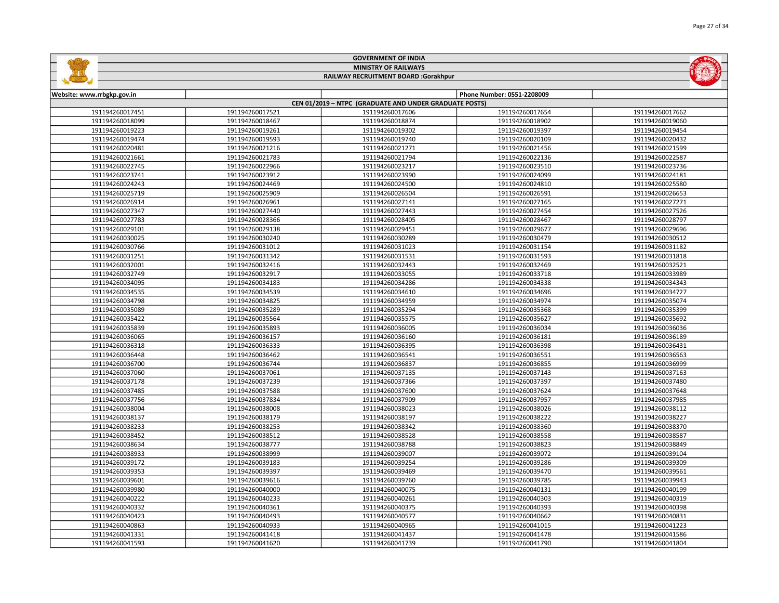|                 |                 |                                                        |                            | <b>Fage 27 UI 34</b> |
|-----------------|-----------------|--------------------------------------------------------|----------------------------|----------------------|
|                 |                 | <b>GOVERNMENT OF INDIA</b>                             |                            |                      |
|                 |                 | <b>MINISTRY OF RAILWAYS</b>                            |                            |                      |
|                 |                 | RAILWAY RECRUITMENT BOARD :Gorakhpur                   |                            |                      |
|                 |                 |                                                        |                            |                      |
| w.rrbgkp.gov.in |                 |                                                        | Phone Number: 0551-2208009 |                      |
|                 |                 | CEN 01/2019 - NTPC (GRADUATE AND UNDER GRADUATE POSTS) |                            |                      |
| 191194260017451 | 191194260017521 | 191194260017606                                        | 191194260017654            | 191194260017662      |
| 191194260018099 | 191194260018467 | 191194260018874                                        | 191194260018902            | 191194260019060      |
| 191194260019223 | 191194260019261 | 191194260019302                                        | 191194260019397            | 191194260019454      |
| 191194260019474 | 191194260019593 | 191194260019740                                        | 191194260020109            | 191194260020432      |
| 191194260020481 | 191194260021216 | 191194260021271                                        | 191194260021456            | 191194260021599      |
| 191194260021661 | 191194260021783 | 191194260021794                                        | 191194260022136            | 191194260022587      |
| 191194260022745 | 191194260022966 | 191194260023217                                        | 191194260023510            | 191194260023736      |
| 191194260023741 | 191194260023912 | 191194260023990                                        | 191194260024099            | 191194260024181      |
| 191194260024243 | 191194260024469 | 191194260024500                                        | 191194260024810            | 191194260025580      |
| 191194260025719 | 191194260025909 | 191194260026504                                        | 191194260026591            | 191194260026653      |
| 191194260026914 | 191194260026961 | 191194260027141                                        | 191194260027165            | 191194260027271      |
| 191194260027347 | 191194260027440 | 191194260027443                                        | 191194260027454            | 191194260027526      |
| 191194260027783 | 191194260028366 | 191194260028405                                        | 191194260028467            | 191194260028797      |
| 191194260029101 | 191194260029138 | 191194260029451                                        | 191194260029677            | 191194260029696      |
| 191194260030025 | 191194260030240 | 191194260030289                                        | 191194260030479            | 191194260030512      |
| 191194260030766 | 191194260031012 | 191194260031023                                        | 191194260031154            | 191194260031182      |
| 191194260031251 | 191194260031342 | 191194260031531                                        | 191194260031593            | 191194260031818      |
| 191194260032001 | 191194260032416 | 191194260032443                                        | 191194260032469            | 191194260032521      |
| 191194260032749 | 191194260032917 | 191194260033055                                        | 191194260033718            | 191194260033989      |
| 191194260034095 | 191194260034183 | 191194260034286                                        | 191194260034338            | 191194260034343      |

| 191194260020481 | 191194260021216 | 191194260021271 | 191194260021456 | 191194260021599 |
|-----------------|-----------------|-----------------|-----------------|-----------------|
| 191194260021661 | 191194260021783 | 191194260021794 | 191194260022136 | 191194260022587 |
| 191194260022745 | 191194260022966 | 191194260023217 | 191194260023510 | 191194260023736 |
| 191194260023741 | 191194260023912 | 191194260023990 | 191194260024099 | 191194260024181 |
| 191194260024243 | 191194260024469 | 191194260024500 | 191194260024810 | 191194260025580 |
| 191194260025719 | 191194260025909 | 191194260026504 | 191194260026591 | 191194260026653 |
| 191194260026914 | 191194260026961 | 191194260027141 | 191194260027165 | 191194260027271 |
| 191194260027347 | 191194260027440 | 191194260027443 | 191194260027454 | 191194260027526 |
| 191194260027783 | 191194260028366 | 191194260028405 | 191194260028467 | 191194260028797 |
| 191194260029101 | 191194260029138 | 191194260029451 | 191194260029677 | 191194260029696 |
| 191194260030025 | 191194260030240 | 191194260030289 | 191194260030479 | 191194260030512 |
| 191194260030766 | 191194260031012 | 191194260031023 | 191194260031154 | 191194260031182 |
| 191194260031251 | 191194260031342 | 191194260031531 | 191194260031593 | 191194260031818 |
| 191194260032001 | 191194260032416 | 191194260032443 | 191194260032469 | 191194260032521 |
| 191194260032749 | 191194260032917 | 191194260033055 | 191194260033718 | 191194260033989 |
| 191194260034095 | 191194260034183 | 191194260034286 | 191194260034338 | 191194260034343 |
| 191194260034535 | 191194260034539 | 191194260034610 | 191194260034696 | 191194260034727 |
| 191194260034798 | 191194260034825 | 191194260034959 | 191194260034974 | 191194260035074 |
| 191194260035089 | 191194260035289 | 191194260035294 | 191194260035368 | 191194260035399 |
| 191194260035422 | 191194260035564 | 191194260035575 | 191194260035627 | 191194260035692 |
| 191194260035839 | 191194260035893 | 191194260036005 | 191194260036034 | 191194260036036 |
| 191194260036065 | 191194260036157 | 191194260036160 | 191194260036181 | 191194260036189 |
| 191194260036318 | 191194260036333 | 191194260036395 | 191194260036398 | 191194260036431 |
| 191194260036448 | 191194260036462 | 191194260036541 | 191194260036551 | 191194260036563 |
| 191194260036700 | 191194260036744 | 191194260036837 | 191194260036855 | 191194260036999 |
| 191194260037060 | 191194260037061 | 191194260037135 | 191194260037143 | 191194260037163 |
| 191194260037178 | 191194260037239 | 191194260037366 | 191194260037397 | 191194260037480 |
| 191194260037485 | 191194260037588 | 191194260037600 | 191194260037624 | 191194260037648 |
| 191194260037756 | 191194260037834 | 191194260037909 | 191194260037957 | 191194260037985 |
| 191194260038004 | 191194260038008 | 191194260038023 | 191194260038026 | 191194260038112 |
| 191194260038137 | 191194260038179 | 191194260038197 | 191194260038222 | 191194260038227 |
| 191194260038233 | 191194260038253 | 191194260038342 | 191194260038360 | 191194260038370 |
| 191194260038452 | 191194260038512 | 191194260038528 | 191194260038558 | 191194260038587 |
| 191194260038634 | 191194260038777 | 191194260038788 | 191194260038823 | 191194260038849 |
| 191194260038933 | 191194260038999 | 191194260039007 | 191194260039072 | 191194260039104 |
| 191194260039172 | 191194260039183 | 191194260039254 | 191194260039286 | 191194260039309 |
| 191194260039353 | 191194260039397 | 191194260039469 | 191194260039470 | 191194260039561 |
| 191194260039601 | 191194260039616 | 191194260039760 | 191194260039785 | 191194260039943 |
| 191194260039980 | 191194260040000 | 191194260040075 | 191194260040131 | 191194260040199 |
| 191194260040222 | 191194260040233 | 191194260040261 | 191194260040303 | 191194260040319 |
| 191194260040332 | 191194260040361 | 191194260040375 | 191194260040393 | 191194260040398 |
| 191194260040423 | 191194260040493 | 191194260040577 | 191194260040662 | 191194260040831 |
| 191194260040863 | 191194260040933 | 191194260040965 | 191194260041015 | 191194260041223 |
| 191194260041331 | 191194260041418 | 191194260041437 | 191194260041478 | 191194260041586 |
| 191194260041593 | 191194260041620 | 191194260041739 | 191194260041790 | 191194260041804 |
|                 |                 |                 |                 |                 |

Website: www.rrbgkp.gov.in

E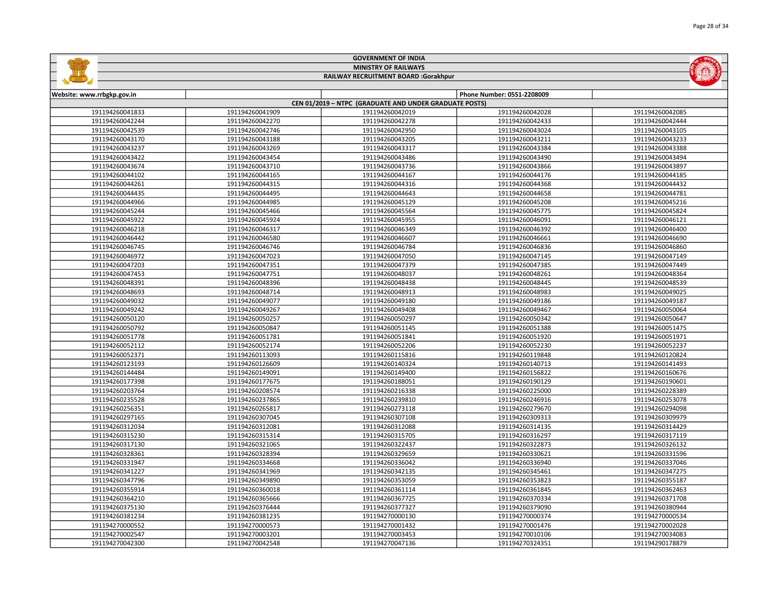| <b>MINISTRY OF RAILWAYS</b><br>RAILWAY RECRUITMENT BOARD :Gorakhpur |                 |                                                        |                            |                 |
|---------------------------------------------------------------------|-----------------|--------------------------------------------------------|----------------------------|-----------------|
|                                                                     |                 |                                                        |                            |                 |
| Website: www.rrbgkp.gov.in                                          |                 |                                                        | Phone Number: 0551-2208009 |                 |
|                                                                     |                 | CEN 01/2019 - NTPC (GRADUATE AND UNDER GRADUATE POSTS) |                            |                 |
| 191194260041833                                                     | 191194260041909 | 191194260042019                                        | 191194260042028            | 191194260042085 |
| 191194260042244                                                     | 191194260042270 | 191194260042278                                        | 191194260042433            | 191194260042444 |
| 191194260042539                                                     | 191194260042746 | 191194260042950                                        | 191194260043024            | 191194260043105 |
| 191194260043170                                                     | 191194260043188 | 191194260043205                                        | 191194260043211            | 191194260043233 |
| 191194260043237                                                     | 191194260043269 | 191194260043317                                        | 191194260043384            | 191194260043388 |
| 191194260043422                                                     | 191194260043454 | 191194260043486                                        | 191194260043490            | 191194260043494 |
| 191194260043674                                                     | 191194260043710 | 191194260043736                                        | 191194260043866            | 191194260043897 |
| 191194260044102                                                     | 191194260044165 | 191194260044167                                        | 191194260044176            | 191194260044185 |
| 191194260044261                                                     | 191194260044315 | 191194260044316                                        | 191194260044368            | 191194260044432 |
| 191194260044435                                                     | 191194260044495 | 191194260044643                                        | 191194260044658            | 191194260044781 |
| 191194260044966                                                     | 191194260044985 | 191194260045129                                        | 191194260045208            | 191194260045216 |
| 191194260045244                                                     | 191194260045466 | 191194260045564                                        | 191194260045775            | 191194260045824 |
| 191194260045922                                                     | 191194260045924 | 191194260045955                                        | 191194260046091            | 191194260046121 |
| 191194260046218                                                     | 191194260046317 | 191194260046349                                        | 191194260046392            | 191194260046400 |
| 191194260046442                                                     | 191194260046580 | 191194260046607                                        | 191194260046661            | 191194260046690 |
| 191194260046745                                                     | 191194260046746 | 191194260046784                                        | 191194260046836            | 191194260046860 |
| 191194260046972                                                     | 191194260047023 | 191194260047050                                        | 191194260047145            | 191194260047149 |
| 191194260047203                                                     | 191194260047351 | 191194260047379                                        | 191194260047385            | 191194260047449 |
| 191194260047453                                                     | 191194260047751 | 191194260048037                                        | 191194260048261            | 191194260048364 |
| 191194260048391                                                     | 191194260048396 | 191194260048438                                        | 191194260048445            | 191194260048539 |
| 191194260048693                                                     | 191194260048714 | 191194260048913                                        | 191194260048983            | 191194260049025 |
| 191194260049032                                                     | 191194260049077 | 191194260049180                                        | 191194260049186            | 191194260049187 |
| 191194260049242                                                     | 191194260049267 | 191194260049408                                        | 191194260049467            | 191194260050064 |
| 191194260050120                                                     | 191194260050257 | 191194260050297                                        | 191194260050342            | 191194260050647 |
| 191194260050792                                                     | 191194260050847 | 191194260051145                                        | 191194260051388            | 191194260051475 |
| 191194260051778                                                     | 191194260051781 | 191194260051841                                        | 191194260051920            | 191194260051971 |
| 191194260052112                                                     | 191194260052174 | 191194260052206                                        | 191194260052230            | 191194260052237 |
| 191194260052371                                                     | 191194260113093 | 191194260115816                                        | 191194260119848            | 191194260120824 |
| 191194260123193                                                     | 191194260126609 | 191194260140324                                        | 191194260140713            | 191194260141493 |
| 191194260144484                                                     | 191194260149091 | 191194260149400                                        | 191194260156822            | 191194260160676 |
| 191194260177398                                                     | 191194260177675 | 191194260188051                                        | 191194260190129            | 191194260190601 |
| 191194260203764                                                     | 191194260208574 | 191194260216338                                        | 191194260225000            | 191194260228389 |
| 191194260235528                                                     | 191194260237865 | 191194260239810                                        | 191194260246916            | 191194260253078 |
| 191194260256351                                                     | 191194260265817 | 191194260273118                                        | 191194260279670            | 191194260294098 |
| 191194260297165                                                     | 191194260307045 | 191194260307108                                        | 191194260309313            | 191194260309979 |
| 191194260312034                                                     | 191194260312081 | 191194260312088                                        | 191194260314135            | 191194260314429 |
| 191194260315230                                                     | 191194260315314 | 191194260315705                                        | 191194260316297            | 191194260317119 |
| 191194260317130                                                     | 191194260321065 | 191194260322437                                        | 191194260322873            | 191194260326132 |
| 191194260328361                                                     | 191194260328394 | 191194260329659                                        | 191194260330621            | 191194260331596 |
| 191194260331947                                                     | 191194260334668 | 191194260336042                                        | 191194260336940            | 191194260337046 |
| 191194260341227                                                     | 191194260341969 | 191194260342135                                        | 191194260345461            | 191194260347275 |
| 191194260347796                                                     | 191194260349890 | 191194260353059                                        | 191194260353823            | 191194260355187 |
| 191194260355914                                                     | 191194260360018 | 191194260361114                                        | 191194260361845            | 191194260362463 |
| 191194260364210                                                     | 191194260365666 | 191194260367725                                        | 191194260370334            | 191194260371708 |
| 191194260375130                                                     | 191194260376444 | 191194260377327                                        | 191194260379090            | 191194260380944 |
| 191194260381234                                                     | 191194260381235 | 191194270000130                                        | 191194270000374            | 191194270000534 |
| 191194270000552                                                     | 191194270000573 | 191194270001432                                        | 191194270001476            | 191194270002028 |
|                                                                     |                 |                                                        |                            |                 |

 191194270003201 191194270003453 191194270010106 191194270034083 191194270042548 191194270047136 191194270324351 191194290178879



## GOVERNMENT OF INDIA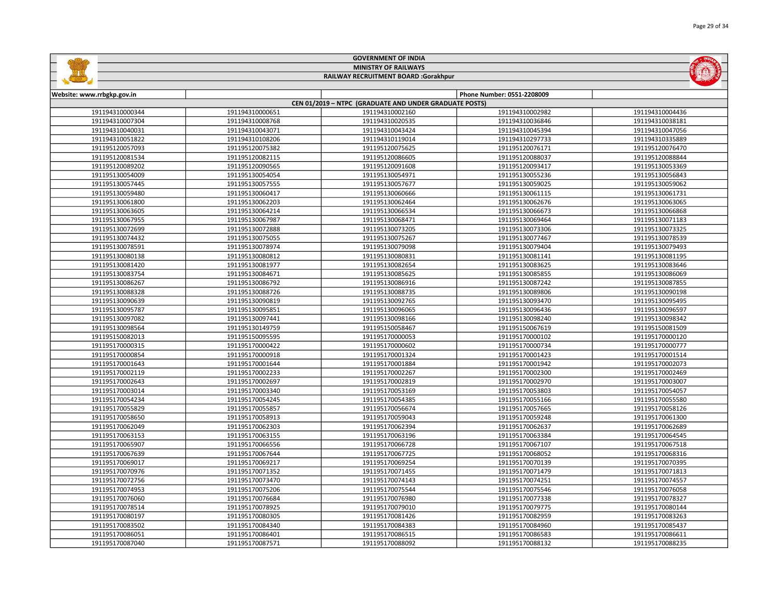|                                    |                                    | <b>MINISTRY OF RAILWAYS</b>                            |                                    |                                    |
|------------------------------------|------------------------------------|--------------------------------------------------------|------------------------------------|------------------------------------|
|                                    |                                    | RAILWAY RECRUITMENT BOARD :Gorakhpur                   |                                    |                                    |
|                                    |                                    |                                                        | Phone Number: 0551-2208009         |                                    |
| Website: www.rrbgkp.gov.in         |                                    | CEN 01/2019 - NTPC (GRADUATE AND UNDER GRADUATE POSTS) |                                    |                                    |
| 191194310000344                    | 191194310000651                    | 191194310002160                                        | 191194310002982                    | 191194310004436                    |
| 191194310007304                    | 191194310008768                    | 191194310020535                                        | 191194310036846                    | 191194310038181                    |
| 191194310040031                    | 191194310043071                    | 191194310043424                                        | 191194310045394                    | 191194310047056                    |
| 191194310051822                    | 191194310108206                    | 191194310119014                                        | 191194310297733                    | 191194310335889                    |
| 191195120057093                    | 191195120075382                    | 191195120075625                                        | 191195120076171                    | 191195120076470                    |
| 191195120081534                    | 191195120082115                    | 191195120086605                                        | 191195120088037                    | 191195120088844                    |
| 191195120089202                    | 191195120090565                    | 191195120091608                                        | 191195120093417                    | 191195130053369                    |
| 191195130054009                    | 191195130054054                    | 191195130054971                                        | 191195130055236                    | 191195130056843                    |
| 191195130057445                    | 191195130057555                    | 191195130057677                                        | 191195130059025                    | 191195130059062                    |
| 191195130059480                    | 191195130060417                    | 191195130060666                                        | 191195130061115                    | 191195130061731                    |
| 191195130061800                    | 191195130062203                    | 191195130062464                                        | 191195130062676                    | 191195130063065                    |
| 191195130063605                    | 191195130064214                    | 191195130066534                                        | 191195130066673                    | 191195130066868                    |
| 191195130067955                    | 191195130067987                    | 191195130068471                                        | 191195130069464                    | 191195130071183                    |
| 191195130072699                    | 191195130072888                    | 191195130073205                                        | 191195130073306                    | 191195130073325                    |
| 191195130074432                    | 191195130075055                    | 191195130075267                                        | 191195130077467                    | 191195130078539                    |
| 191195130078591                    | 191195130078974                    | 191195130079098                                        | 191195130079404                    | 191195130079493                    |
|                                    |                                    |                                                        |                                    |                                    |
| 191195130080138<br>191195130081420 | 191195130080812                    | 191195130080831                                        | 191195130081141                    | 191195130081195                    |
| 191195130083754                    | 191195130081977<br>191195130084671 | 191195130082654<br>191195130085625                     | 191195130083625<br>191195130085855 | 191195130083646<br>191195130086069 |
| 191195130086267                    |                                    |                                                        |                                    |                                    |
| 191195130088328                    | 191195130086792<br>191195130088726 | 191195130086916<br>191195130088735                     | 191195130087242<br>191195130089806 | 191195130087855<br>191195130090198 |
| 191195130090639                    | 191195130090819                    | 191195130092765                                        | 191195130093470                    | 191195130095495                    |
| 191195130095787                    | 191195130095851                    | 191195130096065                                        | 191195130096436                    | 191195130096597                    |
| 191195130097082                    | 191195130097441                    | 191195130098166                                        | 191195130098240                    | 191195130098342                    |
|                                    |                                    |                                                        |                                    |                                    |
| 191195130098564                    | 191195130149759                    | 191195150058467                                        | 191195150067619                    | 191195150081509                    |
| 191195150082013<br>191195170000315 | 191195150095595<br>191195170000422 | 191195170000053<br>191195170000602                     | 191195170000102<br>191195170000734 | 191195170000120<br>191195170000777 |
| 191195170000854                    | 191195170000918                    | 191195170001324                                        | 191195170001423                    | 191195170001514                    |
| 191195170001643                    | 191195170001644                    | 191195170001884                                        | 191195170001942                    | 191195170002073                    |
| 191195170002119                    | 191195170002233                    | 191195170002267                                        | 191195170002300                    | 191195170002469                    |
| 191195170002643                    | 191195170002697                    | 191195170002819                                        | 191195170002970                    | 191195170003007                    |
| 191195170003014                    | 191195170003340                    | 191195170053169                                        | 191195170053803                    | 191195170054057                    |
| 191195170054234                    | 191195170054245                    | 191195170054385                                        | 191195170055166                    | 191195170055580                    |
| 191195170055829                    | 191195170055857                    | 191195170056674                                        | 191195170057665                    | 191195170058126                    |
| 191195170058650                    | 191195170058913                    | 191195170059043                                        | 191195170059248                    | 191195170061300                    |
| 191195170062049                    | 191195170062303                    | 191195170062394                                        | 191195170062637                    | 191195170062689                    |
| 191195170063153                    | 191195170063155                    | 191195170063196                                        | 191195170063384                    | 191195170064545                    |
|                                    |                                    |                                                        | 191195170067107                    |                                    |
| 191195170065907<br>191195170067639 | 191195170066556<br>191195170067644 | 191195170066728<br>191195170067725                     | 191195170068052                    | 191195170067518<br>191195170068316 |
| 191195170069017                    | 191195170069217                    | 191195170069254                                        | 191195170070139                    | 191195170070395                    |
|                                    |                                    |                                                        |                                    |                                    |
| 191195170070976<br>191195170072756 | 191195170071352<br>191195170073470 | 191195170071455<br>191195170074143                     | 191195170071479<br>191195170074251 | 191195170071813<br>191195170074557 |
| 191195170074953                    | 191195170075206                    | 191195170075544                                        | 191195170075546                    | 191195170076058                    |
| 191195170076060                    | 191195170076684                    | 191195170076980                                        | 191195170077338                    | 191195170078327                    |
| 191195170078514                    | 191195170078925                    | 191195170079010                                        | 191195170079775                    | 191195170080144                    |
| 191195170080197                    | 191195170080305                    | 191195170081426                                        | 191195170082959                    | 191195170083263                    |
| 191195170083502                    | 191195170084340                    | 191195170084383                                        | 191195170084960                    | 191195170085437                    |
|                                    |                                    |                                                        |                                    |                                    |

 191195170086401 191195170086515 191195170086583 191195170086611 191195170087571 191195170088092 191195170088132 191195170088235

GOVERNMENT OF INDIA

ц.

 $\overline{a}$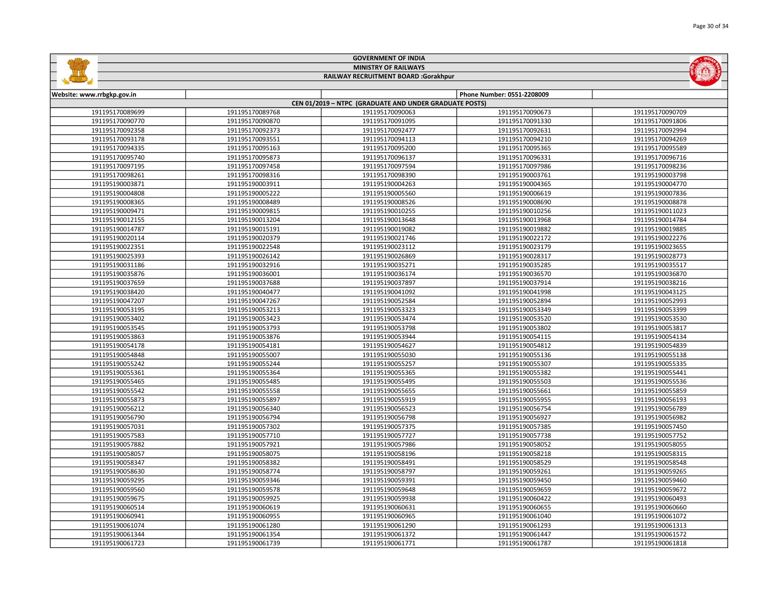|                            |                 | <b>MINISTRY OF RAILWAYS</b>                            |                            |                 |
|----------------------------|-----------------|--------------------------------------------------------|----------------------------|-----------------|
|                            |                 | RAILWAY RECRUITMENT BOARD :Gorakhpur                   |                            |                 |
| Website: www.rrbgkp.gov.in |                 |                                                        | Phone Number: 0551-2208009 |                 |
|                            |                 | CEN 01/2019 - NTPC (GRADUATE AND UNDER GRADUATE POSTS) |                            |                 |
| 191195170089699            | 191195170089768 | 191195170090063                                        | 191195170090673            | 191195170090709 |
| 191195170090770            | 191195170090870 | 191195170091095                                        | 191195170091330            | 191195170091806 |
| 191195170092358            | 191195170092373 | 191195170092477                                        | 191195170092631            | 191195170092994 |
| 191195170093178            | 191195170093551 | 191195170094113                                        | 191195170094210            | 191195170094269 |
| 191195170094335            | 191195170095163 | 191195170095200                                        | 191195170095365            | 191195170095589 |
| 191195170095740            | 191195170095873 | 191195170096137                                        | 191195170096331            | 191195170096716 |
| 191195170097195            | 191195170097458 | 191195170097594                                        | 191195170097986            | 191195170098236 |
| 191195170098261            | 191195170098316 | 191195170098390                                        | 191195190003761            | 191195190003798 |
| 191195190003871            | 191195190003911 | 191195190004263                                        | 191195190004365            | 191195190004770 |
| 191195190004808            | 191195190005222 | 191195190005560                                        | 191195190006619            | 191195190007836 |
| 191195190008365            | 191195190008489 | 191195190008526                                        | 191195190008690            | 191195190008878 |
| 191195190009471            | 191195190009815 | 191195190010255                                        | 191195190010256            | 191195190011023 |
| 191195190012155            | 191195190013204 | 191195190013648                                        | 191195190013968            | 191195190014784 |
| 191195190014787            | 191195190015191 | 191195190019082                                        | 191195190019882            | 191195190019885 |
| 191195190020114            | 191195190020379 | 191195190021746                                        | 191195190022172            | 191195190022276 |
| 191195190022351            | 191195190022548 | 191195190023112                                        | 191195190023179            | 191195190023655 |
| 191195190025393            | 191195190026142 | 191195190026869                                        | 191195190028317            | 191195190028773 |
| 191195190031186            | 191195190032916 | 191195190035271                                        | 191195190035285            | 191195190035517 |
| 191195190035876            | 191195190036001 | 191195190036174                                        | 191195190036570            | 191195190036870 |
| 191195190037659            | 191195190037688 | 191195190037897                                        | 191195190037914            | 191195190038216 |
| 191195190038420            | 191195190040477 | 191195190041092                                        | 191195190041998            | 191195190043125 |
| 191195190047207            | 191195190047267 | 191195190052584                                        | 191195190052894            | 191195190052993 |
| 191195190053195            | 191195190053213 | 191195190053323                                        | 191195190053349            | 191195190053399 |
| 191195190053402            | 191195190053423 | 191195190053474                                        | 191195190053520            | 191195190053530 |
| 191195190053545            | 191195190053793 | 191195190053798                                        | 191195190053802            | 191195190053817 |
| 191195190053863            | 191195190053876 | 191195190053944                                        | 191195190054115            | 191195190054134 |
| 191195190054178            | 191195190054181 | 191195190054627                                        | 191195190054812            | 191195190054839 |
| 191195190054848            | 191195190055007 | 191195190055030                                        | 191195190055136            | 191195190055138 |
| 191195190055242            | 191195190055244 | 191195190055257                                        | 191195190055307            | 191195190055335 |
| 191195190055361            | 191195190055364 | 191195190055365                                        | 191195190055382            | 191195190055441 |
| 191195190055465            | 191195190055485 | 191195190055495                                        | 191195190055503            | 191195190055536 |
| 191195190055542            | 191195190055558 | 191195190055655                                        | 191195190055661            | 191195190055859 |
| 191195190055873            | 191195190055897 | 191195190055919                                        | 191195190055955            | 191195190056193 |
| 191195190056212            | 191195190056340 | 191195190056523                                        | 191195190056754            | 191195190056789 |
| 191195190056790            | 191195190056794 | 191195190056798                                        | 191195190056927            | 191195190056982 |
| 191195190057031            | 191195190057302 | 191195190057375                                        | 191195190057385            | 191195190057450 |
| 191195190057583            | 191195190057710 | 191195190057727                                        | 191195190057738            | 191195190057752 |
| 191195190057882            | 191195190057921 | 191195190057986                                        | 191195190058052            | 191195190058055 |
| 191195190058057            | 191195190058075 | 191195190058196                                        | 191195190058218            | 191195190058315 |
| 191195190058347            | 191195190058382 | 191195190058491                                        | 191195190058529            | 191195190058548 |
| 191195190058630            | 191195190058774 | 191195190058797                                        | 191195190059261            | 191195190059265 |
| 191195190059295            | 191195190059346 | 191195190059391                                        | 191195190059450            | 191195190059460 |
| 191195190059560            | 191195190059578 | 191195190059648                                        | 191195190059659            | 191195190059672 |
| 191195190059675            | 191195190059925 | 191195190059938                                        | 191195190060422            | 191195190060493 |
| 191195190060514            | 191195190060619 | 191195190060631                                        | 191195190060655            | 191195190060660 |
| 191195190060941            | 191195190060955 | 191195190060965                                        | 191195190061040            | 191195190061072 |
| 191195190061074            | 191195190061280 | 191195190061290                                        | 191195190061293            | 191195190061313 |
| 191195190061344            | 191195190061354 | 191195190061372                                        | 191195190061447            | 191195190061572 |

191195190061739 191195190061771 191195190061787 191195190061818

GOVERNMENT OF INDIA

**Galillan**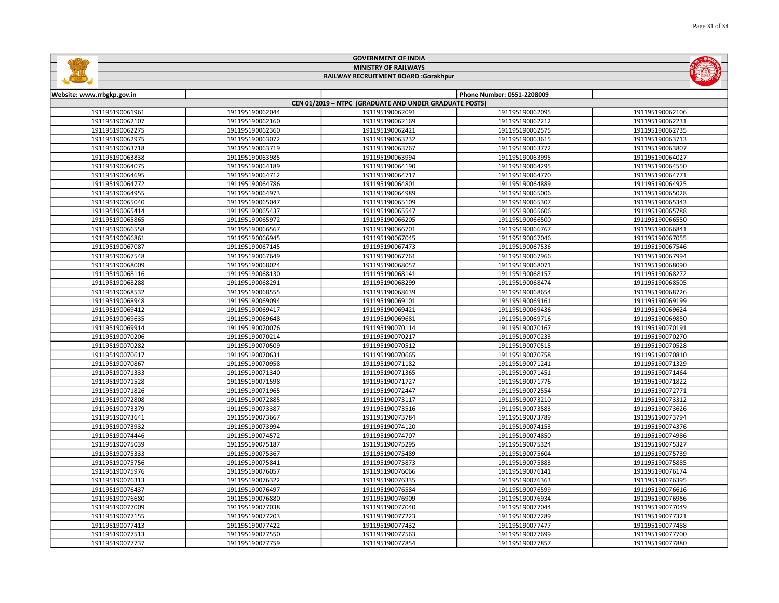|                            |                 | <b>MINISTRY OF RAILWAYS</b>                            |                            |                 |
|----------------------------|-----------------|--------------------------------------------------------|----------------------------|-----------------|
|                            |                 | <b>RAILWAY RECRUITMENT BOARD :Gorakhpur</b>            |                            |                 |
|                            |                 |                                                        |                            |                 |
| Website: www.rrbgkp.gov.in |                 | CEN 01/2019 - NTPC (GRADUATE AND UNDER GRADUATE POSTS) | Phone Number: 0551-2208009 |                 |
| 191195190061961            | 191195190062044 | 191195190062091                                        | 191195190062095            | 191195190062106 |
| 191195190062107            | 191195190062160 | 191195190062169                                        | 191195190062212            | 191195190062231 |
| 191195190062275            | 191195190062360 | 191195190062421                                        | 191195190062575            | 191195190062735 |
| 191195190062975            | 191195190063072 | 191195190063232                                        | 191195190063615            | 191195190063713 |
| 191195190063718            | 191195190063719 | 191195190063767                                        | 191195190063772            | 191195190063807 |
| 191195190063838            | 191195190063985 | 191195190063994                                        | 191195190063995            | 191195190064027 |
| 191195190064075            | 191195190064189 | 191195190064190                                        | 191195190064295            | 191195190064550 |
| 191195190064695            | 191195190064712 | 191195190064717                                        | 191195190064770            | 191195190064771 |
| 191195190064772            | 191195190064786 | 191195190064801                                        | 191195190064889            | 191195190064925 |
| 191195190064955            | 191195190064973 | 191195190064989                                        | 191195190065006            | 191195190065028 |
| 191195190065040            | 191195190065047 | 191195190065109                                        | 191195190065307            | 191195190065343 |
| 191195190065414            | 191195190065437 | 191195190065547                                        | 191195190065606            | 191195190065788 |
| 191195190065865            | 191195190065972 | 191195190066205                                        | 191195190066500            | 191195190066550 |
| 191195190066558            | 191195190066567 | 191195190066701                                        | 191195190066767            | 191195190066841 |
| 191195190066861            | 191195190066945 | 191195190067045                                        | 191195190067046            | 191195190067055 |
| 191195190067087            | 191195190067145 | 191195190067473                                        | 191195190067536            | 191195190067546 |
| 191195190067548            | 191195190067649 | 191195190067761                                        | 191195190067966            | 191195190067994 |
| 191195190068009            | 191195190068024 | 191195190068057                                        | 191195190068071            | 191195190068090 |
| 191195190068116            | 191195190068130 | 191195190068141                                        | 191195190068157            | 191195190068272 |
| 191195190068288            | 191195190068291 | 191195190068299                                        | 191195190068474            | 191195190068505 |
| 191195190068532            | 191195190068555 | 191195190068639                                        | 191195190068654            | 191195190068726 |
| 191195190068948            | 191195190069094 | 191195190069101                                        | 191195190069161            | 191195190069199 |
| 191195190069412            | 191195190069417 | 191195190069421                                        | 191195190069436            | 191195190069624 |
| 191195190069635            | 191195190069648 | 191195190069681                                        | 191195190069716            | 191195190069850 |
| 191195190069914            | 191195190070076 | 191195190070114                                        | 191195190070167            | 191195190070191 |
| 191195190070206            | 191195190070214 | 191195190070217                                        | 191195190070233            | 191195190070270 |
| 191195190070282            | 191195190070509 | 191195190070512                                        | 191195190070515            | 191195190070528 |
| 191195190070617            | 191195190070631 | 191195190070665                                        | 191195190070758            | 191195190070810 |
| 191195190070867            | 191195190070958 | 191195190071182                                        | 191195190071241            | 191195190071329 |
| 191195190071333            | 191195190071340 | 191195190071365                                        | 191195190071451            | 191195190071464 |
| 191195190071528            | 191195190071598 | 191195190071727                                        | 191195190071776            | 191195190071822 |
| 191195190071826            | 191195190071965 | 191195190072447                                        | 191195190072554            | 191195190072771 |
| 191195190072808            | 191195190072885 | 191195190073117                                        | 191195190073210            | 191195190073312 |
| 191195190073379            | 191195190073387 | 191195190073516                                        | 191195190073583            | 191195190073626 |
| 191195190073641            | 191195190073667 | 191195190073784                                        | 191195190073789            | 191195190073794 |
| 191195190073932            | 191195190073994 | 191195190074120                                        | 191195190074153            | 191195190074376 |
| 191195190074446            | 191195190074572 | 191195190074707                                        | 191195190074850            | 191195190074986 |
| 191195190075039            | 191195190075187 | 191195190075295                                        | 191195190075324            | 191195190075327 |
| 191195190075333            | 191195190075367 | 191195190075489                                        | 191195190075604            | 191195190075739 |
| 191195190075756            | 191195190075841 | 191195190075873                                        | 191195190075883            | 191195190075885 |
| 191195190075976            | 191195190076057 | 191195190076066                                        | 191195190076141            | 191195190076174 |
| 191195190076313            | 191195190076322 | 191195190076335                                        | 191195190076363            | 191195190076395 |
| 191195190076437            | 191195190076497 | 191195190076584                                        | 191195190076599            | 191195190076616 |
| 191195190076680            | 191195190076880 | 191195190076909                                        | 191195190076934            | 191195190076986 |
| 191195190077009            | 191195190077038 | 191195190077040                                        | 191195190077044            | 191195190077049 |
| 191195190077155            | 191195190077203 | 191195190077223                                        | 191195190077289            | 191195190077321 |
| 191195190077413            | 191195190077422 | 191195190077432                                        | 191195190077477            | 191195190077488 |
| 191195190077513            | 191195190077550 | 191195190077563                                        | 191195190077699            | 191195190077700 |

191195190077759 191195190077854 191195190077857 191195190077880

GOVERNMENT OF INDIA

 $-50 -$ 

INDULA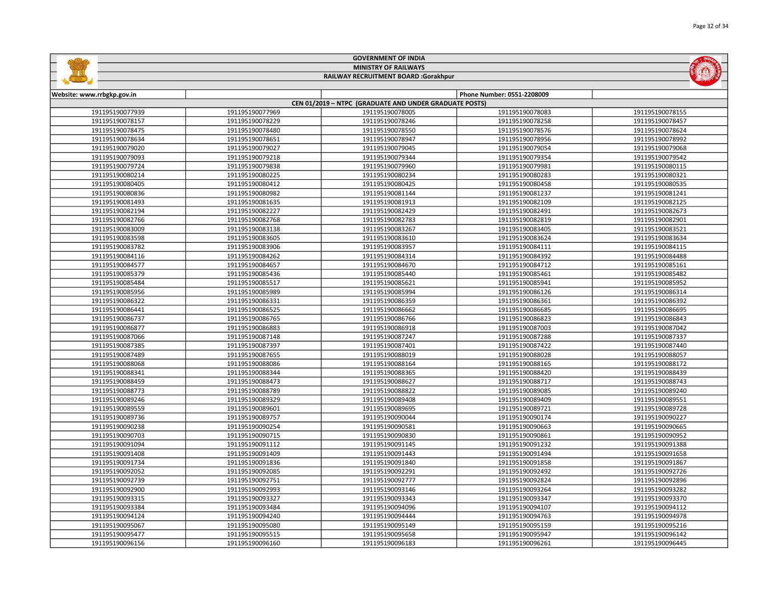| <b>MINISTRY OF RAILWAYS</b><br>RAILWAY RECRUITMENT BOARD :Gorakhpur |                 |                                                        |                            |                 |  |  |
|---------------------------------------------------------------------|-----------------|--------------------------------------------------------|----------------------------|-----------------|--|--|
|                                                                     |                 |                                                        |                            |                 |  |  |
| Website: www.rrbgkp.gov.in                                          |                 |                                                        | Phone Number: 0551-2208009 |                 |  |  |
|                                                                     |                 | CEN 01/2019 - NTPC (GRADUATE AND UNDER GRADUATE POSTS) |                            |                 |  |  |
| 191195190077939                                                     | 191195190077969 | 191195190078005                                        | 191195190078083            | 191195190078155 |  |  |
| 191195190078157                                                     | 191195190078229 | 191195190078246                                        | 191195190078258            | 191195190078457 |  |  |
| 191195190078475                                                     | 191195190078480 | 191195190078550                                        | 191195190078576            | 191195190078624 |  |  |
| 191195190078634                                                     | 191195190078651 | 191195190078947                                        | 191195190078956            | 191195190078992 |  |  |
| 191195190079020                                                     | 191195190079027 | 191195190079045                                        | 191195190079054            | 191195190079068 |  |  |
| 191195190079093                                                     | 191195190079218 | 191195190079344                                        | 191195190079354            | 191195190079542 |  |  |
| 191195190079724                                                     | 191195190079838 | 191195190079960                                        | 191195190079981            | 191195190080115 |  |  |
| 191195190080214                                                     | 191195190080225 | 191195190080234                                        | 191195190080283            | 191195190080321 |  |  |
| 191195190080405                                                     | 191195190080412 | 191195190080425                                        | 191195190080458            | 191195190080535 |  |  |
| 191195190080836                                                     | 191195190080982 | 191195190081144                                        | 191195190081237            | 191195190081241 |  |  |
| 191195190081493                                                     | 191195190081635 | 191195190081913                                        | 191195190082109            | 191195190082125 |  |  |
| 191195190082194                                                     | 191195190082227 | 191195190082429                                        | 191195190082491            | 191195190082673 |  |  |
| 191195190082766                                                     | 191195190082768 | 191195190082783                                        | 191195190082819            | 191195190082901 |  |  |
| 191195190083009                                                     | 191195190083138 | 191195190083267                                        | 191195190083405            | 191195190083521 |  |  |
| 191195190083598                                                     | 191195190083605 | 191195190083610                                        | 191195190083624            | 191195190083634 |  |  |
| 191195190083782                                                     | 191195190083906 | 191195190083957                                        | 191195190084111            | 191195190084115 |  |  |
| 191195190084116                                                     | 191195190084262 | 191195190084314                                        | 191195190084392            | 191195190084488 |  |  |
| 191195190084577                                                     | 191195190084657 | 191195190084670                                        | 191195190084712            | 191195190085161 |  |  |
| 191195190085379                                                     | 191195190085436 | 191195190085440                                        | 191195190085461            | 191195190085482 |  |  |
| 191195190085484                                                     | 191195190085517 | 191195190085621                                        | 191195190085941            | 191195190085952 |  |  |
| 191195190085956                                                     | 191195190085989 | 191195190085994                                        | 191195190086126            | 191195190086314 |  |  |
| 191195190086322                                                     | 191195190086331 | 191195190086359                                        | 191195190086361            | 191195190086392 |  |  |
| 191195190086441                                                     | 191195190086525 | 191195190086662                                        | 191195190086685            | 191195190086695 |  |  |
| 191195190086737                                                     | 191195190086765 | 191195190086766                                        | 191195190086823            | 191195190086843 |  |  |
| 191195190086877                                                     | 191195190086883 | 191195190086918                                        | 191195190087003            | 191195190087042 |  |  |
| 191195190087066                                                     | 191195190087148 | 191195190087247                                        | 191195190087288            | 191195190087337 |  |  |
| 191195190087385                                                     | 191195190087397 | 191195190087401                                        | 191195190087422            | 191195190087440 |  |  |
| 191195190087489                                                     | 191195190087655 | 191195190088019                                        | 191195190088028            | 191195190088057 |  |  |
| 191195190088068                                                     | 191195190088086 | 191195190088164                                        | 191195190088165            | 191195190088172 |  |  |
| 191195190088341                                                     | 191195190088344 | 191195190088365                                        | 191195190088420            | 191195190088439 |  |  |
| 191195190088459                                                     | 191195190088473 | 191195190088627                                        | 191195190088717            | 191195190088743 |  |  |
| 191195190088773                                                     | 191195190088789 | 191195190088822                                        | 191195190089085            | 191195190089240 |  |  |
| 191195190089246                                                     | 191195190089329 | 191195190089408                                        | 191195190089409            | 191195190089551 |  |  |
| 191195190089559                                                     | 191195190089601 | 191195190089695                                        | 191195190089721            | 191195190089728 |  |  |
| 191195190089736                                                     | 191195190089757 | 191195190090044                                        | 191195190090174            | 191195190090227 |  |  |
| 191195190090238                                                     | 191195190090254 | 191195190090581                                        | 191195190090663            | 191195190090665 |  |  |
| 191195190090703                                                     | 191195190090715 | 191195190090830                                        | 191195190090861            | 191195190090952 |  |  |
| 191195190091094                                                     | 191195190091112 | 191195190091145                                        | 191195190091232            | 191195190091388 |  |  |
| 191195190091408                                                     | 191195190091409 | 191195190091443                                        | 191195190091494            | 191195190091658 |  |  |
| 191195190091734                                                     | 191195190091836 | 191195190091840                                        | 191195190091858            | 191195190091867 |  |  |
| 191195190092052                                                     | 191195190092085 | 191195190092291                                        | 191195190092492            | 191195190092726 |  |  |
| 191195190092739                                                     | 191195190092751 | 191195190092777                                        | 191195190092824            | 191195190092896 |  |  |
| 191195190092900                                                     | 191195190092993 | 191195190093146                                        | 191195190093264            | 191195190093282 |  |  |
| 191195190093315                                                     | 191195190093327 | 191195190093343                                        | 191195190093347            | 191195190093370 |  |  |
| 191195190093384                                                     | 191195190093484 | 191195190094096                                        | 191195190094107            | 191195190094112 |  |  |
| 191195190094124                                                     | 191195190094240 | 191195190094444                                        | 191195190094763            | 191195190094978 |  |  |
| 191195190095067                                                     | 191195190095080 | 191195190095149                                        | 191195190095159            | 191195190095216 |  |  |
| 191195190095477                                                     | 191195190095515 | 191195190095658                                        | 191195190095947            | 191195190096142 |  |  |

191195190096160 191195190096183 191195190096261 191195190096445

GOVERNMENT OF INDIA

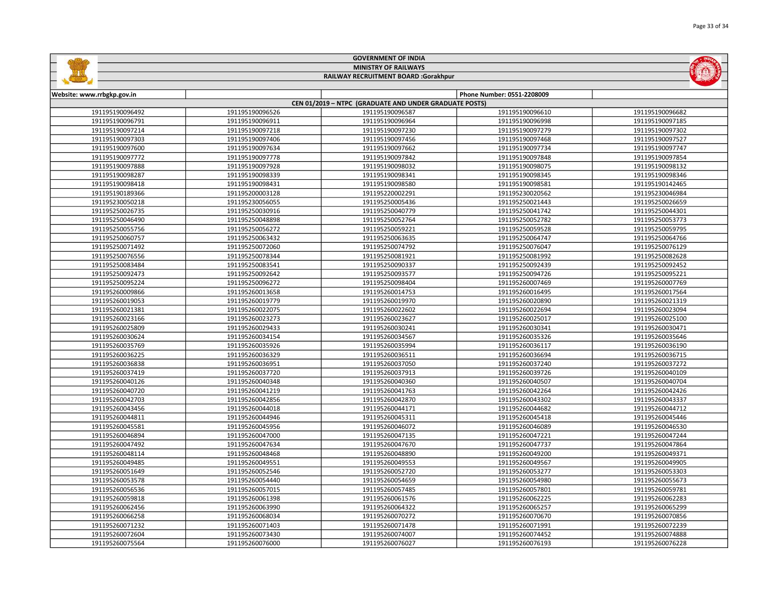|                                                        |                 | <b>MINISTRY OF RAILWAYS</b> |                            |                 |  |  |  |  |  |
|--------------------------------------------------------|-----------------|-----------------------------|----------------------------|-----------------|--|--|--|--|--|
| RAILWAY RECRUITMENT BOARD :Gorakhpur                   |                 |                             |                            |                 |  |  |  |  |  |
|                                                        |                 |                             |                            |                 |  |  |  |  |  |
| Website: www.rrbgkp.gov.in                             |                 |                             | Phone Number: 0551-2208009 |                 |  |  |  |  |  |
| CEN 01/2019 - NTPC (GRADUATE AND UNDER GRADUATE POSTS) |                 |                             |                            |                 |  |  |  |  |  |
| 191195190096492                                        | 191195190096526 | 191195190096587             | 191195190096610            | 191195190096682 |  |  |  |  |  |
| 191195190096791                                        | 191195190096911 | 191195190096964             | 191195190096998            | 191195190097185 |  |  |  |  |  |
| 191195190097214                                        | 191195190097218 | 191195190097230             | 191195190097279            | 191195190097302 |  |  |  |  |  |
| 191195190097303                                        | 191195190097406 | 191195190097456             | 191195190097468            | 191195190097527 |  |  |  |  |  |
| 191195190097600                                        | 191195190097634 | 191195190097662             | 191195190097734            | 191195190097747 |  |  |  |  |  |
| 191195190097772                                        | 191195190097778 | 191195190097842             | 191195190097848            | 191195190097854 |  |  |  |  |  |
| 191195190097888                                        | 191195190097928 | 191195190098032             | 191195190098075            | 191195190098132 |  |  |  |  |  |
| 191195190098287                                        | 191195190098339 | 191195190098341             | 191195190098345            | 191195190098346 |  |  |  |  |  |
| 191195190098418                                        | 191195190098431 | 191195190098580             | 191195190098581            | 191195190142465 |  |  |  |  |  |
| 191195190189366                                        | 191195200003128 | 191195220002291             | 191195230020562            | 191195230046984 |  |  |  |  |  |
| 191195230050218                                        | 191195230056055 | 191195250005436             | 191195250021443            | 191195250026659 |  |  |  |  |  |
| 191195250026735                                        | 191195250030916 | 191195250040779             | 191195250041742            | 191195250044301 |  |  |  |  |  |
| 191195250046490                                        | 191195250048898 | 191195250052764             | 191195250052782            | 191195250053773 |  |  |  |  |  |
| 191195250055756                                        | 191195250056272 | 191195250059221             | 191195250059528            | 191195250059795 |  |  |  |  |  |
| 191195250060757                                        | 191195250063432 | 191195250063635             | 191195250064747            | 191195250064766 |  |  |  |  |  |
| 191195250071492                                        | 191195250072060 | 191195250074792             | 191195250076047            | 191195250076129 |  |  |  |  |  |
| 191195250076556                                        | 191195250078344 | 191195250081921             | 191195250081992            | 191195250082628 |  |  |  |  |  |
| 191195250083484                                        | 191195250083541 | 191195250090337             | 191195250092439            | 191195250092452 |  |  |  |  |  |
| 191195250092473                                        | 191195250092642 | 191195250093577             | 191195250094726            | 191195250095221 |  |  |  |  |  |
| 191195250095224                                        | 191195250096272 | 191195250098404             | 191195260007469            | 191195260007769 |  |  |  |  |  |
| 191195260009866                                        | 191195260013658 | 191195260014753             | 191195260016495            | 191195260017564 |  |  |  |  |  |
| 191195260019053                                        | 191195260019779 | 191195260019970             | 191195260020890            | 191195260021319 |  |  |  |  |  |
| 191195260021381                                        | 191195260022075 | 191195260022602             | 191195260022694            | 191195260023094 |  |  |  |  |  |
| 191195260023166                                        | 191195260023273 | 191195260023627             | 191195260025017            | 191195260025100 |  |  |  |  |  |
| 191195260025809                                        | 191195260029433 | 191195260030241             | 191195260030341            | 191195260030471 |  |  |  |  |  |
| 191195260030624                                        | 191195260034154 | 191195260034567             | 191195260035326            | 191195260035646 |  |  |  |  |  |
| 191195260035769                                        | 191195260035926 | 191195260035994             | 191195260036117            | 191195260036190 |  |  |  |  |  |
| 191195260036225                                        | 191195260036329 | 191195260036511             | 191195260036694            | 191195260036715 |  |  |  |  |  |
| 191195260036838                                        | 191195260036951 | 191195260037050             | 191195260037240            | 191195260037272 |  |  |  |  |  |
| 191195260037419                                        | 191195260037720 | 191195260037913             | 191195260039726            | 191195260040109 |  |  |  |  |  |
| 191195260040126                                        | 191195260040348 | 191195260040360             | 191195260040507            | 191195260040704 |  |  |  |  |  |
| 191195260040720                                        | 191195260041219 | 191195260041763             | 191195260042264            | 191195260042426 |  |  |  |  |  |
| 191195260042703                                        | 191195260042856 | 191195260042870             | 191195260043302            | 191195260043337 |  |  |  |  |  |
| 191195260043456                                        | 191195260044018 | 191195260044171             | 191195260044682            | 191195260044712 |  |  |  |  |  |
| 191195260044811                                        | 191195260044946 | 191195260045311             | 191195260045418            | 191195260045446 |  |  |  |  |  |
| 191195260045581                                        | 191195260045956 | 191195260046072             | 191195260046089            | 191195260046530 |  |  |  |  |  |
| 191195260046894                                        | 191195260047000 | 191195260047135             | 191195260047221            | 191195260047244 |  |  |  |  |  |
| 191195260047492                                        | 191195260047634 | 191195260047670             | 191195260047737            | 191195260047864 |  |  |  |  |  |
| 191195260048114                                        | 191195260048468 | 191195260048890             | 191195260049200            | 191195260049371 |  |  |  |  |  |
| 191195260049485                                        | 191195260049551 | 191195260049553             | 191195260049567            | 191195260049905 |  |  |  |  |  |
| 191195260051649                                        | 191195260052546 | 191195260052720             | 191195260053277            | 191195260053303 |  |  |  |  |  |
| 191195260053578                                        | 191195260054440 | 191195260054659             | 191195260054980            | 191195260055673 |  |  |  |  |  |
| 191195260056536                                        | 191195260057015 | 191195260057485             | 191195260057801            | 191195260059781 |  |  |  |  |  |
| 191195260059818                                        | 191195260061398 | 191195260061576             | 191195260062225            | 191195260062283 |  |  |  |  |  |
| 191195260062456                                        | 191195260063990 | 191195260064322             | 191195260065257            | 191195260065299 |  |  |  |  |  |
| 191195260066258                                        | 191195260068034 | 191195260070272             | 191195260070670            | 191195260070856 |  |  |  |  |  |
| 191195260071232                                        | 191195260071403 | 191195260071478             | 191195260071991            | 191195260072239 |  |  |  |  |  |
| 191195260072604                                        | 191195260073430 | 191195260074007             | 191195260074452            | 191195260074888 |  |  |  |  |  |
|                                                        |                 |                             |                            |                 |  |  |  |  |  |

191195260076000 191195260076027 191195260076193 191195260076228

GOVERNMENT OF INDIA

**Salling** 

**ENDING**